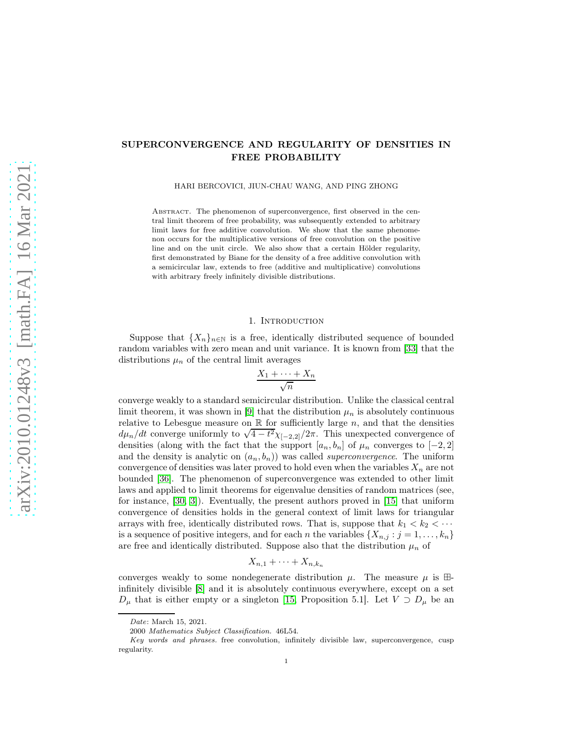# SUPERCONVERGENCE AND REGULARITY OF DENSITIES IN FREE PROBABILITY

HARI BERCOVICI, JIUN-CHAU WANG, AND PING ZHONG

ABSTRACT. The phenomenon of superconvergence, first observed in the central limit theorem of free probability, was subsequently extended to arbitrary limit laws for free additive convolution. We show that the same phenomenon occurs for the multiplicative versions of free convolution on the positive line and on the unit circle. We also show that a certain Hölder regularity, first demonstrated by Biane for the density of a free additive convolution with a semicircular law, extends to free (additive and multiplicative) convolutions with arbitrary freely infinitely divisible distributions.

#### 1. INTRODUCTION

Suppose that  $\{X_n\}_{n\in\mathbb{N}}$  is a free, identically distributed sequence of bounded random variables with zero mean and unit variance. It is known from [\[33\]](#page-53-0) that the distributions  $\mu_n$  of the central limit averages

$$
\frac{X_1 + \dots + X_n}{\sqrt{n}}
$$

converge weakly to a standard semicircular distribution. Unlike the classical central limit theorem, it was shown in [\[9\]](#page-52-0) that the distribution  $\mu_n$  is absolutely continuous relative to Lebesgue measure on  $\mathbb R$  for sufficiently large  $n$ , and that the densities  $d\mu_n/dt$  converge uniformly to  $\sqrt{4-t^2}\chi_{[-2,2]}/2\pi$ . This unexpected convergence of densities (along with the fact that the support  $[a_n, b_n]$  of  $\mu_n$  converges to  $[-2, 2]$ and the density is analytic on  $(a_n, b_n)$  was called *superconvergence*. The uniform convergence of densities was later proved to hold even when the variables  $X_n$  are not bounded [\[36\]](#page-53-1). The phenomenon of superconvergence was extended to other limit laws and applied to limit theorems for eigenvalue densities of random matrices (see, for instance, [\[30,](#page-52-1) [3\]](#page-51-0)). Eventually, the present authors proved in [\[15\]](#page-52-2) that uniform convergence of densities holds in the general context of limit laws for triangular arrays with free, identically distributed rows. That is, suppose that  $k_1 < k_2 < \cdots$ is a sequence of positive integers, and for each n the variables  $\{X_{n,j} : j = 1, \ldots, k_n\}$ are free and identically distributed. Suppose also that the distribution  $\mu_n$  of

$$
X_{n,1}+\cdots+X_{n,k_n}
$$

converges weakly to some nondegenerate distribution  $\mu$ . The measure  $\mu$  is  $\boxplus$ infinitely divisible [\[8\]](#page-52-3) and it is absolutely continuous everywhere, except on a set  $D_{\mu}$  that is either empty or a singleton [\[15,](#page-52-2) Proposition 5.1]. Let  $V \supset D_{\mu}$  be an

Date: March 15, 2021.

<sup>2000</sup> Mathematics Subject Classification. 46L54.

Key words and phrases. free convolution, infinitely divisible law, superconvergence, cusp regularity.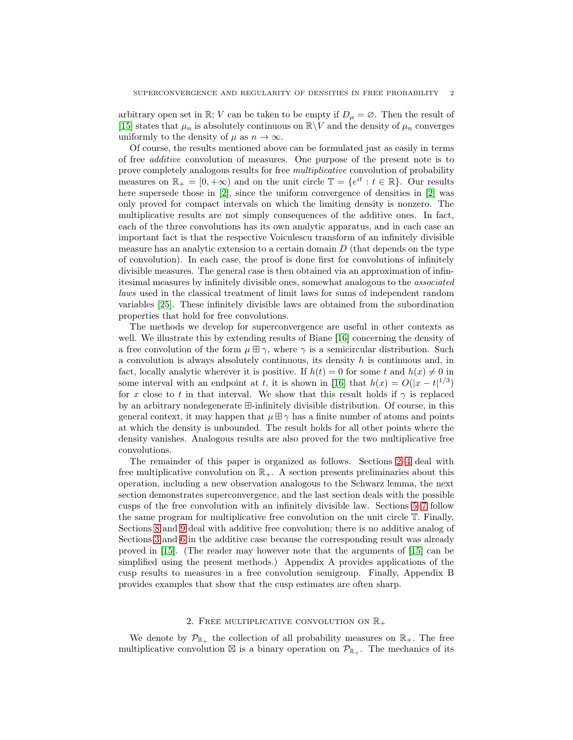arbitrary open set in R; V can be taken to be empty if  $D_{\mu} = \emptyset$ . Then the result of [\[15\]](#page-52-2) states that  $\mu_n$  is absolutely continuous on  $\mathbb{R}\backslash V$  and the density of  $\mu_n$  converges uniformly to the density of  $\mu$  as  $n \to \infty$ .

Of course, the results mentioned above can be formulated just as easily in terms of free additive convolution of measures. One purpose of the present note is to prove completely analogous results for free multiplicative convolution of probability measures on  $\mathbb{R}_+ = [0, +\infty)$  and on the unit circle  $\mathbb{T} = \{e^{it} : t \in \mathbb{R}\}$ . Our results here supersede those in [\[2\]](#page-51-1), since the uniform convergence of densities in [\[2\]](#page-51-1) was only proved for compact intervals on which the limiting density is nonzero. The multiplicative results are not simply consequences of the additive ones. In fact, each of the three convolutions has its own analytic apparatus, and in each case an important fact is that the respective Voiculescu transform of an infinitely divisible measure has an analytic extension to a certain domain  $D$  (that depends on the type of convolution). In each case, the proof is done first for convolutions of infinitely divisible measures. The general case is then obtained via an approximation of infinitesimal measures by infinitely divisible ones, somewhat analogous to the associated laws used in the classical treatment of limit laws for sums of independent random variables [\[25\]](#page-52-4). These infinitely divisible laws are obtained from the subordination properties that hold for free convolutions.

The methods we develop for superconvergence are useful in other contexts as well. We illustrate this by extending results of Biane [\[16\]](#page-52-5) concerning the density of a free convolution of the form  $\mu \boxplus \gamma$ , where  $\gamma$  is a semicircular distribution. Such a convolution is always absolutely continuous, its density  $h$  is continuous and, in fact, locally analytic wherever it is positive. If  $h(t) = 0$  for some t and  $h(x) \neq 0$  in some interval with an endpoint at t, it is shown in [\[16\]](#page-52-5) that  $h(x) = O(|x - t|^{1/3})$ for x close to t in that interval. We show that this result holds if  $\gamma$  is replaced by an arbitrary nondegenerate ⊞-infinitely divisible distribution. Of course, in this general context, it may happen that  $\mu \boxplus \gamma$  has a finite number of atoms and points at which the density is unbounded. The result holds for all other points where the density vanishes. Analogous results are also proved for the two multiplicative free convolutions.

The remainder of this paper is organized as follows. Sections [2–](#page-1-0)[4](#page-11-0) deal with free multiplicative convolution on  $\mathbb{R}_+$ . A section presents preliminaries about this operation, including a new observation analogous to the Schwarz lemma, the next section demonstrates superconvergence, and the last section deals with the possible cusps of the free convolution with an infinitely divisible law. Sections [5–](#page-18-0)[7](#page-24-0) follow the same program for multiplicative free convolution on the unit circle T. Finally, Sections [8](#page-29-0) and [9](#page-31-0) deal with additive free convolution; there is no additive analog of Sections [3](#page-8-0) and [6](#page-22-0) in the additive case because the corresponding result was already proved in [\[15\]](#page-52-2). (The reader may however note that the arguments of [\[15\]](#page-52-2) can be simplified using the present methods.) Appendix A provides applications of the cusp results to measures in a free convolution semigroup. Finally, Appendix B provides examples that show that the cusp estimates are often sharp.

### 2. FREE MULTIPLICATIVE CONVOLUTION ON  $\mathbb{R}_+$

<span id="page-1-0"></span>We denote by  $\mathcal{P}_{\mathbb{R}_+}$  the collection of all probability measures on  $\mathbb{R}_+$ . The free multiplicative convolution  $\boxtimes$  is a binary operation on  $\mathcal{P}_{\mathbb{R}_+}$ . The mechanics of its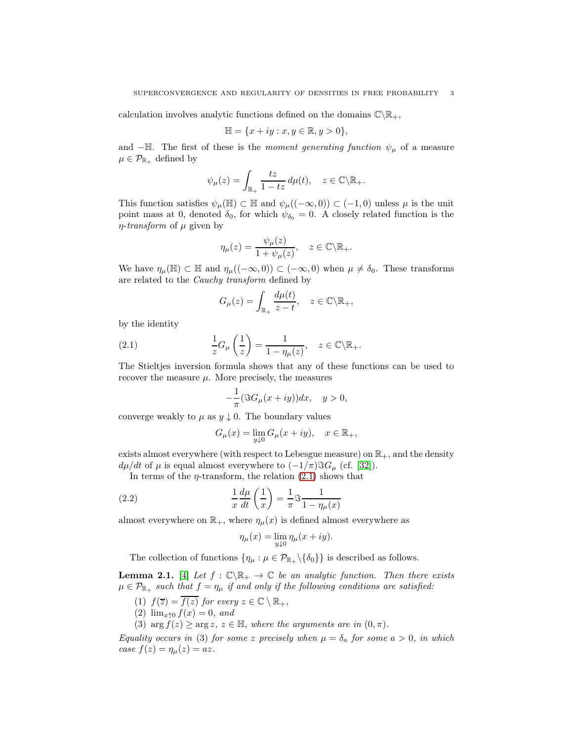calculation involves analytic functions defined on the domains  $\mathbb{C}\backslash\mathbb{R}_+$ ,

$$
\mathbb{H}=\{x+iy:x,y\in\mathbb{R}, y>0\},
$$

and  $-\mathbb{H}$ . The first of these is the moment generating function  $\psi_{\mu}$  of a measure  $\mu \in \mathcal{P}_{\mathbb{R}_+}$  defined by

$$
\psi_{\mu}(z) = \int_{\mathbb{R}_{+}} \frac{tz}{1 - tz} \, d\mu(t), \quad z \in \mathbb{C} \backslash \mathbb{R}_{+}.
$$

This function satisfies  $\psi_\mu(\mathbb{H}) \subset \mathbb{H}$  and  $\psi_\mu((-\infty,0)) \subset (-1,0)$  unless  $\mu$  is the unit point mass at 0, denoted  $\delta_0$ , for which  $\psi_{\delta_0} = 0$ . A closely related function is the  $\eta$ -transform of  $\mu$  given by

$$
\eta_{\mu}(z) = \frac{\psi_{\mu}(z)}{1 + \psi_{\mu}(z)}, \quad z \in \mathbb{C} \backslash \mathbb{R}_{+}.
$$

We have  $\eta_{\mu}(\mathbb{H}) \subset \mathbb{H}$  and  $\eta_{\mu}((-\infty,0)) \subset (-\infty,0)$  when  $\mu \neq \delta_0$ . These transforms are related to the Cauchy transform defined by

<span id="page-2-0"></span>
$$
G_{\mu}(z) = \int_{\mathbb{R}_{+}} \frac{d\mu(t)}{z - t}, \quad z \in \mathbb{C} \backslash \mathbb{R}_{+},
$$

by the identity

(2.1) 
$$
\frac{1}{z}G_{\mu}\left(\frac{1}{z}\right) = \frac{1}{1 - \eta_{\mu}(z)}, \quad z \in \mathbb{C}\backslash \mathbb{R}_{+}.
$$

The Stieltjes inversion formula shows that any of these functions can be used to recover the measure  $\mu$ . More precisely, the measures

$$
-\frac{1}{\pi}(\Im G_{\mu}(x+iy))dx, \quad y>0,
$$

converge weakly to  $\mu$  as  $y \downarrow 0$ . The boundary values

$$
G_{\mu}(x) = \lim_{y \downarrow 0} G_{\mu}(x + iy), \quad x \in \mathbb{R}_{+},
$$

exists almost everywhere (with respect to Lebesgue measure) on  $\mathbb{R}_+$ , and the density  $d\mu/dt$  of  $\mu$  is equal almost everywhere to  $(-1/\pi)\Im G_\mu$  (cf. [\[32\]](#page-52-6)).

In terms of the  $\eta$ -transform, the relation [\(2.1\)](#page-2-0) shows that

(2.2) 
$$
\frac{1}{x}\frac{d\mu}{dt}\left(\frac{1}{x}\right) = \frac{1}{\pi}\Im\frac{1}{1-\eta_{\mu}(x)}
$$

almost everywhere on  $\mathbb{R}_+$ , where  $\eta_\mu(x)$  is defined almost everywhere as

<span id="page-2-2"></span>
$$
\eta_{\mu}(x) = \lim_{y \downarrow 0} \eta_{\mu}(x + iy).
$$

The collection of functions  $\{\eta_{\mu} : \mu \in \mathcal{P}_{\mathbb{R}_+} \setminus \{\delta_0\}\}\$ is described as follows.

<span id="page-2-1"></span>**Lemma 2.1.** [\[4\]](#page-51-2) Let  $f : \mathbb{C} \backslash \mathbb{R}_+ \to \mathbb{C}$  be an analytic function. Then there exists  $\mu \in \mathcal{P}_{\mathbb{R}_+}$  such that  $f = \eta_\mu$  if and only if the following conditions are satisfied:

- (1)  $f(\overline{z}) = \overline{f(z)}$  for every  $z \in \mathbb{C} \setminus \mathbb{R}_+$ ,
- (2)  $\lim_{x \uparrow 0} f(x) = 0$ , and
- (3)  $\arg f(z) \geq \arg z$ ,  $z \in \mathbb{H}$ , where the arguments are in  $(0, \pi)$ .

Equality occurs in (3) for some z precisely when  $\mu = \delta_a$  for some  $a > 0$ , in which case  $f(z) = \eta_{\mu}(z) = az$ .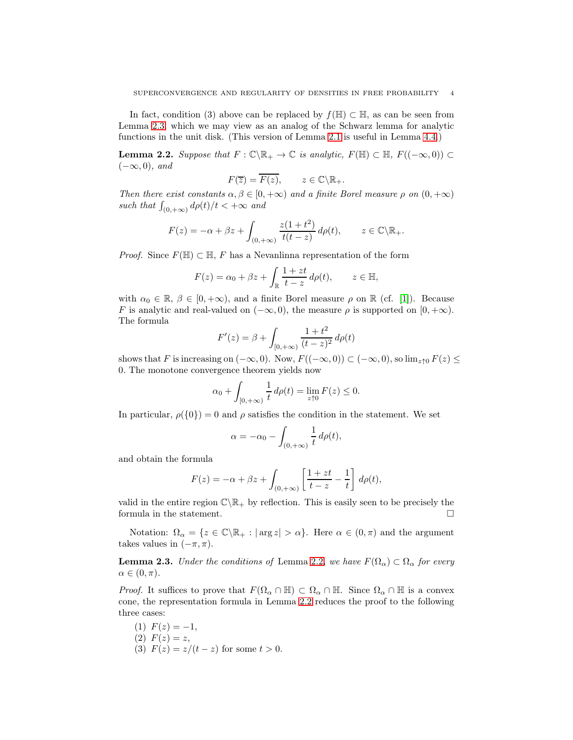In fact, condition (3) above can be replaced by  $f(\mathbb{H}) \subset \mathbb{H}$ , as can be seen from Lemma [2.3,](#page-3-0) which we may view as an analog of the Schwarz lemma for analytic functions in the unit disk. (This version of Lemma [2.1](#page-2-1) is useful in Lemma [4.4.](#page-15-0))

<span id="page-3-1"></span>**Lemma 2.2.** Suppose that  $F : \mathbb{C}\backslash\mathbb{R}_+ \to \mathbb{C}$  is analytic,  $F(\mathbb{H}) \subset \mathbb{H}$ ,  $F((-\infty, 0)) \subset$  $(-\infty, 0)$ , and

$$
F(\overline{z}) = \overline{F(z)}, \qquad z \in \mathbb{C} \backslash \mathbb{R}_+.
$$

Then there exist constants  $\alpha, \beta \in [0, +\infty)$  and a finite Borel measure  $\rho$  on  $(0, +\infty)$ such that  $\int_{(0,+\infty)} d\rho(t)/t < +\infty$  and

$$
F(z) = -\alpha + \beta z + \int_{(0, +\infty)} \frac{z(1+t^2)}{t(t-z)} d\rho(t), \qquad z \in \mathbb{C} \backslash \mathbb{R}_+.
$$

*Proof.* Since  $F(\mathbb{H}) \subset \mathbb{H}$ , F has a Nevanlinna representation of the form

$$
F(z) = \alpha_0 + \beta z + \int_{\mathbb{R}} \frac{1+zt}{t-z} d\rho(t), \qquad z \in \mathbb{H},
$$

with  $\alpha_0 \in \mathbb{R}, \beta \in [0, +\infty)$ , and a finite Borel measure  $\rho$  on  $\mathbb{R}$  (cf. [\[1\]](#page-51-3)). Because F is analytic and real-valued on  $(-\infty, 0)$ , the measure  $\rho$  is supported on  $[0, +\infty)$ . The formula

$$
F'(z) = \beta + \int_{[0, +\infty)} \frac{1+t^2}{(t-z)^2} d\rho(t)
$$

shows that F is increasing on  $(-\infty, 0)$ . Now,  $F((-\infty, 0)) \subset (-\infty, 0)$ , so  $\lim_{z \uparrow 0} F(z) \le$ 0. The monotone convergence theorem yields now

$$
\alpha_0 + \int_{[0, +\infty)} \frac{1}{t} \, d\rho(t) = \lim_{z \uparrow 0} F(z) \le 0.
$$

In particular,  $\rho({0}) = 0$  and  $\rho$  satisfies the condition in the statement. We set

$$
\alpha = -\alpha_0 - \int_{(0, +\infty)} \frac{1}{t} d\rho(t),
$$

and obtain the formula

$$
F(z) = -\alpha + \beta z + \int_{(0, +\infty)} \left[ \frac{1+zt}{t-z} - \frac{1}{t} \right] d\rho(t),
$$

valid in the entire region  $\mathbb{C}\setminus\mathbb{R}_+$  by reflection. This is easily seen to be precisely the formula in the statement. formula in the statement.

Notation:  $\Omega_{\alpha} = \{z \in \mathbb{C} \setminus \mathbb{R}_+ : |\arg z| > \alpha\}.$  Here  $\alpha \in (0, \pi)$  and the argument takes values in  $(-\pi, \pi)$ .

<span id="page-3-0"></span>**Lemma 2.3.** Under the conditions of Lemma [2.2](#page-3-1), we have  $F(\Omega_{\alpha}) \subset \Omega_{\alpha}$  for every  $\alpha \in (0, \pi)$ .

*Proof.* It suffices to prove that  $F(\Omega_{\alpha} \cap \mathbb{H}) \subset \Omega_{\alpha} \cap \mathbb{H}$ . Since  $\Omega_{\alpha} \cap \mathbb{H}$  is a convex cone, the representation formula in Lemma [2.2](#page-3-1) reduces the proof to the following three cases:

(1)  $F(z) = -1$ , (2)  $F(z) = z$ , (3)  $F(z) = z/(t - z)$  for some  $t > 0$ .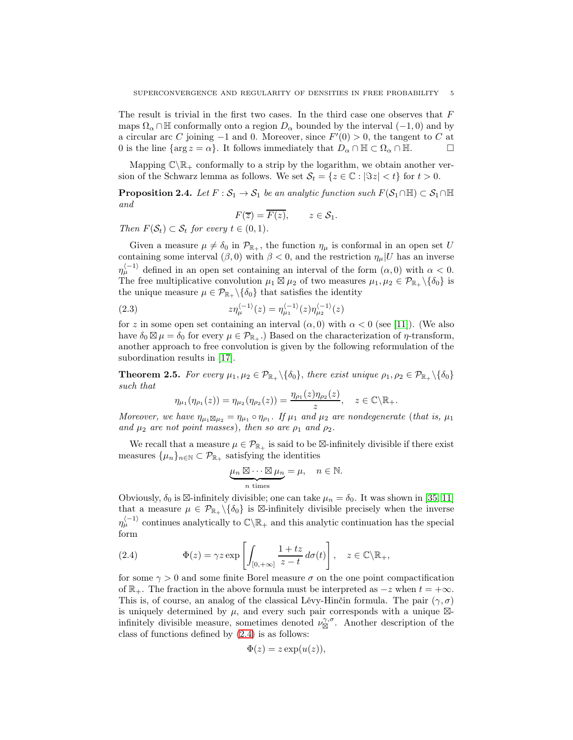The result is trivial in the first two cases. In the third case one observes that  $F$ maps  $\Omega_{\alpha} \cap \mathbb{H}$  conformally onto a region  $D_{\alpha}$  bounded by the interval (-1,0) and by a circular arc C joining  $-1$  and 0. Moreover, since  $F'(0) > 0$ , the tangent to C at 0 is the line {arg  $z = \alpha$ }. It follows immediately that  $D_{\alpha} \cap \mathbb{H} \subset \Omega_{\alpha} \cap \mathbb{H}$ .

Mapping  $\mathbb{C}\backslash\mathbb{R}_+$  conformally to a strip by the logarithm, we obtain another version of the Schwarz lemma as follows. We set  $\mathcal{S}_t = \{z \in \mathbb{C} : |\Im z| < t\}$  for  $t > 0$ .

**Proposition 2.4.** Let  $F : \mathcal{S}_1 \to \mathcal{S}_1$  be an analytic function such  $F(\mathcal{S}_1 \cap \mathbb{H}) \subset \mathcal{S}_1 \cap \mathbb{H}$ and

<span id="page-4-2"></span>
$$
F(\overline{z}) = \overline{F(z)}, \qquad z \in \mathcal{S}_1.
$$

Then  $F(\mathcal{S}_t) \subset \mathcal{S}_t$  for every  $t \in (0,1)$ .

Given a measure  $\mu \neq \delta_0$  in  $\mathcal{P}_{\mathbb{R}_+}$ , the function  $\eta_\mu$  is conformal in an open set U containing some interval ( $\beta$ , 0) with  $\beta$  < 0, and the restriction  $\eta_{\mu}|U$  has an inverse  $\eta_{\mu}^{\langle -1 \rangle}$  defined in an open set containing an interval of the form  $(\alpha, 0)$  with  $\alpha < 0$ . The free multiplicative convolution  $\mu_1 \boxtimes \mu_2$  of two measures  $\mu_1, \mu_2 \in \mathcal{P}_{\mathbb{R}_+} \setminus {\delta_0}$  is the unique measure  $\mu \in \mathcal{P}_{\mathbb{R}_+} \setminus {\delta_0}$  that satisfies the identity

(2.3) 
$$
z\eta_{\mu}^{\langle -1 \rangle}(z) = \eta_{\mu_1}^{\langle -1 \rangle}(z)\eta_{\mu_2}^{\langle -1 \rangle}(z)
$$

for z in some open set containing an interval  $(\alpha, 0)$  with  $\alpha < 0$  (see [\[11\]](#page-52-7)). (We also have  $\delta_0 \boxtimes \mu = \delta_0$  for every  $\mu \in \mathcal{P}_{\mathbb{R}_+}$ .) Based on the characterization of  $\eta$ -transform, another approach to free convolution is given by the following reformulation of the subordination results in [17].

<span id="page-4-1"></span>**Theorem 2.5.** For every  $\mu_1, \mu_2 \in \mathcal{P}_{\mathbb{R}_+} \setminus {\delta_0}$ , there exist unique  $\rho_1, \rho_2 \in \mathcal{P}_{\mathbb{R}_+} \setminus {\delta_0}$ such that

$$
\eta_{\mu_1}(\eta_{\rho_1}(z)) = \eta_{\mu_2}(\eta_{\rho_2}(z)) = \frac{\eta_{\rho_1}(z)\eta_{\rho_2}(z)}{z}, \quad z \in \mathbb{C}\backslash \mathbb{R}_+.
$$

Moreover, we have  $\eta_{\mu_1\boxtimes\mu_2} = \eta_{\mu_1} \circ \eta_{\rho_1}$ . If  $\mu_1$  and  $\mu_2$  are nondegenerate (that is,  $\mu_1$ ) and  $\mu_2$  are not point masses), then so are  $\rho_1$  and  $\rho_2$ .

We recall that a measure  $\mu \in \mathcal{P}_{\mathbb{R}_+}$  is said to be  $\boxtimes$ -infinitely divisible if there exist measures  $\{\mu_n\}_{n\in\mathbb{N}}\subset\mathcal{P}_{\mathbb{R}_+}$  satisfying the identities

$$
\underbrace{\mu_n \boxtimes \cdots \boxtimes \mu_n}_{n \text{ times}} = \mu, \quad n \in \mathbb{N}.
$$

Obviously,  $\delta_0$  is  $\boxtimes$ -infinitely divisible; one can take  $\mu_n = \delta_0$ . It was shown in [\[35,](#page-53-2) [11\]](#page-52-7) that a measure  $\mu \in \mathcal{P}_{\mathbb{R}_+} \setminus \{\delta_0\}$  is  $\boxtimes$ -infinitely divisible precisely when the inverse  $\eta_{\mu}^{(-1)}$  continues analytically to  $\mathbb{C}\backslash\mathbb{R}_+$  and this analytic continuation has the special form

<span id="page-4-0"></span>(2.4) 
$$
\Phi(z) = \gamma z \exp \left[ \int_{[0, +\infty]} \frac{1 + tz}{z - t} d\sigma(t) \right], \quad z \in \mathbb{C} \backslash \mathbb{R}_+,
$$

for some  $\gamma > 0$  and some finite Borel measure  $\sigma$  on the one point compactification of  $\mathbb{R}_+$ . The fraction in the above formula must be interpreted as  $-z$  when  $t = +\infty$ . This is, of course, an analog of the classical Lévy-Hinčin formula. The pair  $(\gamma, \sigma)$ is uniquely determined by  $\mu$ , and every such pair corresponds with a unique  $\boxtimes$ infinitely divisible measure, sometimes denoted  $\nu_{\mathbb{N}}^{\gamma,\sigma}$ . Another description of the class of functions defined by [\(2.4\)](#page-4-0) is as follows:

$$
\Phi(z) = z \exp(u(z)),
$$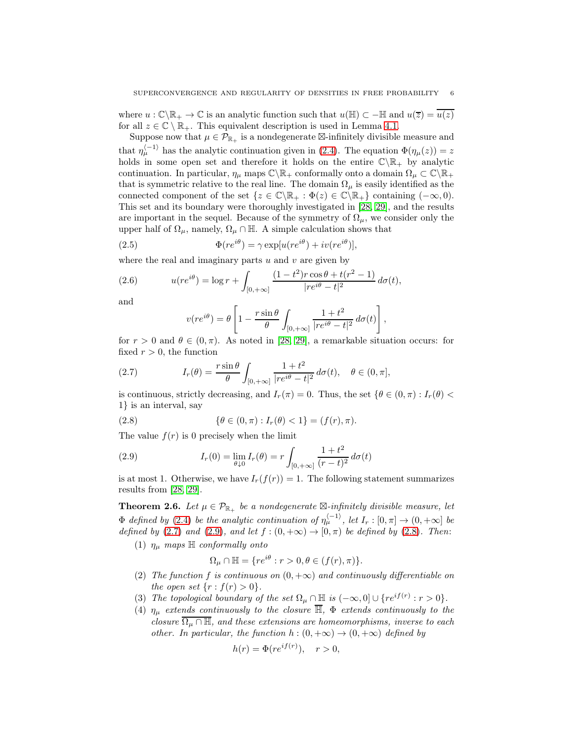where  $u : \mathbb{C}\setminus\mathbb{R}_+ \to \mathbb{C}$  is an analytic function such that  $u(\mathbb{H}) \subset -\mathbb{H}$  and  $u(\overline{z}) = u(z)$ for all  $z \in \mathbb{C} \setminus \mathbb{R}_+$ . This equivalent description is used in Lemma [4.1.](#page-12-0)

Suppose now that  $\mu \in \mathcal{P}_{\mathbb{R}_+}$  is a nondegenerate  $\boxtimes$ -infinitely divisible measure and that  $\eta_{\mu}^{(-1)}$  has the analytic continuation given in [\(2.4\)](#page-4-0). The equation  $\Phi(\eta_{\mu}(z)) = z$ holds in some open set and therefore it holds on the entire  $\mathbb{C}\backslash\mathbb{R}_+$  by analytic continuation. In particular,  $\eta_\mu$  maps  $\mathbb{C}\backslash\mathbb{R}_+$  conformally onto a domain  $\Omega_\mu\subset\mathbb{C}\backslash\mathbb{R}_+$ that is symmetric relative to the real line. The domain  $\Omega_{\mu}$  is easily identified as the connected component of the set  $\{z \in \mathbb{C} \setminus \mathbb{R}_+ : \Phi(z) \in \mathbb{C} \setminus \mathbb{R}_+\}$  containing  $(-\infty, 0)$ . This set and its boundary were thoroughly investigated in [\[28,](#page-52-8) [29\]](#page-52-9), and the results are important in the sequel. Because of the symmetry of  $\Omega_{\mu}$ , we consider only the upper half of  $\Omega_{\mu}$ , namely,  $\Omega_{\mu} \cap \mathbb{H}$ . A simple calculation shows that

(2.5) 
$$
\Phi(re^{i\theta}) = \gamma \exp[u(re^{i\theta}) + iv(re^{i\theta})],
$$

where the real and imaginary parts  $u$  and  $v$  are given by

(2.6) 
$$
u(re^{i\theta}) = \log r + \int_{[0,+\infty]} \frac{(1-t^2)r\cos\theta + t(r^2-1)}{|re^{i\theta}-t|^2} d\sigma(t),
$$

and

<span id="page-5-5"></span><span id="page-5-4"></span><span id="page-5-0"></span>
$$
v(re^{i\theta}) = \theta \left[ 1 - \frac{r \sin \theta}{\theta} \int_{[0, +\infty]} \frac{1+t^2}{|re^{i\theta} - t|^2} d\sigma(t) \right],
$$

for  $r > 0$  and  $\theta \in (0, \pi)$ . As noted in [\[28,](#page-52-8) [29\]](#page-52-9), a remarkable situation occurs: for fixed  $r > 0$ , the function

(2.7) 
$$
I_r(\theta) = \frac{r \sin \theta}{\theta} \int_{[0,+\infty]} \frac{1+t^2}{|re^{i\theta}-t|^2} d\sigma(t), \quad \theta \in (0,\pi],
$$

is continuous, strictly decreasing, and  $I_r(\pi) = 0$ . Thus, the set  $\{\theta \in (0, \pi) : I_r(\theta) <$ 1} is an interval, say

<span id="page-5-2"></span>(2.8) 
$$
\{\theta \in (0, \pi) : I_r(\theta) < 1\} = (f(r), \pi).
$$

The value  $f(r)$  is 0 precisely when the limit

<span id="page-5-1"></span>(2.9) 
$$
I_r(0) = \lim_{\theta \downarrow 0} I_r(\theta) = r \int_{[0, +\infty]} \frac{1+t^2}{(r-t)^2} d\sigma(t)
$$

is at most 1. Otherwise, we have  $I_r(f(r)) = 1$ . The following statement summarizes results from [\[28,](#page-52-8) [29\]](#page-52-9).

<span id="page-5-3"></span>**Theorem 2.6.** Let  $\mu \in \mathcal{P}_{\mathbb{R}_+}$  be a nondegenerate  $\mathbb{Z}\text{-}\infinitely divisible measure, let$  $\Phi$  defined by [\(2.4\)](#page-4-0) be the analytic continuation of  $\eta_{\mu}^{(-1)}$ , let  $I_r : [0, \pi] \to (0, +\infty]$  be defined by [\(2.7\)](#page-5-0) and [\(2.9\)](#page-5-1), and let  $f:(0, +\infty) \to [0, \pi)$  be defined by [\(2.8\)](#page-5-2). Then:

(1)  $\eta_{\mu}$  maps  $\mathbb{H}$  conformally onto

$$
\Omega_{\mu} \cap \mathbb{H} = \{ re^{i\theta} : r > 0, \theta \in (f(r), \pi) \}.
$$

- (2) The function f is continuous on  $(0, +\infty)$  and continuously differentiable on the open set  $\{r: f(r) > 0\}.$
- (3) The topological boundary of the set  $\Omega_{\mu} \cap \mathbb{H}$  is  $(-\infty, 0] \cup \{re^{if(r)} : r > 0\}.$
- (4)  $\eta_{\mu}$  extends continuously to the closure  $\overline{\mathbb{H}}$ ,  $\Phi$  extends continuously to the closure  $\overline{\Omega_{\mu} \cap \mathbb{H}}$ , and these extensions are homeomorphisms, inverse to each other. In particular, the function  $h:(0,+\infty) \to (0,+\infty)$  defined by

$$
h(r) = \Phi(re^{if(r)}), \quad r > 0,
$$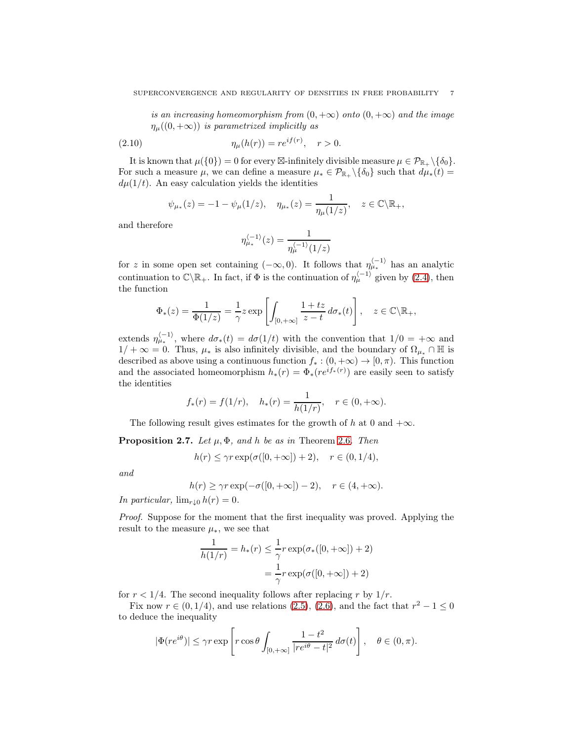is an increasing homeomorphism from  $(0, +\infty)$  onto  $(0, +\infty)$  and the image  $\eta_{\mu}((0, +\infty))$  is parametrized implicitly as

(2.10) 
$$
\eta_{\mu}(h(r)) = re^{if(r)}, \quad r > 0.
$$

It is known that  $\mu({0}) = 0$  for every  $\boxtimes$ -infinitely divisible measure  $\mu \in \mathcal{P}_{\mathbb{R}_+} \setminus {\delta_0}.$ For such a measure  $\mu$ , we can define a measure  $\mu_* \in \mathcal{P}_{\mathbb{R}_+} \setminus {\delta_0}$  such that  $d\mu_*(t) =$  $d\mu(1/t)$ . An easy calculation yields the identities

<span id="page-6-1"></span>
$$
\psi_{\mu_*}(z) = -1 - \psi_{\mu}(1/z), \quad \eta_{\mu_*}(z) = \frac{1}{\eta_{\mu}(1/z)}, \quad z \in \mathbb{C} \backslash \mathbb{R}_+,
$$

and therefore

$$
\eta_{\mu_*}^{\langle -1 \rangle}(z) = \frac{1}{\eta_{\mu}^{\langle -1 \rangle}(1/z)}
$$

for z in some open set containing  $(-\infty,0)$ . It follows that  $\eta_{\mu_{*}}^{(-1)}$  has an analytic continuation to  $\mathbb{C}\backslash\mathbb{R}_+$ . In fact, if  $\Phi$  is the continuation of  $\eta_{\mu}^{(-1)}$  given by [\(2.4\)](#page-4-0), then the function

$$
\Phi_*(z) = \frac{1}{\Phi(1/z)} = \frac{1}{\gamma} z \exp\left[\int_{[0,+\infty]} \frac{1+tz}{z-t} \, d\sigma_*(t)\right], \quad z \in \mathbb{C}\backslash \mathbb{R}_+,
$$

extends  $\eta_{\mu_*}^{(-1)}$ , where  $d\sigma_*(t) = d\sigma(1/t)$  with the convention that  $1/0 = +\infty$  and  $1/ + \infty = 0$ . Thus,  $\mu_*$  is also infinitely divisible, and the boundary of  $\Omega_{\mu_*} \cap \mathbb{H}$  is described as above using a continuous function  $f_* : (0, +\infty) \to [0, \pi)$ . This function and the associated homeomorphism  $h_*(r) = \Phi_*(re^{if_*(r)})$  are easily seen to satisfy the identities

$$
f_*(r) = f(1/r), \quad h_*(r) = \frac{1}{h(1/r)}, \quad r \in (0, +\infty).
$$

The following result gives estimates for the growth of h at 0 and  $+\infty$ .

<span id="page-6-0"></span>**Proposition 2.7.** Let  $\mu$ ,  $\Phi$ , and h be as in Theorem [2.6](#page-5-3). Then

$$
h(r) \le \gamma r \exp(\sigma([0, +\infty]) + 2), \quad r \in (0, 1/4),
$$

and

$$
h(r) \ge \gamma r \exp(-\sigma([0, +\infty]) - 2), \quad r \in (4, +\infty).
$$

In particular,  $\lim_{r\downarrow 0} h(r) = 0$ .

Proof. Suppose for the moment that the first inequality was proved. Applying the result to the measure  $\mu_*$ , we see that

$$
\frac{1}{h(1/r)} = h_*(r) \le \frac{1}{\gamma} r \exp(\sigma_*([0, +\infty]) + 2)
$$

$$
= \frac{1}{\gamma} r \exp(\sigma([0, +\infty]) + 2)
$$

for  $r < 1/4$ . The second inequality follows after replacing r by  $1/r$ .

Fix now  $r \in (0, 1/4)$ , and use relations [\(2.5\)](#page-5-4), [\(2.6\)](#page-5-5), and the fact that  $r^2 - 1 \le 0$ to deduce the inequality

$$
|\Phi(re^{i\theta})| \le \gamma r \exp\left[r \cos \theta \int_{[0,+\infty]} \frac{1-t^2}{|re^{i\theta}-t|^2} d\sigma(t)\right], \quad \theta \in (0,\pi).
$$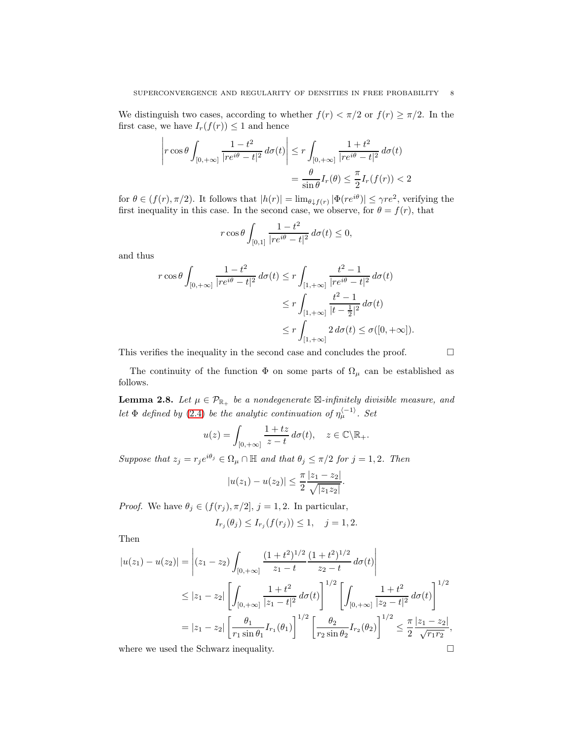We distinguish two cases, according to whether  $f(r) < \pi/2$  or  $f(r) \geq \pi/2$ . In the first case, we have  $I_r(f(r))\leq 1$  and hence

$$
\left| r \cos \theta \int_{[0, +\infty]} \frac{1 - t^2}{|re^{i\theta} - t|^2} d\sigma(t) \right| \le r \int_{[0, +\infty]} \frac{1 + t^2}{|re^{i\theta} - t|^2} d\sigma(t)
$$

$$
= \frac{\theta}{\sin \theta} I_r(\theta) \le \frac{\pi}{2} I_r(f(r)) < 2
$$

for  $\theta \in (f(r), \pi/2)$ . It follows that  $|h(r)| = \lim_{\theta \downarrow f(r)} |\Phi(re^{i\theta})| \leq \gamma re^2$ , verifying the first inequality in this case. In the second case, we observe, for  $\theta = f(r)$ , that

$$
r\cos\theta \int_{[0,1]} \frac{1-t^2}{|re^{i\theta}-t|^2} d\sigma(t) \le 0,
$$

and thus

$$
r \cos \theta \int_{[0,+\infty]} \frac{1-t^2}{|re^{i\theta}-t|^2} d\sigma(t) \le r \int_{[1,+\infty]} \frac{t^2-1}{|re^{i\theta}-t|^2} d\sigma(t)
$$
  

$$
\le r \int_{[1,+\infty]} \frac{t^2-1}{|t-\frac{1}{2}|^2} d\sigma(t)
$$
  

$$
\le r \int_{[1,+\infty]} 2 d\sigma(t) \le \sigma([0,+\infty]).
$$

This verifies the inequality in the second case and concludes the proof.  $\Box$ 

The continuity of the function  $\Phi$  on some parts of  $\Omega_{\mu}$  can be established as follows.

<span id="page-7-0"></span>**Lemma 2.8.** Let  $\mu \in \mathcal{P}_{\mathbb{R}_+}$  be a nondegenerate  $\boxtimes$ -infinitely divisible measure, and let  $\Phi$  defined by [\(2.4\)](#page-4-0) be the analytic continuation of  $\eta_{\mu}^{\langle -1 \rangle}$ . Set

$$
u(z) = \int_{[0,+\infty]} \frac{1+tz}{z-t} \, d\sigma(t), \quad z \in \mathbb{C} \backslash \mathbb{R}_+.
$$

Suppose that  $z_j = r_j e^{i\theta_j} \in \Omega_\mu \cap \mathbb{H}$  and that  $\theta_j \leq \pi/2$  for  $j = 1, 2$ . Then

$$
|u(z_1) - u(z_2)| \leq \frac{\pi}{2} \frac{|z_1 - z_2|}{\sqrt{|z_1 z_2|}}.
$$

*Proof.* We have  $\theta_j \in (f(r_j), \pi/2], j = 1, 2$ . In particular,

$$
I_{r_j}(\theta_j) \le I_{r_j}(f(r_j)) \le 1, \quad j = 1, 2.
$$

Then

$$
|u(z_1) - u(z_2)| = \left| (z_1 - z_2) \int_{[0, +\infty]} \frac{(1+t^2)^{1/2}}{z_1 - t} \frac{(1+t^2)^{1/2}}{z_2 - t} d\sigma(t) \right|
$$
  
\n
$$
\leq |z_1 - z_2| \left[ \int_{[0, +\infty]} \frac{1+t^2}{|z_1 - t|^2} d\sigma(t) \right]^{1/2} \left[ \int_{[0, +\infty]} \frac{1+t^2}{|z_2 - t|^2} d\sigma(t) \right]^{1/2}
$$
  
\n
$$
= |z_1 - z_2| \left[ \frac{\theta_1}{r_1 \sin \theta_1} I_{r_1}(\theta_1) \right]^{1/2} \left[ \frac{\theta_2}{r_2 \sin \theta_2} I_{r_2}(\theta_2) \right]^{1/2} \leq \frac{\pi}{2} \frac{|z_1 - z_2|}{\sqrt{r_1 r_2}},
$$

where we used the Schwarz inequality.  $\hfill \square$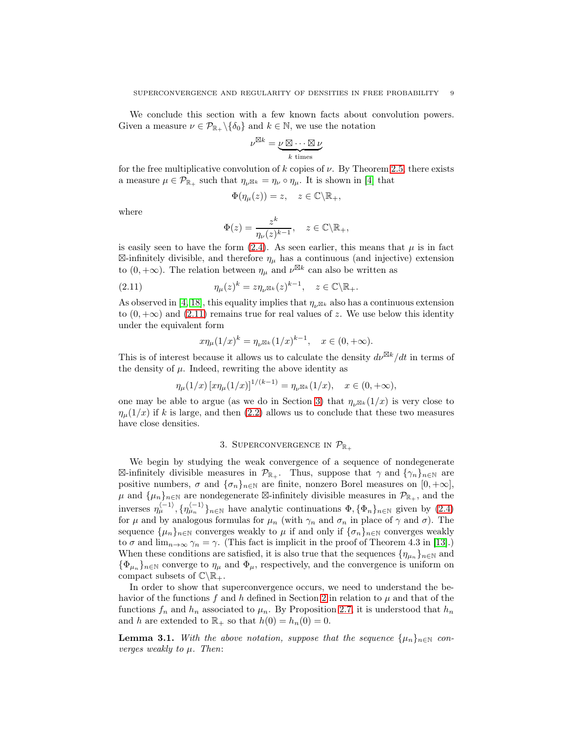We conclude this section with a few known facts about convolution powers. Given a measure  $\nu \in \mathcal{P}_{\mathbb{R}_+} \setminus \{\delta_0\}$  and  $k \in \mathbb{N}$ , we use the notation

$$
\nu^{\boxtimes k} = \underbrace{\nu \boxtimes \cdots \boxtimes \nu}_{k \text{ times}}
$$

for the free multiplicative convolution of k copies of  $\nu$ . By Theorem [2.5,](#page-4-1) there exists a measure  $\mu \in \mathcal{P}_{\mathbb{R}_+}$  such that  $\eta_{\nu} \boxtimes_k = \eta_{\nu} \circ \eta_{\mu}$ . It is shown in [\[4\]](#page-51-2) that

$$
\Phi(\eta_{\mu}(z)) = z, \quad z \in \mathbb{C} \backslash \mathbb{R}_{+},
$$

where

$$
\Phi(z) = \frac{z^k}{\eta_\nu(z)^{k-1}}, \quad z \in \mathbb{C} \backslash \mathbb{R}_+,
$$

is easily seen to have the form  $(2.4)$ . As seen earlier, this means that  $\mu$  is in fact  $\boxtimes$ -infinitely divisible, and therefore  $\eta_{\mu}$  has a continuous (and injective) extension to  $(0, +\infty)$ . The relation between  $\eta_{\mu}$  and  $\nu^{\boxtimes k}$  can also be written as

(2.11) 
$$
\eta_{\mu}(z)^k = z \eta_{\nu} \mathbb{E}_k(z)^{k-1}, \quad z \in \mathbb{C} \backslash \mathbb{R}_+.
$$

As observed in [\[4,](#page-51-2) [18\]](#page-52-10), this equality implies that  $\eta_{\nu}$ <sub>⊠k</sub> also has a continuous extension to  $(0, +\infty)$  and  $(2.11)$  remains true for real values of z. We use below this identity under the equivalent form

<span id="page-8-1"></span>
$$
x\eta_{\mu}(1/x)^{k} = \eta_{\nu} \boxtimes_k (1/x)^{k-1}, \quad x \in (0, +\infty).
$$

This is of interest because it allows us to calculate the density  $d\nu^{\boxtimes k}/dt$  in terms of the density of  $\mu$ . Indeed, rewriting the above identity as

$$
\eta_{\mu}(1/x) \left[ x \eta_{\mu}(1/x) \right]^{1/(k-1)} = \eta_{\nu} \boxtimes_k (1/x), \quad x \in (0, +\infty),
$$

one may be able to argue (as we do in Section [3\)](#page-8-0) that  $\eta_{\nu\boxtimes k}(1/x)$  is very close to  $\eta_{\mu}(1/x)$  if k is large, and then [\(2.2\)](#page-2-2) allows us to conclude that these two measures have close densities.

### 3. SUPERCONVERGENCE IN  $\mathcal{P}_{\mathbb{R}_+}$

<span id="page-8-0"></span>We begin by studying the weak convergence of a sequence of nondegenerate  $\boxtimes$ -infinitely divisible measures in  $\mathcal{P}_{\mathbb{R}_+}$ . Thus, suppose that  $\gamma$  and  $\{\gamma_n\}_{n\in\mathbb{N}}$  are positive numbers,  $\sigma$  and  $\{\sigma_n\}_{n\in\mathbb{N}}$  are finite, nonzero Borel measures on  $[0, +\infty]$ ,  $\mu$  and  $\{\mu_n\}_{n\in\mathbb{N}}$  are nondegenerate  $\boxtimes$ -infinitely divisible measures in  $\mathcal{P}_{\mathbb{R}_+}$ , and the inverses  $\eta_{\mu}^{(-1)}$ ,  $\{\eta_{\mu_n}^{(-1)}\}_{n\in\mathbb{N}}$  have analytic continuations  $\Phi$ ,  $\{\Phi_n\}_{n\in\mathbb{N}}$  given by  $(2.4)$ for  $\mu$  and by analogous formulas for  $\mu_n$  (with  $\gamma_n$  and  $\sigma_n$  in place of  $\gamma$  and  $\sigma$ ). The sequence  $\{\mu_n\}_{n\in\mathbb{N}}$  converges weakly to  $\mu$  if and only if  $\{\sigma_n\}_{n\in\mathbb{N}}$  converges weakly to  $\sigma$  and  $\lim_{n\to\infty}\gamma_n=\gamma$ . (This fact is implicit in the proof of Theorem 4.3 in [\[13\]](#page-52-11).) When these conditions are satisfied, it is also true that the sequences  $\{\eta_{\mu_n}\}_{n\in\mathbb{N}}$  and  ${\{\Phi_{\mu_n}\}}_{n\in\mathbb{N}}$  converge to  $\eta_\mu$  and  ${\Phi_\mu}$ , respectively, and the convergence is uniform on compact subsets of  $\mathbb{C}\backslash\mathbb{R}_+$ .

In order to show that superconvergence occurs, we need to understand the be-havior of the functions f and h defined in Section [2](#page-1-0) in relation to  $\mu$  and that of the functions  $f_n$  and  $h_n$  associated to  $\mu_n$ . By Proposition [2.7,](#page-6-0) it is understood that  $h_n$ and h are extended to  $\mathbb{R}_+$  so that  $h(0) = h_n(0) = 0$ .

<span id="page-8-2"></span>**Lemma 3.1.** With the above notation, suppose that the sequence  $\{\mu_n\}_{n\in\mathbb{N}}$  converges weakly to  $\mu$ . Then: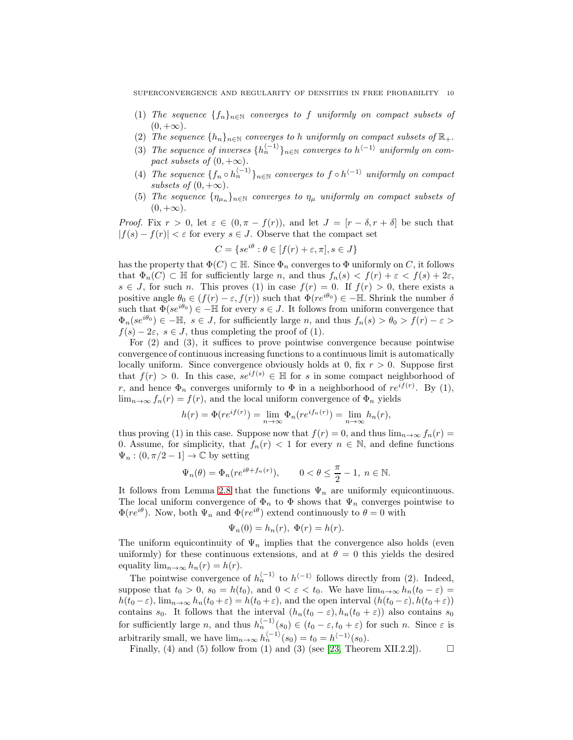- (1) The sequence  ${f_n}_{n\in\mathbb{N}}$  converges to f uniformly on compact subsets of  $(0, +\infty).$
- (2) The sequence  $\{h_n\}_{n\in\mathbb{N}}$  converges to h uniformly on compact subsets of  $\mathbb{R}_+$ .
- (3) The sequence of inverses  $\{h_n^{\langle -1\rangle}\}_{n\in\mathbb{N}}$  converges to  $h^{\langle -1\rangle}$  uniformly on compact subsets of  $(0, +\infty)$ .
- (4) The sequence  $\{f_n \circ h_n^{\langle -1\rangle}\}_{n\in\mathbb{N}}$  converges to  $f \circ h^{\langle -1\rangle}$  uniformly on compact subsets of  $(0, +\infty)$ .
- (5) The sequence  $\{\eta_{\mu_n}\}_{n\in\mathbb{N}}$  converges to  $\eta_{\mu}$  uniformly on compact subsets of  $(0, +\infty).$

*Proof.* Fix  $r > 0$ , let  $\varepsilon \in (0, \pi - f(r))$ , and let  $J = [r - \delta, r + \delta]$  be such that  $|f(s) - f(r)| < \varepsilon$  for every  $s \in J$ . Observe that the compact set

$$
C = \{se^{i\theta} : \theta \in [f(r) + \varepsilon, \pi], s \in J\}
$$

has the property that  $\Phi(C) \subset \mathbb{H}$ . Since  $\Phi_n$  converges to  $\Phi$  uniformly on C, it follows that  $\Phi_n(C) \subset \mathbb{H}$  for sufficiently large n, and thus  $f_n(s) < f(r) + \varepsilon < f(s) + 2\varepsilon$ ,  $s \in J$ , for such n. This proves (1) in case  $f(r) = 0$ . If  $f(r) > 0$ , there exists a positive angle  $\theta_0 \in (f(r) - \varepsilon, f(r))$  such that  $\Phi(re^{i\theta_0}) \in -\mathbb{H}$ . Shrink the number  $\delta$ such that  $\Phi(se^{i\theta_0}) \in -\mathbb{H}$  for every  $s \in J$ . It follows from uniform convergence that  $\Phi_n(se^{i\theta_0}) \in -\mathbb{H}, s \in J$ , for sufficiently large n, and thus  $f_n(s) > \theta_0 > f(r) - \varepsilon >$  $f(s) - 2\varepsilon$ ,  $s \in J$ , thus completing the proof of (1).

For (2) and (3), it suffices to prove pointwise convergence because pointwise convergence of continuous increasing functions to a continuous limit is automatically locally uniform. Since convergence obviously holds at 0, fix  $r > 0$ . Suppose first that  $f(r) > 0$ . In this case,  $se^{if(s)} \in \mathbb{H}$  for s in some compact neighborhood of r, and hence  $\Phi_n$  converges uniformly to  $\Phi$  in a neighborhood of  $re^{if(r)}$ . By (1),  $\lim_{n\to\infty} f_n(r) = f(r)$ , and the local uniform convergence of  $\Phi_n$  yields

$$
h(r) = \Phi(re^{if(r)}) = \lim_{n \to \infty} \Phi_n(re^{if_n(r)}) = \lim_{n \to \infty} h_n(r),
$$

thus proving (1) in this case. Suppose now that  $f(r) = 0$ , and thus  $\lim_{n\to\infty} f_n(r) =$ 0. Assume, for simplicity, that  $f_n(r) < 1$  for every  $n \in \mathbb{N}$ , and define functions  $\Psi_n : (0, \pi/2 - 1] \to \mathbb{C}$  by setting

$$
\Psi_n(\theta) = \Phi_n(re^{i\theta + f_n(r)}), \qquad 0 < \theta \le \frac{\pi}{2} - 1, \ n \in \mathbb{N}.
$$

It follows from Lemma [2.8](#page-7-0) that the functions  $\Psi_n$  are uniformly equicontinuous. The local uniform convergence of  $\Phi_n$  to  $\Phi$  shows that  $\Psi_n$  converges pointwise to  $\Phi(re^{i\theta})$ . Now, both  $\Psi_n$  and  $\Phi(re^{i\theta})$  extend continuously to  $\theta = 0$  with

$$
\Psi_n(0) = h_n(r), \ \Phi(r) = h(r).
$$

The uniform equicontinuity of  $\Psi_n$  implies that the convergence also holds (even uniformly) for these continuous extensions, and at  $\theta = 0$  this yields the desired equality  $\lim_{n\to\infty} h_n(r) = h(r)$ .

The pointwise convergence of  $h_n^{\langle -1 \rangle}$  to  $h^{\langle -1 \rangle}$  follows directly from (2). Indeed, suppose that  $t_0 > 0$ ,  $s_0 = h(t_0)$ , and  $0 < \varepsilon < t_0$ . We have  $\lim_{n\to\infty} h_n(t_0 - \varepsilon) =$  $h(t_0 - \varepsilon)$ ,  $\lim_{n \to \infty} h_n(t_0 + \varepsilon) = h(t_0 + \varepsilon)$ , and the open interval  $(h(t_0 - \varepsilon), h(t_0 + \varepsilon))$ contains s<sub>0</sub>. It follows that the interval  $(h_n(t_0 - \varepsilon), h_n(t_0 + \varepsilon))$  also contains s<sub>0</sub> for sufficiently large n, and thus  $h_n^{(-1)}(s_0) \in (t_0 - \varepsilon, t_0 + \varepsilon)$  for such n. Since  $\varepsilon$  is arbitrarily small, we have  $\lim_{n\to\infty} h_n^{\langle -1 \rangle}(s_0) = t_0 = h^{\langle -1 \rangle}(s_0)$ .

Finally, (4) and (5) follow from (1) and (3) (see [\[23,](#page-52-12) Theorem XII.2.2]).  $\Box$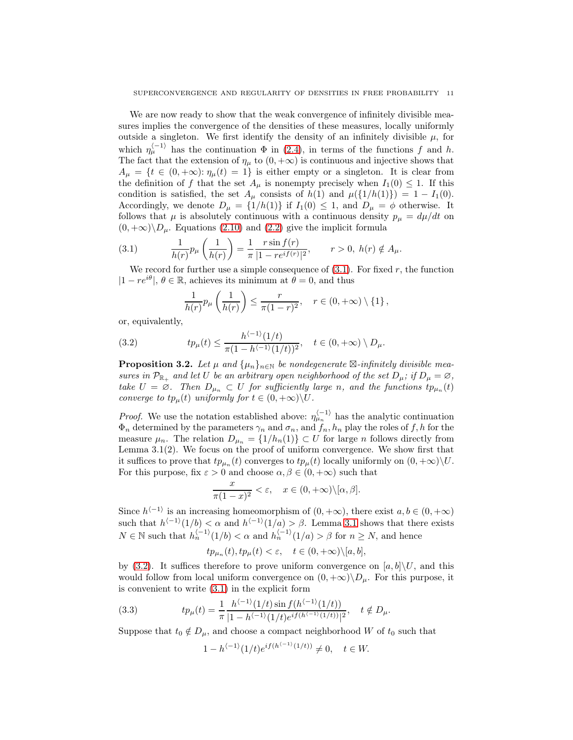We are now ready to show that the weak convergence of infinitely divisible measures implies the convergence of the densities of these measures, locally uniformly outside a singleton. We first identify the density of an infinitely divisible  $\mu$ , for which  $\eta_{\mu}^{(-1)}$  has the continuation  $\Phi$  in [\(2.4\)](#page-4-0), in terms of the functions f and h. The fact that the extension of  $\eta_{\mu}$  to  $(0, +\infty)$  is continuous and injective shows that  $A_{\mu} = \{t \in (0, +\infty): \eta_{\mu}(t) = 1\}$  is either empty or a singleton. It is clear from the definition of f that the set  $A_\mu$  is nonempty precisely when  $I_1(0) \leq 1$ . If this condition is satisfied, the set  $A_\mu$  consists of  $h(1)$  and  $\mu({1/h(1)})=1-I_1(0)$ . Accordingly, we denote  $D_{\mu} = \{1/h(1)\}\$ if  $I_1(0) \leq 1$ , and  $D_{\mu} = \phi$  otherwise. It follows that  $\mu$  is absolutely continuous with a continuous density  $p_{\mu} = d\mu/dt$  on  $(0, +\infty)\D_{\mu}$ . Equations [\(2.10\)](#page-6-1) and [\(2.2\)](#page-2-2) give the implicit formula

(3.1) 
$$
\frac{1}{h(r)}p_{\mu}\left(\frac{1}{h(r)}\right) = \frac{1}{\pi} \frac{r \sin f(r)}{|1 - re^{if(r)}|^{2}}, \qquad r > 0, \ h(r) \notin A_{\mu}.
$$

We record for further use a simple consequence of  $(3.1)$ . For fixed r, the function  $|1 - re^{i\theta}|$ ,  $\theta \in \mathbb{R}$ , achieves its minimum at  $\theta = 0$ , and thus

<span id="page-10-1"></span><span id="page-10-0"></span>
$$
\frac{1}{h(r)}p_{\mu}\left(\frac{1}{h(r)}\right) \leq \frac{r}{\pi(1-r)^2}, \quad r \in (0, +\infty) \setminus \{1\},\
$$

or, equivalently,

(3.2) 
$$
tp_{\mu}(t) \leq \frac{h^{\langle -1 \rangle}(1/t)}{\pi(1 - h^{\langle -1 \rangle}(1/t))^2}, \quad t \in (0, +\infty) \setminus D_{\mu}.
$$

<span id="page-10-3"></span>**Proposition 3.2.** Let  $\mu$  and  $\{\mu_n\}_{n\in\mathbb{N}}$  be nondegenerate  $\boxtimes$ -infinitely divisible measures in  $\mathcal{P}_{\mathbb{R}_+}$  and let U be an arbitrary open neighborhood of the set  $D_\mu$ ; if  $D_\mu = \varnothing$ , take  $U = \emptyset$ . Then  $D_{\mu_n} \subset U$  for sufficiently large n, and the functions  $tp_{\mu_n}(t)$ converge to  $tp_u(t)$  uniformly for  $t \in (0, +\infty) \backslash U$ .

*Proof.* We use the notation established above:  $\eta_{\mu_n}^{(-1)}$  has the analytic continuation  $\Phi_n$  determined by the parameters  $\gamma_n$  and  $\sigma_n$ , and  $f_n$ ,  $h_n$  play the roles of f, h for the measure  $\mu_n$ . The relation  $D_{\mu_n} = \{1/h_n(1)\} \subset U$  for large n follows directly from Lemma  $3.1(2)$ . We focus on the proof of uniform convergence. We show first that it suffices to prove that  $tp_{\mu_n}(t)$  converges to  $tp_{\mu}(t)$  locally uniformly on  $(0, +\infty)\backslash U$ . For this purpose, fix  $\varepsilon > 0$  and choose  $\alpha, \beta \in (0, +\infty)$  such that

$$
\frac{x}{\pi(1-x)^2} < \varepsilon, \quad x \in (0, +\infty) \setminus [\alpha, \beta].
$$

Since  $h^{(-1)}$  is an increasing homeomorphism of  $(0, +\infty)$ , there exist  $a, b \in (0, +\infty)$ such that  $h^{-1}(1/b) < \alpha$  and  $h^{-1}(1/a) > \beta$ . Lemma [3.1](#page-8-2) shows that there exists  $N \in \mathbb{N}$  such that  $h_n^{\langle -1 \rangle}(1/b) < \alpha$  and  $h_n^{\langle -1 \rangle}(1/a) > \beta$  for  $n \ge N$ , and hence

$$
tp_{\mu_n}(t), tp_{\mu}(t) < \varepsilon, \quad t \in (0, +\infty) \setminus [a, b],
$$

by [\(3.2\)](#page-10-1). It suffices therefore to prove uniform convergence on  $[a, b] \setminus U$ , and this would follow from local uniform convergence on  $(0, +\infty)\D_{\mu}$ . For this purpose, it is convenient to write [\(3.1\)](#page-10-0) in the explicit form

(3.3) 
$$
tp_{\mu}(t) = \frac{1}{\pi} \frac{h^{\langle -1 \rangle}(1/t) \sin f(h^{\langle -1 \rangle}(1/t))}{|1 - h^{\langle -1 \rangle}(1/t)e^{if(h^{\langle -1 \rangle}(1/t))}|^2}, \quad t \notin D_{\mu}.
$$

Suppose that  $t_0 \notin D_\mu$ , and choose a compact neighborhood W of  $t_0$  such that

<span id="page-10-2"></span>
$$
1 - h^{\langle -1 \rangle} (1/t) e^{if(h^{\langle -1 \rangle} (1/t))} \neq 0, \quad t \in W.
$$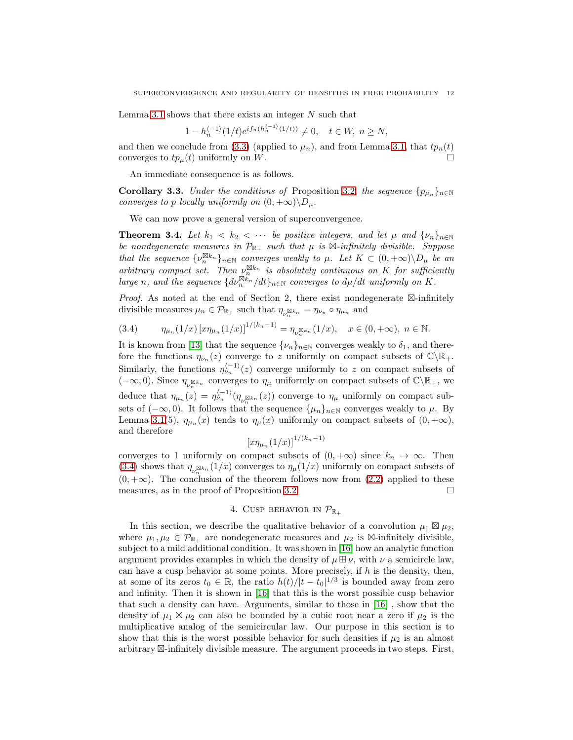Lemma [3.1](#page-8-2) shows that there exists an integer  $N$  such that

$$
1 - h_n^{\langle -1 \rangle} (1/t) e^{i f_n (h_n^{\langle -1 \rangle} (1/t))} \neq 0, \quad t \in W, \ n \ge N,
$$

and then we conclude from [\(3.3\)](#page-10-2) (applied to  $\mu_n$ ), and from Lemma [3.1,](#page-8-2) that  $tp_n(t)$ converges to  $tp_\mu(t)$  uniformly on W.

An immediate consequence is as follows.

**Corollary 3.3.** Under the conditions of Proposition [3.2,](#page-10-3) the sequence  $\{p_{\mu_n}\}_{n\in\mathbb{N}}$ converges to p locally uniformly on  $(0, +\infty)\backslash D_\mu$ .

We can now prove a general version of superconvergence.

**Theorem 3.4.** Let  $k_1 < k_2 < \cdots$  be positive integers, and let  $\mu$  and  $\{\nu_n\}_{n\in\mathbb{N}}$ be nondegenerate measures in  $\mathcal{P}_{\mathbb{R}_+}$  such that  $\mu$  is  $\boxtimes$ -infinitely divisible. Suppose that the sequence  $\{\nu_n^{\boxtimes k_n}\}_{n\in\mathbb{N}}$  converges weakly to  $\mu$ . Let  $K\subset(0,+\infty)\backslash D_\mu$  be an arbitrary compact set. Then  $\nu_n^{\boxtimes k_n}$  is absolutely continuous on K for sufficiently large n, and the sequence  $\{d\nu_n^{\boxtimes k_n}/dt\}_{n\in\mathbb{N}}$  converges to  $d\mu/dt$  uniformly on K.

Proof. As noted at the end of Section 2, there exist nondegenerate ⊠-infinitely divisible measures  $\mu_n \in \mathcal{P}_{\mathbb{R}_+}$  such that  $\eta_{\nu_n^{\boxtimes k_n}} = \eta_{\nu_n} \circ \eta_{\mu_n}$  and

<span id="page-11-1"></span>
$$
(3.4) \qquad \eta_{\mu_n}(1/x) \left[ x \eta_{\mu_n}(1/x) \right]^{1/(k_n - 1)} = \eta_{\nu_n^{\boxtimes k_n}}(1/x), \quad x \in (0, +\infty), \ n \in \mathbb{N}.
$$

It is known from [\[13\]](#page-52-11) that the sequence  $\{\nu_n\}_{n\in\mathbb{N}}$  converges weakly to  $\delta_1$ , and therefore the functions  $\eta_{\nu_n}(z)$  converge to z uniformly on compact subsets of  $\mathbb{C}\backslash\mathbb{R}_+$ . Similarly, the functions  $\eta_{\nu_n}^{(-1)}(z)$  converge uniformly to z on compact subsets of ( $-\infty,0$ ). Since  $\eta_{\nu_n^{\boxtimes k_n}}$  converges to  $\eta_\mu$  uniformly on compact subsets of  $\mathbb{C}\backslash\mathbb{R}_+$ , we deduce that  $\eta_{\mu_n}(z) = \eta_{\nu_n}^{(-1)}(\eta_{\nu_n^{\boxtimes k_n}}(z))$  converge to  $\eta_{\mu}$  uniformly on compact subsets of  $(-\infty, 0)$ . It follows that the sequence  $\{\mu_n\}_{n\in\mathbb{N}}$  converges weakly to  $\mu$ . By Lemma [3.1\(](#page-8-2)5),  $\eta_{\mu_n}(x)$  tends to  $\eta_{\mu}(x)$  uniformly on compact subsets of  $(0, +\infty)$ , and therefore

$$
\left[x\eta_{\mu_n}(1/x)\right]^{1/(k_n-1)}
$$

converges to 1 uniformly on compact subsets of  $(0, +\infty)$  since  $k_n \to \infty$ . Then [\(3.4\)](#page-11-1) shows that  $\eta_{\nu_n^{\boxtimes k_n}}(1/x)$  converges to  $\eta_\mu(1/x)$  uniformly on compact subsets of  $(0, +\infty)$ . The conclusion of the theorem follows now from [\(2.2\)](#page-2-2) applied to these measures, as in the proof of Proposition [3.2.](#page-10-3)  $\Box$ 

# 4. CUSP BEHAVIOR IN  $\mathcal{P}_{\mathbb{R}_+}$

<span id="page-11-0"></span>In this section, we describe the qualitative behavior of a convolution  $\mu_1 \boxtimes \mu_2$ , where  $\mu_1, \mu_2 \in \mathcal{P}_{\mathbb{R}_+}$  are nondegenerate measures and  $\mu_2$  is  $\boxtimes$ -infinitely divisible, subject to a mild additional condition. It was shown in [\[16\]](#page-52-5) how an analytic function argument provides examples in which the density of  $\mu \boxplus \nu$ , with  $\nu$  a semicircle law, can have a cusp behavior at some points. More precisely, if  $h$  is the density, then, at some of its zeros  $t_0 \in \mathbb{R}$ , the ratio  $h(t)/|t-t_0|^{1/3}$  is bounded away from zero and infinity. Then it is shown in [\[16\]](#page-52-5) that this is the worst possible cusp behavior that such a density can have. Arguments, similar to those in [\[16\]](#page-52-5) , show that the density of  $\mu_1 \boxtimes \mu_2$  can also be bounded by a cubic root near a zero if  $\mu_2$  is the multiplicative analog of the semicircular law. Our purpose in this section is to show that this is the worst possible behavior for such densities if  $\mu_2$  is an almost arbitrary ⊠-infinitely divisible measure. The argument proceeds in two steps. First,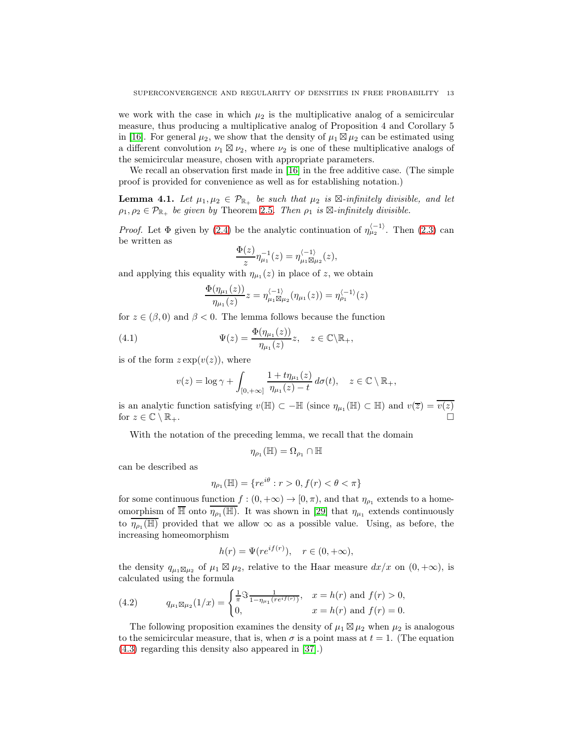we work with the case in which  $\mu_2$  is the multiplicative analog of a semicircular measure, thus producing a multiplicative analog of Proposition 4 and Corollary 5 in [\[16\]](#page-52-5). For general  $\mu_2$ , we show that the density of  $\mu_1 \boxtimes \mu_2$  can be estimated using a different convolution  $\nu_1 \boxtimes \nu_2$ , where  $\nu_2$  is one of these multiplicative analogs of the semicircular measure, chosen with appropriate parameters.

We recall an observation first made in [\[16\]](#page-52-5) in the free additive case. (The simple proof is provided for convenience as well as for establishing notation.)

<span id="page-12-0"></span>**Lemma 4.1.** Let  $\mu_1, \mu_2 \in \mathcal{P}_{\mathbb{R}_+}$  be such that  $\mu_2$  is  $\mathbb{Z}\text{-infinitely divisible, and let}$  $\rho_1, \rho_2 \in \mathcal{P}_{\mathbb{R}_+}$  be given by Theorem [2.5](#page-4-1). Then  $\rho_1$  is  $\boxtimes$ -infinitely divisible.

*Proof.* Let  $\Phi$  given by [\(2.4\)](#page-4-0) be the analytic continuation of  $\eta_{\mu_2}^{(-1)}$ . Then [\(2.3\)](#page-4-2) can be written as

$$
\frac{\Phi(z)}{z} \eta_{\mu_1}^{-1}(z) = \eta_{\mu_1 \boxtimes \mu_2}^{\langle -1 \rangle}(z),
$$

and applying this equality with  $\eta_{\mu_1}(z)$  in place of z, we obtain

<span id="page-12-1"></span>
$$
\frac{\Phi(\eta_{\mu_1}(z))}{\eta_{\mu_1}(z)}z = \eta_{\mu_1 \boxtimes \mu_2}^{\langle -1 \rangle}(\eta_{\mu_1}(z)) = \eta_{\rho_1}^{\langle -1 \rangle}(z)
$$

for  $z \in (\beta, 0)$  and  $\beta < 0$ . The lemma follows because the function

(4.1) 
$$
\Psi(z) = \frac{\Phi(\eta_{\mu_1}(z))}{\eta_{\mu_1}(z)}z, \quad z \in \mathbb{C}\backslash \mathbb{R}_+,
$$

is of the form  $z \exp(v(z))$ , where

$$
v(z) = \log \gamma + \int_{[0, +\infty]} \frac{1 + t \eta_{\mu_1}(z)}{\eta_{\mu_1}(z) - t} d\sigma(t), \quad z \in \mathbb{C} \setminus \mathbb{R}_+,
$$

is an analytic function satisfying  $v(\mathbb{H}) \subset -\mathbb{H}$  (since  $\eta_{\mu_1}(\mathbb{H}) \subset \mathbb{H}$ ) and  $v(\overline{z}) = \overline{v(z)}$ for  $z \in \mathbb{C} \setminus \mathbb{R}_+$ .

With the notation of the preceding lemma, we recall that the domain

$$
\eta_{\rho_1}(\mathbb{H}) = \Omega_{\rho_1} \cap \mathbb{H}
$$

can be described as

$$
\eta_{\rho_1}(\mathbb{H}) = \{ re^{i\theta} : r > 0, f(r) < \theta < \pi \}
$$

for some continuous function  $f : (0, +\infty) \to [0, \pi)$ , and that  $\eta_{\rho_1}$  extends to a homeomorphism of  $\overline{\mathbb{H}}$  onto  $\overline{\eta_{\rho_1}(\mathbb{H})}$ . It was shown in [\[29\]](#page-52-9) that  $\eta_{\mu_1}$  extends continuously to  $\overline{\eta_{\rho_1}(\mathbb{H})}$  provided that we allow  $\infty$  as a possible value. Using, as before, the increasing homeomorphism

$$
h(r) = \Psi(re^{if(r)}), \quad r \in (0, +\infty),
$$

the density  $q_{\mu_1} \boxtimes \mu_2$  of  $\mu_1 \boxtimes \mu_2$ , relative to the Haar measure  $dx/x$  on  $(0, +\infty)$ , is calculated using the formula

<span id="page-12-2"></span>(4.2) 
$$
q_{\mu_1 \boxtimes \mu_2}(1/x) = \begin{cases} \frac{1}{\pi} \Im \frac{1}{1 - \eta_{\mu_1}(re^{if(r)})}, & x = h(r) \text{ and } f(r) > 0, \\ 0, & x = h(r) \text{ and } f(r) = 0. \end{cases}
$$

The following proposition examines the density of  $\mu_1 \boxtimes \mu_2$  when  $\mu_2$  is analogous to the semicircular measure, that is, when  $\sigma$  is a point mass at  $t = 1$ . (The equation [\(4.3\)](#page-13-0) regarding this density also appeared in [\[37\]](#page-53-3).)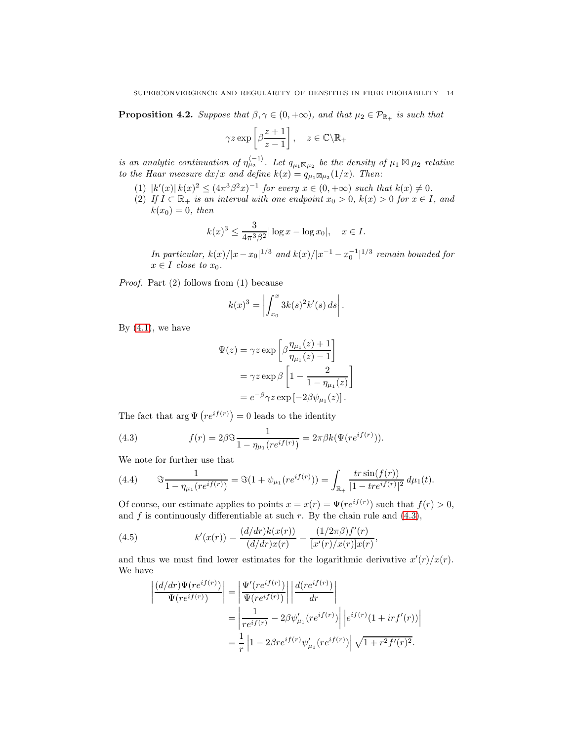<span id="page-13-3"></span>**Proposition 4.2.** Suppose that  $\beta, \gamma \in (0, +\infty)$ , and that  $\mu_2 \in \mathcal{P}_{\mathbb{R}_+}$  is such that

$$
\gamma z \exp\left[\beta \frac{z+1}{z-1}\right], \quad z \in \mathbb{C} \backslash \mathbb{R}_+
$$

is an analytic continuation of  $\eta_{\mu_2}^{\langle -1 \rangle}$ . Let  $q_{\mu_1 \boxtimes \mu_2}$  be the density of  $\mu_1 \boxtimes \mu_2$  relative to the Haar measure  $dx/x$  and define  $k(x) = q_{\mu_1} \boxtimes_{\mu_2} (1/x)$ . Then:

- (1)  $|k'(x)| k(x)^2 \leq (4\pi^3 \beta^2 x)^{-1}$  for every  $x \in (0, +\infty)$  such that  $k(x) \neq 0$ .
- (2) If  $I \subset \mathbb{R}_+$  is an interval with one endpoint  $x_0 > 0$ ,  $k(x) > 0$  for  $x \in I$ , and  $k(x_0) = 0$ , then

$$
k(x)^3 \le \frac{3}{4\pi^3 \beta^2} |\log x - \log x_0|, \quad x \in I.
$$

In particular,  $k(x)/|x-x_0|^{1/3}$  and  $k(x)/|x^{-1}-x_0^{-1}|^{1/3}$  remain bounded for  $x \in I$  close to  $x_0$ .

Proof. Part (2) follows from (1) because

$$
k(x)^3 = \left| \int_{x_0}^x 3k(s)^2 k'(s) ds \right|.
$$

By  $(4.1)$ , we have

$$
\Psi(z) = \gamma z \exp \left[ \beta \frac{\eta_{\mu_1}(z) + 1}{\eta_{\mu_1}(z) - 1} \right]
$$

$$
= \gamma z \exp \beta \left[ 1 - \frac{2}{1 - \eta_{\mu_1}(z)} \right]
$$

$$
= e^{-\beta} \gamma z \exp \left[ -2\beta \psi_{\mu_1}(z) \right].
$$

The fact that  $\arg \Psi (re^{if(r)}) = 0$  leads to the identity

<span id="page-13-0"></span>(4.3) 
$$
f(r) = 2\beta \Im \frac{1}{1 - \eta_{\mu_1}(re^{if(r)})} = 2\pi \beta k (\Psi(re^{if(r)})).
$$

We note for further use that

<span id="page-13-1"></span>(4.4) 
$$
\Im \frac{1}{1 - \eta_{\mu_1}(re^{if(r)})} = \Im (1 + \psi_{\mu_1}(re^{if(r)})) = \int_{\mathbb{R}_+} \frac{tr \sin(f(r))}{|1 - tre^{if(r)}|^2} d\mu_1(t).
$$

Of course, our estimate applies to points  $x = x(r) = \Psi(re^{if(r)})$  such that  $f(r) > 0$ , and f is continuously differentiable at such r. By the chain rule and  $(4.3)$ ,

(4.5) 
$$
k'(x(r)) = \frac{(d/dr)k(x(r))}{(d/dr)x(r)} = \frac{(1/2\pi\beta)f'(r)}{[x'(r)/x(r)]x(r)},
$$

and thus we must find lower estimates for the logarithmic derivative  $x'(r)/x(r)$ . We have

<span id="page-13-2"></span>
$$
\left| \frac{(d/dr)\Psi(re^{if(r)})}{\Psi(re^{if(r)})} \right| = \left| \frac{\Psi'(re^{if(r)})}{\Psi(re^{if(r)})} \right| \left| \frac{d(re^{if(r)})}{dr} \right|
$$

$$
= \left| \frac{1}{re^{if(r)}} - 2\beta \psi'_{\mu_1}(re^{if(r)}) \right| \left| e^{if(r)}(1+irf'(r)) \right|
$$

$$
= \frac{1}{r} \left| 1 - 2\beta re^{if(r)}\psi'_{\mu_1}(re^{if(r)}) \right| \sqrt{1 + r^2 f'(r)^2}.
$$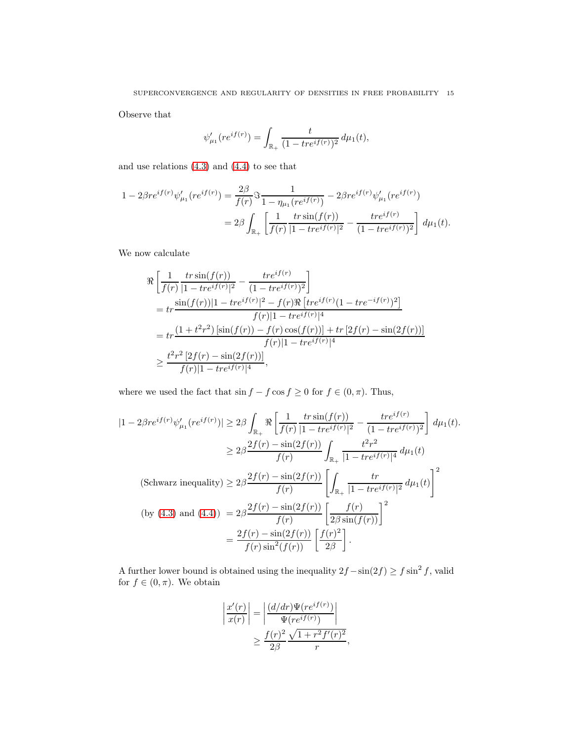Observe that

$$
\psi'_{\mu_1}(re^{if(r)}) = \int_{\mathbb{R}_+} \frac{t}{(1 - tre^{if(r)})^2} \, d\mu_1(t),
$$

and use relations [\(4.3\)](#page-13-0) and [\(4.4\)](#page-13-1) to see that

$$
1 - 2\beta re^{if(r)}\psi_{\mu_1}'(re^{if(r)}) = \frac{2\beta}{f(r)}\Im \frac{1}{1 - \eta_{\mu_1}(re^{if(r)})} - 2\beta re^{if(r)}\psi_{\mu_1}'(re^{if(r)})
$$
  

$$
= 2\beta \int_{\mathbb{R}_+} \left[ \frac{1}{f(r)} \frac{tr\sin(f(r))}{|1 - tre^{if(r)}|^2} - \frac{tre^{if(r)}}{(1 - tre^{if(r)})^2} \right] d\mu_1(t).
$$

We now calculate

$$
\Re\left[\frac{1}{f(r)}\frac{tr\sin(f(r))}{|1-tre^{if(r)}|^2} - \frac{tre^{if(r)}}{(1-tre^{if(r)})^2}\right]
$$
\n
$$
= tr\frac{\sin(f(r))|1-tre^{if(r)}|^2 - f(r)\Re[tre^{if(r)}(1-tre^{-if(r)})^2]}{f(r)|1-tre^{if(r)}|^4}
$$
\n
$$
= tr\frac{(1+t^2r^2)\left[\sin(f(r)) - f(r)\cos(f(r))\right] + tr\left[2f(r) - \sin(2f(r))\right]}{f(r)|1-tre^{if(r)}|^4}
$$
\n
$$
\geq \frac{t^2r^2\left[2f(r) - \sin(2f(r))\right]}{f(r)|1-tre^{if(r)}|^4},
$$

where we used the fact that  $\sin f - f \cos f \ge 0$  for  $f \in (0, \pi).$  Thus,

$$
|1 - 2\beta re^{if(r)}\psi_{\mu_1}'(re^{if(r)})| \ge 2\beta \int_{\mathbb{R}_+} \Re\left[\frac{1}{f(r)} \frac{tr\sin(f(r))}{|1 - tre^{if(r)}|^2} - \frac{tre^{if(r)}}{(1 - tre^{if(r)})^2}\right] d\mu_1(t).
$$
  
\n
$$
\ge 2\beta \frac{2f(r) - \sin(2f(r))}{f(r)} \int_{\mathbb{R}_+} \frac{t^2r^2}{|1 - tre^{if(r)}|^4} d\mu_1(t)
$$
  
\n(Schwarz inequality) 
$$
\ge 2\beta \frac{2f(r) - \sin(2f(r))}{f(r)} \left[\int_{\mathbb{R}_+} \frac{tr}{|1 - tre^{if(r)}|^2} d\mu_1(t)\right]^2
$$
  
\n(by (4.3) and (4.4)) 
$$
= 2\beta \frac{2f(r) - \sin(2f(r))}{f(r)} \left[\frac{f(r)}{2\beta \sin(f(r))}\right]^2
$$
  
\n
$$
= \frac{2f(r) - \sin(2f(r))}{f(r)\sin^2(f(r))} \left[\frac{f(r)^2}{2\beta}\right].
$$

A further lower bound is obtained using the inequality  $2f - \sin(2f) \ge f \sin^2 f$ , valid for  $f \in (0, \pi)$ . We obtain

$$
\left| \frac{x'(r)}{x(r)} \right| = \left| \frac{(d/dr)\Psi(re^{if(r)})}{\Psi(re^{if(r)})} \right|
$$

$$
\geq \frac{f(r)^2}{2\beta} \frac{\sqrt{1+r^2f'(r)^2}}{r},
$$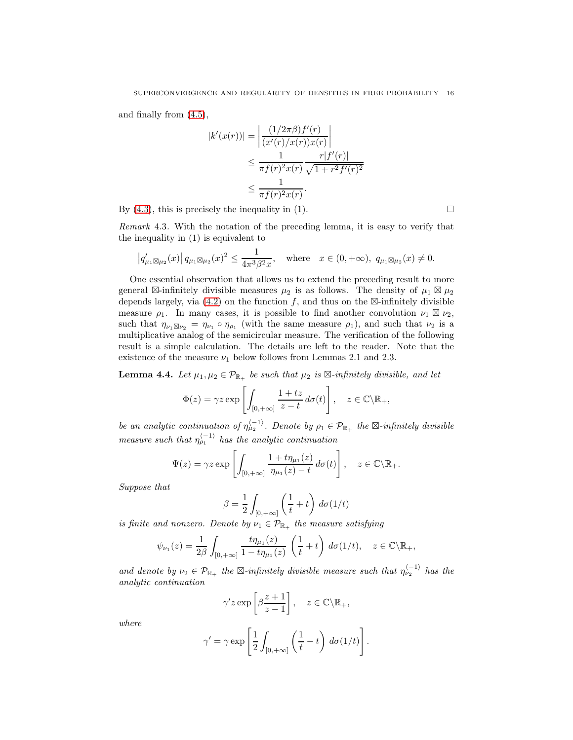and finally from [\(4.5\)](#page-13-2),

$$
|k'(x(r))| = \left| \frac{(1/2\pi\beta)f'(r)}{(x'(r)/x(r))x(r)} \right|
$$
  

$$
\leq \frac{1}{\pi f(r)^2 x(r)} \frac{r|f'(r)|}{\sqrt{1+r^2f'(r)^2}}
$$
  

$$
\leq \frac{1}{\pi f(r)^2 x(r)}.
$$

By  $(4.3)$ , this is precisely the inequality in  $(1)$ .

Remark 4.3. With the notation of the preceding lemma, it is easy to verify that the inequality in (1) is equivalent to

$$
|q'_{\mu_1 \boxtimes \mu_2}(x)| q_{\mu_1 \boxtimes \mu_2}(x)^2 \leq \frac{1}{4\pi^3 \beta^2 x}
$$
, where  $x \in (0, +\infty)$ ,  $q_{\mu_1 \boxtimes \mu_2}(x) \neq 0$ .

One essential observation that allows us to extend the preceding result to more general ⊠-infinitely divisible measures  $\mu_2$  is as follows. The density of  $\mu_1 \boxtimes \mu_2$ depends largely, via  $(4.2)$  on the function f, and thus on the  $\boxtimes$ -infinitely divisible measure  $\rho_1$ . In many cases, it is possible to find another convolution  $\nu_1 \boxtimes \nu_2$ , such that  $\eta_{\nu_1 \boxtimes \nu_2} = \eta_{\nu_1} \circ \eta_{\rho_1}$  (with the same measure  $\rho_1$ ), and such that  $\nu_2$  is a multiplicative analog of the semicircular measure. The verification of the following result is a simple calculation. The details are left to the reader. Note that the existence of the measure  $\nu_1$  below follows from Lemmas 2.1 and 2.3.

<span id="page-15-0"></span>**Lemma 4.4.** Let  $\mu_1, \mu_2 \in \mathcal{P}_{\mathbb{R}_+}$  be such that  $\mu_2$  is  $\mathbb{Z}\text{-infinitely divisible, and let}$ 

$$
\Phi(z) = \gamma z \exp\left[\int_{[0,+\infty]} \frac{1+tz}{z-t} \, d\sigma(t)\right], \quad z \in \mathbb{C}\backslash \mathbb{R}_+,
$$

be an analytic continuation of  $\eta_{\mu_2}^{\langle -1 \rangle}$ . Denote by  $\rho_1 \in \mathcal{P}_{\mathbb{R}_+}$  the  $\boxtimes$ -infinitely divisible measure such that  $\eta_{\rho_1}^{\langle -1 \rangle}$  has the analytic continuation

$$
\Psi(z) = \gamma z \exp\left[\int_{[0,+\infty]} \frac{1+t\eta_{\mu_1}(z)}{\eta_{\mu_1}(z)-t} d\sigma(t)\right], \quad z \in \mathbb{C}\backslash \mathbb{R}_+.
$$

Suppose that

$$
\beta = \frac{1}{2} \int_{[0, +\infty]} \left( \frac{1}{t} + t \right) d\sigma (1/t)
$$

is finite and nonzero. Denote by  $\nu_1 \in \mathcal{P}_{\mathbb{R}_+}$  the measure satisfying

$$
\psi_{\nu_1}(z) = \frac{1}{2\beta} \int_{[0,+\infty]} \frac{t\eta_{\mu_1}(z)}{1 - t\eta_{\mu_1}(z)} \left(\frac{1}{t} + t\right) d\sigma(1/t), \quad z \in \mathbb{C} \backslash \mathbb{R}_+,
$$

and denote by  $\nu_2 \in \mathcal{P}_{\mathbb{R}_+}$  the  $\boxtimes$ -infinitely divisible measure such that  $\eta_{\nu_2}^{(-1)}$  has the analytic continuation

$$
\gamma' z \exp \left[\beta \frac{z+1}{z-1}\right], \quad z \in \mathbb{C} \backslash \mathbb{R}_+,
$$

where

$$
\gamma' = \gamma \exp\left[\frac{1}{2} \int_{[0,+\infty]} \left(\frac{1}{t} - t\right) d\sigma(1/t)\right].
$$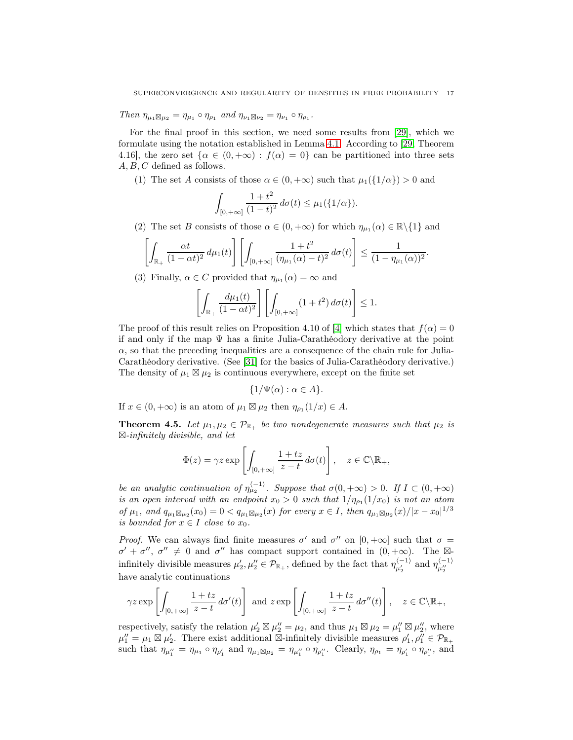Then  $\eta_{\mu_1 \boxtimes \mu_2} = \eta_{\mu_1} \circ \eta_{\rho_1}$  and  $\eta_{\nu_1 \boxtimes \nu_2} = \eta_{\nu_1} \circ \eta_{\rho_1}$ .

For the final proof in this section, we need some results from [\[29\]](#page-52-9), which we formulate using the notation established in Lemma [4.1.](#page-12-0) According to [\[29,](#page-52-9) Theorem 4.16], the zero set  $\{\alpha \in (0, +\infty) : f(\alpha) = 0\}$  can be partitioned into three sets A, B, C defined as follows.

(1) The set A consists of those  $\alpha \in (0, +\infty)$  such that  $\mu_1({1/\alpha}) > 0$  and

$$
\int_{[0,+\infty]} \frac{1+t^2}{(1-t)^2} \, d\sigma(t) \leq \mu_1(\{1/\alpha\}).
$$

(2) The set B consists of those  $\alpha \in (0, +\infty)$  for which  $\eta_{\mu_1}(\alpha) \in \mathbb{R} \setminus \{1\}$  and

$$
\left[\int_{\mathbb{R}_+} \frac{\alpha t}{(1-\alpha t)^2} d\mu_1(t)\right] \left[\int_{[0,+\infty]} \frac{1+t^2}{(\eta_{\mu_1}(\alpha)-t)^2} d\sigma(t)\right] \leq \frac{1}{(1-\eta_{\mu_1}(\alpha))^2}.
$$

(3) Finally,  $\alpha \in C$  provided that  $\eta_{\mu_1}(\alpha) = \infty$  and

$$
\left[\int_{\mathbb{R}_+} \frac{d\mu_1(t)}{(1-\alpha t)^2} \right] \left[\int_{[0,+\infty]} (1+t^2) d\sigma(t) \right] \le 1.
$$

The proof of this result relies on Proposition 4.10 of [\[4\]](#page-51-2) which states that  $f(\alpha) = 0$ if and only if the map Ψ has a finite Julia-Carathéodory derivative at the point  $\alpha$ , so that the preceding inequalities are a consequence of the chain rule for Julia-Carathéodory derivative. (See [\[31\]](#page-52-13) for the basics of Julia-Carathéodory derivative.) The density of  $\mu_1 \boxtimes \mu_2$  is continuous everywhere, except on the finite set

$$
\{1/\Psi(\alpha): \alpha \in A\}.
$$

If  $x \in (0, +\infty)$  is an atom of  $\mu_1 \boxtimes \mu_2$  then  $\eta_{\rho_1}(1/x) \in A$ .

<span id="page-16-0"></span>**Theorem 4.5.** Let  $\mu_1, \mu_2 \in \mathcal{P}_{\mathbb{R}_+}$  be two nondegenerate measures such that  $\mu_2$  is  $\boxtimes$ -infinitely divisible, and let

$$
\Phi(z) = \gamma z \exp\left[\int_{[0,+\infty]} \frac{1+tz}{z-t} \, d\sigma(t)\right], \quad z \in \mathbb{C}\backslash \mathbb{R}_+,
$$

be an analytic continuation of  $\eta_{\mu_2}^{\langle -1 \rangle}$ . Suppose that  $\sigma(0, +\infty) > 0$ . If  $I \subset (0, +\infty)$ is an open interval with an endpoint  $x_0 > 0$  such that  $1/\eta_{\rho_1}(1/x_0)$  is not an atom of  $\mu_1$ , and  $q_{\mu_1} \boxtimes_{\mu_2} (x_0) = 0 < q_{\mu_1} \boxtimes_{\mu_2} (x)$  for every  $x \in I$ , then  $q_{\mu_1} \boxtimes_{\mu_2} (x)/|x - x_0|^{1/3}$ is bounded for  $x \in I$  close to  $x_0$ .

*Proof.* We can always find finite measures  $\sigma'$  and  $\sigma''$  on  $[0, +\infty]$  such that  $\sigma =$  $\sigma' + \sigma''$ ,  $\sigma'' \neq 0$  and  $\sigma''$  has compact support contained in  $(0, +\infty)$ . The  $\boxtimes$ infinitely divisible measures  $\mu'_2, \mu''_2 \in \mathcal{P}_{\mathbb{R}_+}$ , defined by the fact that  $\eta_{\mu'_2}^{\langle -1 \rangle}$  and  $\eta_{\mu''_2}^{\langle -1 \rangle}$ have analytic continuations

$$
\gamma z \exp\left[\int_{[0,+\infty]} \frac{1+tz}{z-t} \, d\sigma'(t)\right] \text{ and } z \exp\left[\int_{[0,+\infty]} \frac{1+tz}{z-t} \, d\sigma''(t)\right], \quad z \in \mathbb{C}\backslash \mathbb{R}_+,
$$

respectively, satisfy the relation  $\mu'_2 \boxtimes \mu''_2 = \mu_2$ , and thus  $\mu_1 \boxtimes \mu_2 = \mu''_1 \boxtimes \mu''_2$ , where  $\mu_1'' = \mu_1 \boxtimes \mu_2'$ . There exist additional  $\boxtimes$ -infinitely divisible measures  $\rho_1', \rho_1'' \in \mathcal{P}_{\mathbb{R}_+}$ such that  $\eta_{\mu_1''} = \eta_{\mu_1} \circ \eta_{\rho_1'}$  and  $\eta_{\mu_1 \boxtimes \mu_2} = \eta_{\mu_1''} \circ \eta_{\rho_1''}$ . Clearly,  $\eta_{\rho_1} = \eta_{\rho_1'} \circ \eta_{\rho_1''}$ , and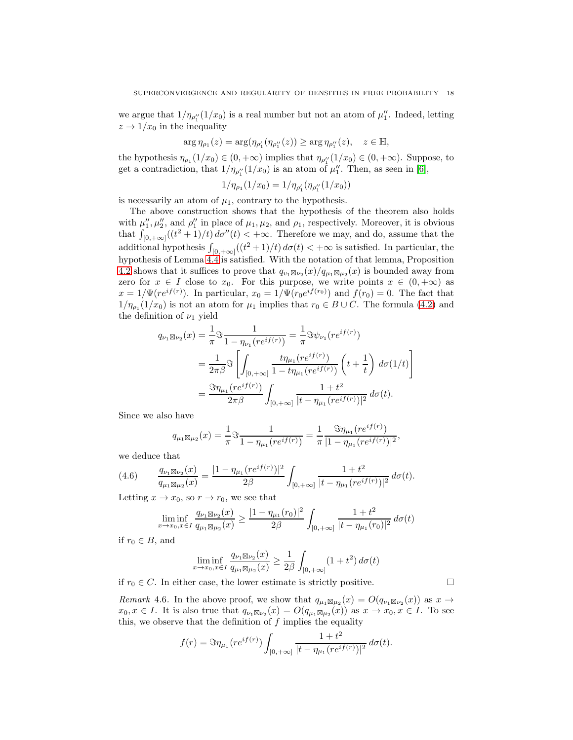we argue that  $1/\eta_{\rho_1^{\prime\prime}}(1/x_0)$  is a real number but not an atom of  $\mu_1^{\prime\prime}$ . Indeed, letting  $z \rightarrow 1/x_0$  in the inequality

$$
\arg\eta_{\rho_1}(z)=\arg(\eta_{\rho_1'}(\eta_{\rho_1''}(z))\geq \arg\eta_{\rho_1''}(z),\quad z\in\mathbb{H},
$$

the hypothesis  $\eta_{\rho_1}(1/x_0) \in (0, +\infty)$  implies that  $\eta_{\rho_1'}(1/x_0) \in (0, +\infty)$ . Suppose, to get a contradiction, that  $1/\eta_{\rho_1^{\prime\prime}}(1/x_0)$  is an atom of  $\mu_1^{\prime\prime}$ . Then, as seen in [\[6\]](#page-52-14),

$$
1/\eta_{\rho_1}(1/x_0)=1/\eta_{\rho_1'}(\eta_{\rho_1''}(1/x_0))
$$

is necessarily an atom of  $\mu_1$ , contrary to the hypothesis.

The above construction shows that the hypothesis of the theorem also holds with  $\mu''_1, \mu''_2$ , and  $\rho''_1$  in place of  $\mu_1, \mu_2$ , and  $\rho_1$ , respectively. Moreover, it is obvious that  $\int_{[0,+\infty]}((t^2+1)/t)\,d\sigma''(t) < +\infty$ . Therefore we may, and do, assume that the additional hypothesis  $\int_{[0,+\infty]} ((t^2+1)/t) d\sigma(t) < +\infty$  is satisfied. In particular, the hypothesis of Lemma [4.4](#page-15-0) is satisfied. With the notation of that lemma, Proposition [4.2](#page-13-3) shows that it suffices to prove that  $q_{v_1} \boxtimes_{v_2} (x) / q_{\mu_1} \boxtimes_{\mu_2} (x)$  is bounded away from zero for  $x \in I$  close to  $x_0$ . For this purpose, we write points  $x \in (0, +\infty)$  as  $x = 1/\Psi(re^{if(r)})$ . In particular,  $x_0 = 1/\Psi(r_0e^{if(r_0)})$  and  $f(r_0) = 0$ . The fact that  $1/\eta_{\rho_1}(1/x_0)$  is not an atom for  $\mu_1$  implies that  $r_0 \in B \cup C$ . The formula [\(4.2\)](#page-12-2) and the definition of  $\nu_1$  yield

$$
q_{\nu_1 \boxtimes \nu_2}(x) = \frac{1}{\pi} \Im \frac{1}{1 - \eta_{\nu_1}(re^{if(r)})} = \frac{1}{\pi} \Im \psi_{\nu_1}(re^{if(r)})
$$
  
= 
$$
\frac{1}{2\pi \beta} \Im \left[ \int_{[0, +\infty]} \frac{t \eta_{\mu_1}(re^{if(r)})}{1 - t \eta_{\mu_1}(re^{if(r)})} \left( t + \frac{1}{t} \right) d\sigma(1/t) \right]
$$
  
= 
$$
\frac{\Im \eta_{\mu_1}(re^{if(r)})}{2\pi \beta} \int_{[0, +\infty]} \frac{1 + t^2}{|t - \eta_{\mu_1}(re^{if(r)})|^2} d\sigma(t).
$$

Since we also have

$$
q_{\mu_1\boxtimes\mu_2}(x) = \frac{1}{\pi} \Im \frac{1}{1 - \eta_{\mu_1}(re^{if(r)})} = \frac{1}{\pi} \frac{\Im \eta_{\mu_1}(re^{if(r)})}{|1 - \eta_{\mu_1}(re^{if(r)})|^2},
$$

we deduce that

(4.6) 
$$
\frac{q_{\nu_1 \boxtimes \nu_2}(x)}{q_{\mu_1 \boxtimes \mu_2}(x)} = \frac{|1 - \eta_{\mu_1}(re^{if(r)})|^2}{2\beta} \int_{[0, +\infty]} \frac{1 + t^2}{|t - \eta_{\mu_1}(re^{if(r)})|^2} d\sigma(t).
$$

Letting  $x \to x_0$ , so  $r \to r_0$ , we see that

<span id="page-17-0"></span>
$$
\liminf_{x \to x_0, x \in I} \frac{q_{\nu_1 \boxtimes \nu_2}(x)}{q_{\mu_1 \boxtimes \mu_2}(x)} \ge \frac{|1 - \eta_{\mu_1}(r_0)|^2}{2\beta} \int_{[0, +\infty]} \frac{1 + t^2}{|t - \eta_{\mu_1}(r_0)|^2} d\sigma(t)
$$

if  $r_0 \in B$ , and

$$
\liminf_{x \to x_0, x \in I} \frac{q_{\nu_1 \boxtimes \nu_2}(x)}{q_{\mu_1 \boxtimes \mu_2}(x)} \ge \frac{1}{2\beta} \int_{[0, +\infty]} (1 + t^2) d\sigma(t)
$$

if  $r_0$  ∈ C. In either case, the lower estimate is strictly positive.  $□$ 

Remark 4.6. In the above proof, we show that  $q_{\mu_1} \boxtimes_{\mu_2} (x) = O(q_{\nu_1} \boxtimes_{\nu_2} (x))$  as  $x \to$  $x_0, x \in I$ . It is also true that  $q_{\nu_1 \boxtimes \nu_2}(x) = O(q_{\mu_1 \boxtimes \mu_2}(x))$  as  $x \to x_0, x \in I$ . To see this, we observe that the definition of  $f$  implies the equality

$$
f(r) = \Im \eta_{\mu_1}(re^{if(r)}) \int_{[0,+\infty]} \frac{1+t^2}{|t - \eta_{\mu_1}(re^{if(r)})|^2} d\sigma(t).
$$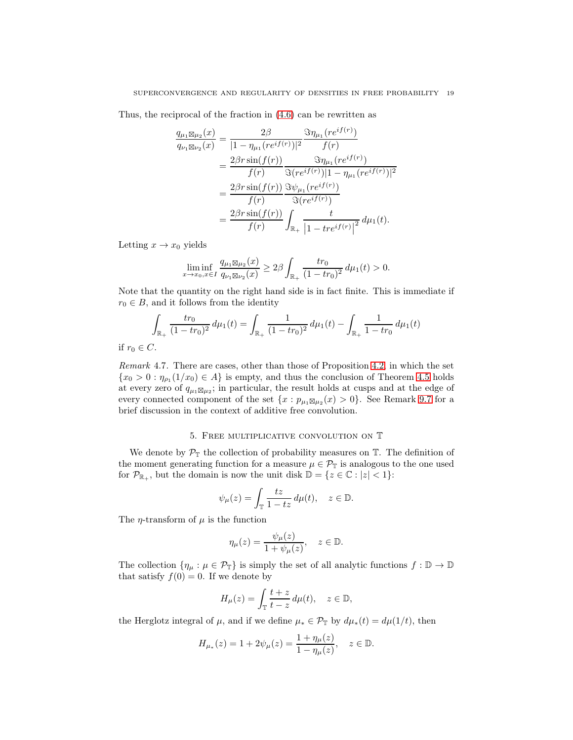Thus, the reciprocal of the fraction in [\(4.6\)](#page-17-0) can be rewritten as

$$
\frac{q_{\mu_1 \boxtimes \mu_2}(x)}{q_{\nu_1 \boxtimes \nu_2}(x)} = \frac{2\beta}{|1 - \eta_{\mu_1}(re^{if(r)})|^2} \frac{\Im \eta_{\mu_1}(re^{if(r)})}{f(r)}
$$
\n
$$
= \frac{2\beta r \sin(f(r))}{f(r)} \frac{\Im \eta_{\mu_1}(re^{if(r)})}{\Im(re^{if(r)})|1 - \eta_{\mu_1}(re^{if(r)})|^2}
$$
\n
$$
= \frac{2\beta r \sin(f(r))}{f(r)} \frac{\Im \psi_{\mu_1}(re^{if(r)})}{\Im(re^{if(r)})}
$$
\n
$$
= \frac{2\beta r \sin(f(r))}{f(r)} \int_{\mathbb{R}_+} \frac{t}{|1 - tre^{if(r)}|^2} d\mu_1(t).
$$

Letting  $x \to x_0$  yields

$$
\liminf_{x \to x_0, x \in I} \frac{q_{\mu_1 \boxtimes \mu_2}(x)}{q_{\nu_1 \boxtimes \nu_2}(x)} \ge 2\beta \int_{\mathbb{R}_+} \frac{tr_0}{(1 - tr_0)^2} \, d\mu_1(t) > 0.
$$

Note that the quantity on the right hand side is in fact finite. This is immediate if  $r_0 \in B$ , and it follows from the identity

$$
\int_{\mathbb{R}_+} \frac{tr_0}{(1 - tr_0)^2} d\mu_1(t) = \int_{\mathbb{R}_+} \frac{1}{(1 - tr_0)^2} d\mu_1(t) - \int_{\mathbb{R}_+} \frac{1}{1 - tr_0} d\mu_1(t)
$$

if  $r_0 \in C$ .

Remark 4.7. There are cases, other than those of Proposition [4.2,](#page-13-3) in which the set  $\{x_0 > 0 : \eta_{\rho_1}(1/x_0) \in A\}$  is empty, and thus the conclusion of Theorem [4.5](#page-16-0) holds at every zero of  $q_{\mu_1} \boxtimes_{\mu_2}$ ; in particular, the result holds at cusps and at the edge of every connected component of the set  $\{x : p_{\mu_1 \boxtimes \mu_2}(x) > 0\}$ . See Remark [9.7](#page-35-0) for a brief discussion in the context of additive free convolution.

### 5. Free multiplicative convolution on T

<span id="page-18-0"></span>We denote by  $\mathcal{P}_{\mathbb{T}}$  the collection of probability measures on  $\mathbb{T}$ . The definition of the moment generating function for a measure  $\mu \in \mathcal{P}_{\mathbb{T}}$  is analogous to the one used for  $\mathcal{P}_{\mathbb{R}_+}$ , but the domain is now the unit disk  $\mathbb{D} = \{z \in \mathbb{C} : |z| < 1\}$ :

$$
\psi_{\mu}(z) = \int_{\mathbb{T}} \frac{tz}{1 - tz} \, d\mu(t), \quad z \in \mathbb{D}.
$$

The  $\eta$ -transform of  $\mu$  is the function

$$
\eta_{\mu}(z) = \frac{\psi_{\mu}(z)}{1 + \psi_{\mu}(z)}, \quad z \in \mathbb{D}.
$$

The collection  $\{\eta_\mu : \mu \in \mathcal{P}_\mathbb{T}\}\$ is simply the set of all analytic functions  $f : \mathbb{D} \to \mathbb{D}$ that satisfy  $f(0) = 0$ . If we denote by

$$
H_{\mu}(z) = \int_{\mathbb{T}} \frac{t+z}{t-z} \, d\mu(t), \quad z \in \mathbb{D},
$$

the Herglotz integral of  $\mu$ , and if we define  $\mu_* \in \mathcal{P}_{\mathbb{T}}$  by  $d\mu_*(t) = d\mu(1/t)$ , then

$$
H_{\mu_*}(z) = 1 + 2\psi_{\mu}(z) = \frac{1 + \eta_{\mu}(z)}{1 - \eta_{\mu}(z)}, \quad z \in \mathbb{D}.
$$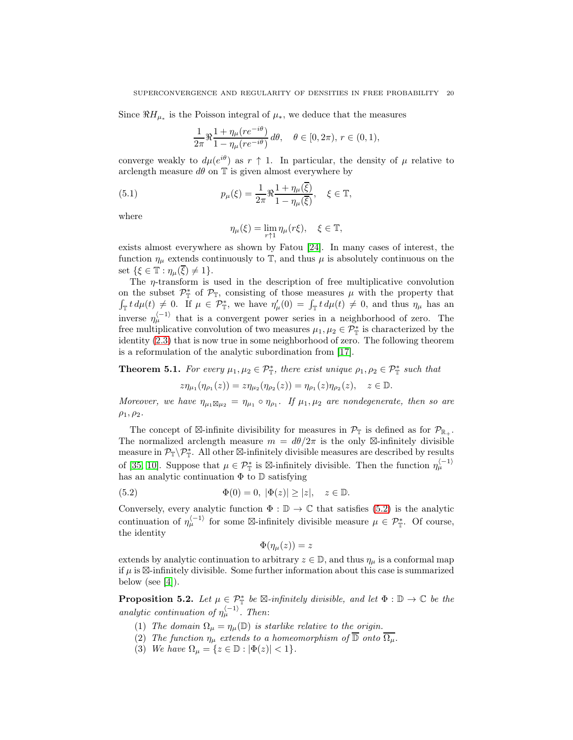Since  $\Re H_{\mu_*}$  is the Poisson integral of  $\mu_*$ , we deduce that the measures

$$
\frac{1}{2\pi} \Re \frac{1 + \eta_\mu(re^{-i\theta})}{1 - \eta_\mu(re^{-i\theta})} d\theta, \quad \theta \in [0, 2\pi), r \in (0, 1),
$$

converge weakly to  $d\mu(e^{i\theta})$  as  $r \uparrow 1$ . In particular, the density of  $\mu$  relative to arclength measure  $d\theta$  on  $\mathbb T$  is given almost everywhere by

(5.1) 
$$
p_{\mu}(\xi) = \frac{1}{2\pi} \Re \frac{1 + \eta_{\mu}(\overline{\xi})}{1 - \eta_{\mu}(\overline{\xi})}, \quad \xi \in \mathbb{T},
$$

where

<span id="page-19-1"></span>
$$
\eta_{\mu}(\xi) = \lim_{r \uparrow 1} \eta_{\mu}(r\xi), \quad \xi \in \mathbb{T},
$$

exists almost everywhere as shown by Fatou [\[24\]](#page-52-15). In many cases of interest, the function  $\eta_{\mu}$  extends continuously to  $\mathbb{T}$ , and thus  $\mu$  is absolutely continuous on the set  $\{\xi \in \mathbb{T} : \eta_u(\overline{\xi}) \neq 1\}.$ 

The  $\eta$ -transform is used in the description of free multiplicative convolution on the subset  $\mathcal{P}_{\mathbb{T}}^*$  of  $\mathcal{P}_{\mathbb{T}}$ , consisting of those measures  $\mu$  with the property that  $\int_{\mathbb{T}} t \, d\mu(t) \neq 0$ . If  $\mu \in \mathcal{P}_{\mathbb{T}}^*$ , we have  $\eta'_{\mu}(0) = \int_{\mathbb{T}} t \, d\mu(t) \neq 0$ , and thus  $\eta_{\mu}$  has an inverse  $\eta_{\mu}^{\langle -1 \rangle}$  that is a convergent power series in a neighborhood of zero. The free multiplicative convolution of two measures  $\mu_1, \mu_2 \in \mathcal{P}_{\mathbb{T}}^*$  is characterized by the identity [\(2.3\)](#page-4-2) that is now true in some neighborhood of zero. The following theorem is a reformulation of the analytic subordination from [17].

<span id="page-19-2"></span>**Theorem 5.1.** For every  $\mu_1, \mu_2 \in \mathcal{P}_{\mathbb{T}}^*$ , there exist unique  $\rho_1, \rho_2 \in \mathcal{P}_{\mathbb{T}}^*$  such that

$$
z\eta_{\mu_1}(\eta_{\rho_1}(z)) = z\eta_{\mu_2}(\eta_{\rho_2}(z)) = \eta_{\rho_1}(z)\eta_{\rho_2}(z), \quad z \in \mathbb{D}.
$$

Moreover, we have  $\eta_{\mu_1} \boxtimes_{\mu_2} = \eta_{\mu_1} \circ \eta_{\rho_1}$ . If  $\mu_1, \mu_2$  are nondegenerate, then so are  $\rho_1, \rho_2.$ 

The concept of  $\boxtimes$ -infinite divisibility for measures in  $\mathcal{P}_{\mathbb{T}}$  is defined as for  $\mathcal{P}_{\mathbb{R}_+}$ . The normalized arclength measure  $m = d\theta/2\pi$  is the only  $\boxtimes$ -infinitely divisible measure in  $\mathcal{P}_{\mathbb{T}}\setminus\mathcal{P}_{\mathbb{T}}^*$ . All other  $\boxtimes$ -infinitely divisible measures are described by results of [\[35,](#page-53-2) [10\]](#page-52-16). Suppose that  $\mu \in \mathcal{P}_{\mathbb{T}}^*$  is  $\boxtimes$ -infinitely divisible. Then the function  $\eta_{\mu}^{\langle -1 \rangle}$ has an analytic continuation  $\Phi$  to  $\mathbb D$  satisfying

(5.2) 
$$
\Phi(0) = 0, |\Phi(z)| \ge |z|, \quad z \in \mathbb{D}.
$$

Conversely, every analytic function  $\Phi : \mathbb{D} \to \mathbb{C}$  that satisfies [\(5.2\)](#page-19-0) is the analytic continuation of  $\eta_{\mu}^{(-1)}$  for some  $\boxtimes$ -infinitely divisible measure  $\mu \in \mathcal{P}_{\mathbb{T}}^*$ . Of course, the identity

<span id="page-19-0"></span>
$$
\Phi(\eta_{\mu}(z))=z
$$

extends by analytic continuation to arbitrary  $z \in \mathbb{D}$ , and thus  $\eta_{\mu}$  is a conformal map if µ is ⊠-infinitely divisible. Some further information about this case is summarized below (see  $[4]$ ).

**Proposition 5.2.** Let  $\mu \in \mathcal{P}_{\perp}^{*}$  be  $\boxtimes$ -infinitely divisible, and let  $\Phi : \mathbb{D} \to \mathbb{C}$  be the analytic continuation of  $\eta_{\mu}^{\langle -1 \rangle}$ . Then:

- (1) The domain  $\Omega_{\mu} = \eta_{\mu}(\mathbb{D})$  is starlike relative to the origin.
- (2) The function  $\eta_{\mu}$  extends to a homeomorphism of  $\overline{\mathbb{D}}$  onto  $\overline{\Omega_{\mu}}$ .
- (3) We have  $\Omega_{\mu} = \{z \in \mathbb{D} : |\Phi(z)| < 1\}.$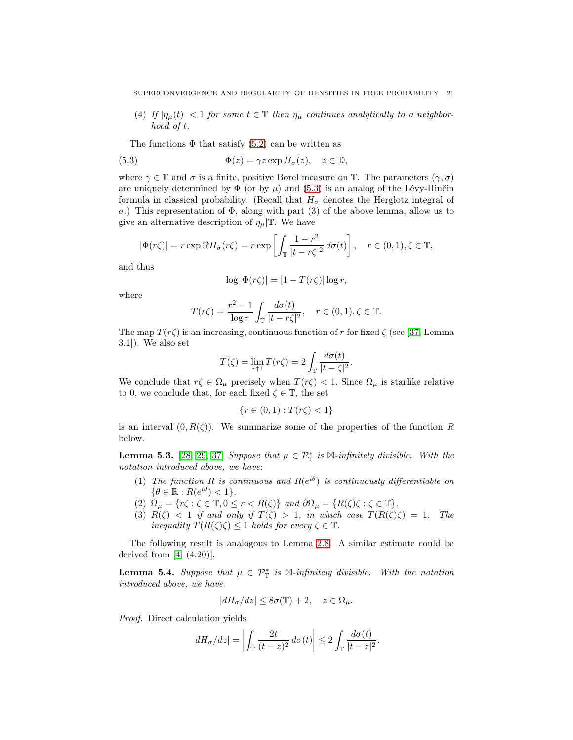(4) If  $|\eta_{\mu}(t)| < 1$  for some  $t \in \mathbb{T}$  then  $\eta_{\mu}$  continues analytically to a neighborhood of t.

<span id="page-20-0"></span>The functions  $\Phi$  that satisfy [\(5.2\)](#page-19-0) can be written as

(5.3) 
$$
\Phi(z) = \gamma z \exp H_{\sigma}(z), \quad z \in \mathbb{D},
$$

where  $\gamma \in \mathbb{T}$  and  $\sigma$  is a finite, positive Borel measure on T. The parameters  $(\gamma, \sigma)$ are uniquely determined by  $\Phi$  (or by  $\mu$ ) and [\(5.3\)](#page-20-0) is an analog of the Lévy-Hinčin formula in classical probability. (Recall that  $H_{\sigma}$  denotes the Herglotz integral of σ.) This representation of Φ, along with part (3) of the above lemma, allow us to give an alternative description of  $\eta_{\mu}|\mathbb{T}$ . We have

$$
|\Phi(r\zeta)| = r \exp \Re H_{\sigma}(r\zeta) = r \exp \left[ \int_{\mathbb{T}} \frac{1-r^2}{|t-r\zeta|^2} d\sigma(t) \right], \quad r \in (0,1), \zeta \in \mathbb{T},
$$

and thus

$$
\log |\Phi(r\zeta)| = [1 - T(r\zeta)] \log r,
$$

where

$$
T(r\zeta) = \frac{r^2 - 1}{\log r} \int_{\mathbb{T}} \frac{d\sigma(t)}{|t - r\zeta|^2}, \quad r \in (0, 1), \zeta \in \mathbb{T}.
$$

The map  $T(r\zeta)$  is an increasing, continuous function of r for fixed  $\zeta$  (see [\[37,](#page-53-3) Lemma 3.1]). We also set

$$
T(\zeta) = \lim_{r \uparrow 1} T(r\zeta) = 2 \int_{\mathbb{T}} \frac{d\sigma(t)}{|t - \zeta|^2}.
$$

We conclude that  $r\zeta \in \Omega_\mu$  precisely when  $T(r\zeta) < 1$ . Since  $\Omega_\mu$  is starlike relative to 0, we conclude that, for each fixed  $\zeta \in \mathbb{T}$ , the set

$$
\{r \in (0,1) : T(r\zeta) < 1\}
$$

is an interval  $(0, R(\zeta))$ . We summarize some of the properties of the function R below.

**Lemma 5.3.** [\[28,](#page-52-8) [29,](#page-52-9) [37\]](#page-53-3) Suppose that  $\mu \in \mathcal{P}_{\mathbb{T}}^*$  is  $\boxtimes$ -infinitely divisible. With the notation introduced above, we have:

- (1) The function R is continuous and  $R(e^{i\theta})$  is continuously differentiable on  $\{\theta \in \mathbb{R} : R(e^{i\theta}) < 1\}.$
- (2)  $\Omega_{\mu} = \{r\zeta : \zeta \in \mathbb{T}, 0 \le r < R(\zeta)\}\$  and  $\partial\Omega_{\mu} = \{R(\zeta)\zeta : \zeta \in \mathbb{T}\}\.$
- (3)  $R(\zeta) < 1$  if and only if  $T(\zeta) > 1$ , in which case  $T(R(\zeta)\zeta) = 1$ . The inequality  $T(R(\zeta)\zeta) \leq 1$  holds for every  $\zeta \in \mathbb{T}$ .

The following result is analogous to Lemma [2.8.](#page-7-0) A similar estimate could be derived from  $[4, (4.20)]$ .

<span id="page-20-1"></span>**Lemma 5.4.** Suppose that  $\mu \in \mathcal{P}_{\mathbb{T}}^*$  is  $\boxtimes$ -infinitely divisible. With the notation introduced above, we have

$$
|dH_{\sigma}/dz| \leq 8\sigma(\mathbb{T}) + 2, \quad z \in \Omega_{\mu}.
$$

Proof. Direct calculation yields

$$
|dH_{\sigma}/dz| = \left| \int_{\mathbb{T}} \frac{2t}{(t-z)^2} d\sigma(t) \right| \leq 2 \int_{\mathbb{T}} \frac{d\sigma(t)}{|t-z|^2}.
$$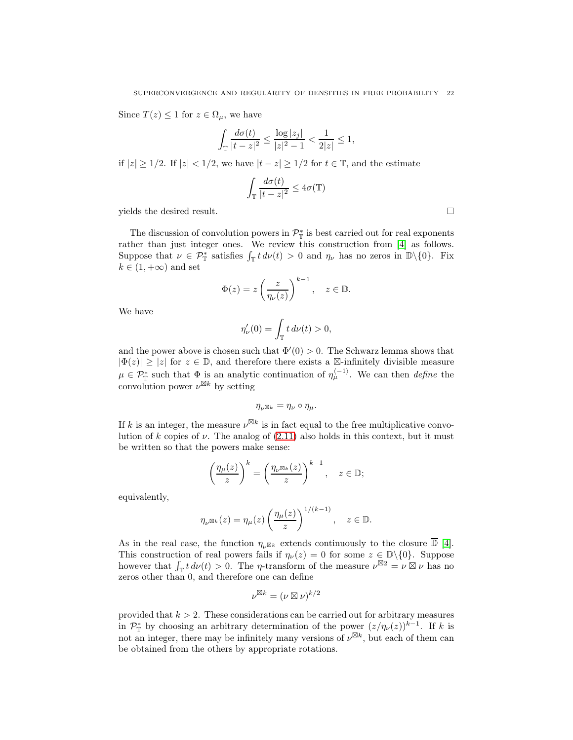Since  $T(z) \leq 1$  for  $z \in \Omega_{\mu}$ , we have

$$
\int_{\mathbb{T}} \frac{d\sigma(t)}{|t - z|^2} \le \frac{\log|z_j|}{|z|^2 - 1} < \frac{1}{2|z|} \le 1,
$$

if  $|z| \ge 1/2$ . If  $|z| < 1/2$ , we have  $|t - z| \ge 1/2$  for  $t \in \mathbb{T}$ , and the estimate

$$
\int_{\mathbb{T}} \frac{d\sigma(t)}{|t-z|^2} \leq 4\sigma(\mathbb{T})
$$

yields the desired result.

The discussion of convolution powers in  $\mathcal{P}_{\mathbb{T}}^*$  is best carried out for real exponents rather than just integer ones. We review this construction from [\[4\]](#page-51-2) as follows. Suppose that  $\nu \in \mathcal{P}_{\mathbb{T}}^*$  satisfies  $\int_{\mathbb{T}} t \, d\nu(t) > 0$  and  $\eta_{\nu}$  has no zeros in  $\mathbb{D}\setminus\{0\}$ . Fix  $k \in (1, +\infty)$  and set

$$
\Phi(z) = z \left(\frac{z}{\eta_{\nu}(z)}\right)^{k-1}, \quad z \in \mathbb{D}.
$$

We have

$$
\eta'_{\nu}(0) = \int_{\mathbb{T}} t \, d\nu(t) > 0,
$$

and the power above is chosen such that  $\Phi'(0) > 0$ . The Schwarz lemma shows that  $|\Phi(z)| \geq |z|$  for  $z \in \mathbb{D}$ , and therefore there exists a  $\mathbb{Z}$ -infinitely divisible measure  $\mu \in \mathcal{P}_{\mathbb{T}}^*$  such that  $\Phi$  is an analytic continuation of  $\eta_{\mu}^{\langle -1 \rangle}$ . We can then *define* the convolution power  $\nu^{\boxtimes k}$  by setting

$$
\eta_{\nu} \mathbb{R}^k = \eta_{\nu} \circ \eta_{\mu}.
$$

If k is an integer, the measure  $\nu^{\boxtimes k}$  is in fact equal to the free multiplicative convolution of k copies of  $\nu$ . The analog of [\(2.11\)](#page-8-1) also holds in this context, but it must be written so that the powers make sense:

$$
\left(\frac{\eta_{\mu}(z)}{z}\right)^k = \left(\frac{\eta_{\nu}\boxtimes_k(z)}{z}\right)^{k-1}, \quad z \in \mathbb{D};
$$

equivalently,

$$
\eta_{\nu^{\boxtimes k}}(z) = \eta_{\mu}(z) \left(\frac{\eta_{\mu}(z)}{z}\right)^{1/(k-1)}, \quad z \in \mathbb{D}.
$$

As in the real case, the function  $\eta_{\nu} \boxtimes_k$  extends continuously to the closure  $\overline{D}$  [\[4\]](#page-51-2). This construction of real powers fails if  $\eta_{\nu}(z) = 0$  for some  $z \in \mathbb{D}\setminus\{0\}$ . Suppose however that  $\int_{\mathbb{T}} t \, d\nu(t) > 0$ . The *η*-transform of the measure  $\nu^{\boxtimes 2} = \nu \boxtimes \nu$  has no zeros other than 0, and therefore one can define

$$
\nu^{\boxtimes k} = (\nu \boxtimes \nu)^{k/2}
$$

provided that  $k > 2$ . These considerations can be carried out for arbitrary measures in  $\mathcal{P}_{\mathbb{T}}^*$  by choosing an arbitrary determination of the power  $(z/\eta_{\nu}(z))^{k-1}$ . If k is not an integer, there may be infinitely many versions of  $\nu^{\boxtimes k}$ , but each of them can be obtained from the others by appropriate rotations.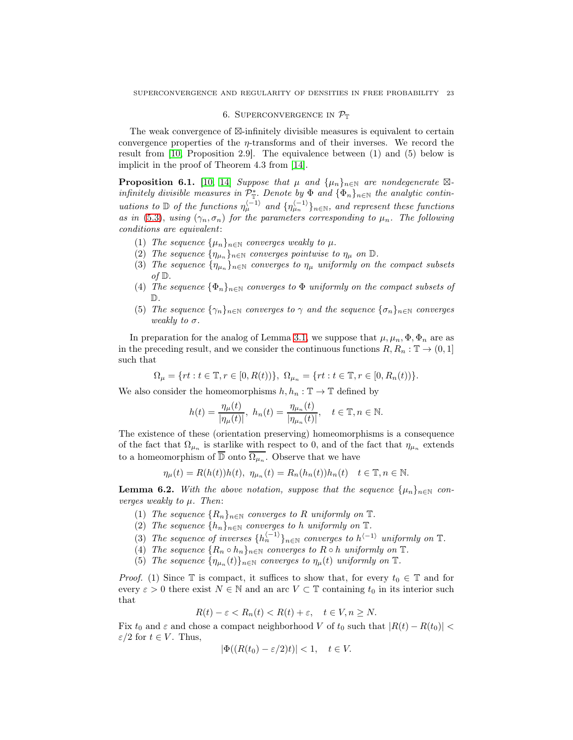#### 6. SUPERCONVERGENCE IN  $\mathcal{P}_{\mathbb{T}}$

<span id="page-22-0"></span>The weak convergence of ⊠-infinitely divisible measures is equivalent to certain convergence properties of the  $\eta$ -transforms and of their inverses. We record the result from [\[10,](#page-52-16) Proposition 2.9]. The equivalence between (1) and (5) below is implicit in the proof of Theorem 4.3 from [\[14\]](#page-52-17).

**Proposition 6.1.** [\[10,](#page-52-16) [14\]](#page-52-17) Suppose that  $\mu$  and  $\{\mu_n\}_{n\in\mathbb{N}}$  are nondegenerate  $\boxtimes$ infinitely divisible measures in  $\mathcal{P}_{\mathbb{I}}^*$ . Denote by  $\Phi$  and  $\{\Phi_n\}_{n\in\mathbb{N}}$  the analytic continuations to D of the functions  $\eta_{\mu}^{(-1)}$  and  $\{\eta_{\mu}^{(-1)}\}_{n\in\mathbb{N}}$ , and represent these functions as in [\(5.3\)](#page-20-0), using  $(\gamma_n, \sigma_n)$  for the parameters corresponding to  $\mu_n$ . The following conditions are equivalent:

- (1) The sequence  $\{\mu_n\}_{n\in\mathbb{N}}$  converges weakly to  $\mu$ .
- (2) The sequence  $\{\eta_{\mu_n}\}_{n\in\mathbb{N}}$  converges pointwise to  $\eta_\mu$  on  $\mathbb{D}$ .
- (3) The sequence  $\{\eta_{\mu_n}\}_{n\in\mathbb{N}}$  converges to  $\eta_{\mu}$  uniformly on the compact subsets of  $\mathbb{D}$ .
- (4) The sequence  $\{\Phi_n\}_{n\in\mathbb{N}}$  converges to  $\Phi$  uniformly on the compact subsets of D.
- (5) The sequence  $\{\gamma_n\}_{n\in\mathbb{N}}$  converges to  $\gamma$  and the sequence  $\{\sigma_n\}_{n\in\mathbb{N}}$  converges weakly to  $\sigma$ .

In preparation for the analog of Lemma [3.1,](#page-8-2) we suppose that  $\mu$ ,  $\mu_n$ ,  $\Phi$ ,  $\Phi_n$  are as in the preceding result, and we consider the continuous functions  $R, R_n : \mathbb{T} \to (0, 1]$ such that

$$
\Omega_\mu=\{rt:t\in\mathbb{T}, r\in[0,R(t))\},\; \Omega_{\mu_n}=\{rt:t\in\mathbb{T}, r\in[0,R_n(t))\}.
$$

We also consider the homeomorphisms  $h, h_n : \mathbb{T} \to \mathbb{T}$  defined by

$$
h(t) = \frac{\eta_{\mu}(t)}{|\eta_{\mu}(t)|}, \ h_n(t) = \frac{\eta_{\mu_n}(t)}{|\eta_{\mu_n}(t)|}, \quad t \in \mathbb{T}, n \in \mathbb{N}.
$$

The existence of these (orientation preserving) homeomorphisms is a consequence of the fact that  $\Omega_{\mu_n}$  is starlike with respect to 0, and of the fact that  $\eta_{\mu_n}$  extends to a homeomorphism of  $\overline{\mathbb{D}}$  onto  $\overline{\Omega_{\mu_n}}$ . Observe that we have

$$
\eta_{\mu}(t) = R(h(t))h(t), \ \eta_{\mu_n}(t) = R_n(h_n(t))h_n(t) \quad t \in \mathbb{T}, n \in \mathbb{N}.
$$

<span id="page-22-1"></span>**Lemma 6.2.** With the above notation, suppose that the sequence  $\{\mu_n\}_{n\in\mathbb{N}}$  converges weakly to  $\mu$ . Then:

- (1) The sequence  ${R_n}_{n\in\mathbb{N}}$  converges to R uniformly on  $\mathbb{T}$ .
- (2) The sequence  $\{h_n\}_{n\in\mathbb{N}}$  converges to h uniformly on  $\mathbb{T}$ .
- (3) The sequence of inverses  $\{h_n^{\langle -1\rangle}\}_{n\in\mathbb{N}}$  converges to  $h^{\langle -1\rangle}$  uniformly on  $\mathbb{T}$ .
- (4) The sequence  $\{R_n \circ h_n\}_{n\in\mathbb{N}}$  converges to  $R \circ h$  uniformly on  $\mathbb{T}$ .
- (5) The sequence  $\{\eta_{\mu_n}(t)\}_{n\in\mathbb{N}}$  converges to  $\eta_{\mu}(t)$  uniformly on  $\mathbb{T}$ .

*Proof.* (1) Since  $\mathbb T$  is compact, it suffices to show that, for every  $t_0 \in \mathbb T$  and for every  $\varepsilon > 0$  there exist  $N \in \mathbb{N}$  and an arc  $V \subset \mathbb{T}$  containing  $t_0$  in its interior such that

$$
R(t) - \varepsilon < R_n(t) < R(t) + \varepsilon, \quad t \in V, n \ge N.
$$

Fix  $t_0$  and  $\varepsilon$  and chose a compact neighborhood V of  $t_0$  such that  $|R(t) - R(t_0)|$  <  $\varepsilon/2$  for  $t \in V$ . Thus,

$$
|\Phi((R(t_0)-\varepsilon/2)t)|<1,\quad t\in V.
$$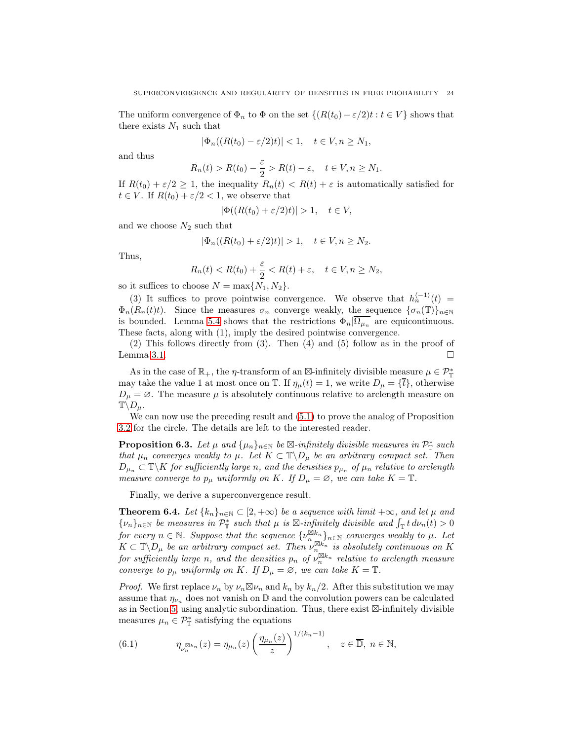The uniform convergence of  $\Phi_n$  to  $\Phi$  on the set  $\{(R(t_0) - \varepsilon/2)t : t \in V\}$  shows that there exists  $N_1$  such that

$$
|\Phi_n((R(t_0)-\varepsilon/2)t)|<1,\quad t\in V,n\geq N_1,
$$

and thus

$$
R_n(t) > R(t_0) - \frac{\varepsilon}{2} > R(t) - \varepsilon, \quad t \in V, n \ge N_1.
$$

If  $R(t_0) + \varepsilon/2 \geq 1$ , the inequality  $R_n(t) < R(t) + \varepsilon$  is automatically satisfied for  $t \in V$ . If  $R(t_0) + \varepsilon/2 < 1$ , we observe that

$$
|\Phi((R(t_0)+\varepsilon/2)t)|>1,\quad t\in V,
$$

and we choose  $N_2$  such that

$$
|\Phi_n((R(t_0)+\varepsilon/2)t)|>1, \quad t\in V, n\geq N_2.
$$

Thus,

$$
R_n(t) < R(t_0) + \frac{\varepsilon}{2} < R(t) + \varepsilon, \quad t \in V, n \ge N_2,
$$

so it suffices to choose  $N = \max\{N_1, N_2\}.$ 

(3) It suffices to prove pointwise convergence. We observe that  $h_n^{\langle -1 \rangle}(t) =$  $\Phi_n(R_n(t)t)$ . Since the measures  $\sigma_n$  converge weakly, the sequence  $\{\sigma_n(\mathbb{T})\}_{n\in\mathbb{N}}$ is bounded. Lemma [5.4](#page-20-1) shows that the restrictions  $\Phi_n|\overline{\Omega_{\mu_n}}\rangle$  are equicontinuous. These facts, along with (1), imply the desired pointwise convergence.

(2) This follows directly from (3). Then (4) and (5) follow as in the proof of Lemma [3.1.](#page-8-2)  $\Box$ 

As in the case of  $\mathbb{R}_+$ , the  $\eta$ -transform of an  $\boxtimes$ -infinitely divisible measure  $\mu \in \mathcal{P}_{\mathbb{T}}^*$ may take the value 1 at most once on T. If  $\eta_{\mu}(t) = 1$ , we write  $D_{\mu} = {\bar{t}}$ , otherwise  $D_{\mu} = \emptyset$ . The measure  $\mu$  is absolutely continuous relative to arclength measure on  $\mathbb{T}\backslash D_{\mu}$ .

We can now use the preceding result and [\(5.1\)](#page-19-1) to prove the analog of Proposition [3.2](#page-10-3) for the circle. The details are left to the interested reader.

**Proposition 6.3.** Let  $\mu$  and  $\{\mu_n\}_{n\in\mathbb{N}}$  be  $\mathbb{Z}$ -infinitely divisible measures in  $\mathcal{P}_{\mathbb{T}}^*$  such that  $\mu_n$  converges weakly to  $\mu$ . Let  $K \subset \mathbb{T} \backslash D_\mu$  be an arbitrary compact set. Then  $D_{\mu_n} \subset \mathbb{T} \backslash K$  for sufficiently large n, and the densities  $p_{\mu_n}$  of  $\mu_n$  relative to arclength measure converge to  $p_{\mu}$  uniformly on K. If  $D_{\mu} = \emptyset$ , we can take  $K = \mathbb{T}$ .

Finally, we derive a superconvergence result.

**Theorem 6.4.** Let  $\{k_n\}_{n\in\mathbb{N}} \subset [2, +\infty)$  be a sequence with limit  $+\infty$ , and let  $\mu$  and  $\{\nu_n\}_{n\in\mathbb{N}}$  be measures in  $\mathcal{P}_{\mathbb{T}}^*$  such that  $\mu$  is  $\mathbb{Z}$ -infinitely divisible and  $\int_{\mathbb{T}} t \, d\nu_n(t) > 0$ for every  $n \in \mathbb{N}$ . Suppose that the sequence  $\{v_{n}^{\boxtimes k_n}\}_{n \in \mathbb{N}}$  converges weakly to  $\mu$ . Let  $K \subset \mathbb{T} \backslash D_{\mu}$  be an arbitrary compact set. Then  $\nu_{n}^{\boxtimes k_n}$  is absolutely continuous on K for sufficiently large n, and the densities  $p_n$  of  $\nu_n^{\boxtimes k_n}$  relative to arclength measure converge to  $p_{\mu}$  uniformly on K. If  $D_{\mu} = \emptyset$ , we can take  $K = \mathbb{T}$ .

*Proof.* We first replace  $\nu_n$  by  $\nu_n \boxtimes \nu_n$  and  $k_n$  by  $k_n/2$ . After this substitution we may assume that  $\eta_{\nu_n}$  does not vanish on D and the convolution powers can be calculated as in Section [5,](#page-18-0) using analytic subordination. Thus, there exist ⊠-infinitely divisible measures  $\mu_n \in \mathcal{P}_{\mathbb{T}}^*$  satisfying the equations

<span id="page-23-0"></span>(6.1) 
$$
\eta_{\nu_n^{\boxtimes k_n}}(z) = \eta_{\mu_n}(z) \left(\frac{\eta_{\mu_n}(z)}{z}\right)^{1/(k_n-1)}, \quad z \in \overline{\mathbb{D}}, n \in \mathbb{N},
$$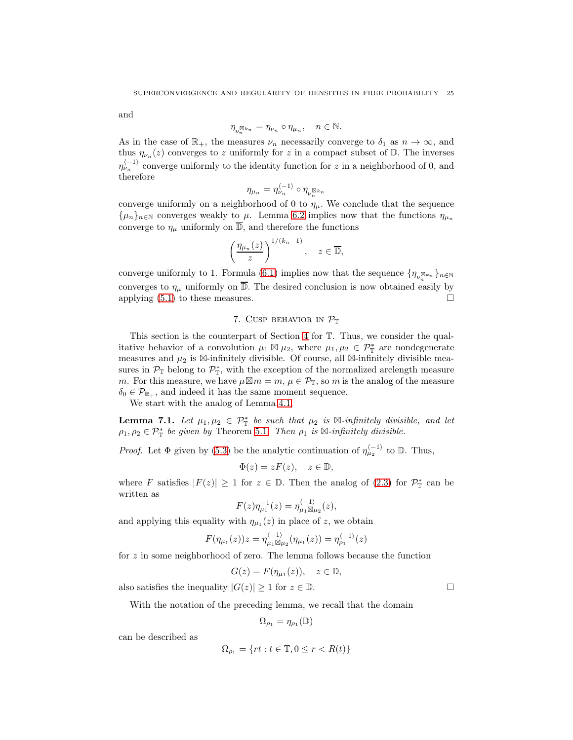and

$$
\eta_{\nu_n^{\boxtimes k_n}} = \eta_{\nu_n} \circ \eta_{\mu_n}, \quad n \in \mathbb{N}.
$$

As in the case of  $\mathbb{R}_+$ , the measures  $\nu_n$  necessarily converge to  $\delta_1$  as  $n \to \infty$ , and thus  $\eta_{\nu_n}(z)$  converges to z uniformly for z in a compact subset of  $\mathbb{D}$ . The inverses  $\eta_{\nu_n}^{\langle -1 \rangle}$  converge uniformly to the identity function for z in a neighborhood of 0, and therefore

$$
\eta_{\mu_n} = \eta_{\nu_n}^{\langle -1 \rangle} \circ \eta_{\nu_n^{\boxtimes k_n}}
$$

converge uniformly on a neighborhood of 0 to  $\eta_{\mu}$ . We conclude that the sequence  $\{\mu_n\}_{n\in\mathbb{N}}$  converges weakly to  $\mu$ . Lemma [6.2](#page-22-1) implies now that the functions  $\eta_{\mu_n}$ converge to  $\eta_{\mu}$  uniformly on  $\overline{\mathbb{D}}$ , and therefore the functions

$$
\left(\frac{\eta_{\mu_n}(z)}{z}\right)^{1/(k_n-1)}, \quad z \in \overline{\mathbb{D}},
$$

converge uniformly to 1. Formula [\(6.1\)](#page-23-0) implies now that the sequence  $\{\eta_{\nu_n^{\boxtimes k_n}}\}_{n\in\mathbb{N}}$ converges to  $\eta_{\mu}$  uniformly on  $\overline{\mathbb{D}}$ . The desired conclusion is now obtained easily by applying  $(5.1)$  to these measures.

## 7. CUSP BEHAVIOR IN  $\mathcal{P}_{\mathbb{T}}$

<span id="page-24-0"></span>This section is the counterpart of Section [4](#page-11-0) for T. Thus, we consider the qualitative behavior of a convolution  $\mu_1 \boxtimes \mu_2$ , where  $\mu_1, \mu_2 \in \mathcal{P}_{\mathbb{T}}^*$  are nondegenerate measures and  $\mu_2$  is ⊠-infinitely divisible. Of course, all ⊠-infinitely divisible measures in  $\mathcal{P}_{\mathbb{T}}$  belong to  $\mathcal{P}_{\mathbb{T}}^*$ , with the exception of the normalized arclength measure m. For this measure, we have  $\mu \boxtimes m = m$ ,  $\mu \in \mathcal{P}_{\mathbb{T}}$ , so m is the analog of the measure  $\delta_0 \in \mathcal{P}_{\mathbb{R}_+}$ , and indeed it has the same moment sequence.

We start with the analog of Lemma [4.1.](#page-12-0)

**Lemma 7.1.** Let  $\mu_1, \mu_2 \in \mathcal{P}_{\mathbb{T}}^*$  be such that  $\mu_2$  is  $\boxtimes$ -infinitely divisible, and let  $\rho_1, \rho_2 \in \mathcal{P}_{\mathbb{T}}^*$  be given by Theorem [5.1](#page-19-2). Then  $\rho_1$  is  $\boxtimes$ -infinitely divisible.

*Proof.* Let  $\Phi$  given by [\(5.3\)](#page-20-0) be the analytic continuation of  $\eta_{\mu_2}^{(-1)}$  to  $\mathbb{D}$ . Thus,

$$
\Phi(z) = zF(z), \quad z \in \mathbb{D},
$$

where F satisfies  $|F(z)| \geq 1$  for  $z \in \mathbb{D}$ . Then the analog of [\(2.3\)](#page-4-2) for  $\mathcal{P}_{\mathbb{T}}^*$  can be written as

$$
F(z)\eta_{\mu_1}^{-1}(z) = \eta_{\mu_1\boxtimes\mu_2}^{\langle -1 \rangle}(z),
$$

and applying this equality with  $\eta_{\mu_1}(z)$  in place of z, we obtain

$$
F(\eta_{\mu_1}(z))z = \eta_{\mu_1 \boxtimes \mu_2}^{(-1)}(\eta_{\mu_1}(z)) = \eta_{\rho_1}^{(-1)}(z)
$$

for  $z$  in some neighborhood of zero. The lemma follows because the function

$$
G(z) = F(\eta_{\mu_1}(z)), \quad z \in \mathbb{D},
$$

also satisfies the inequality  $|G(z)| \geq 1$  for  $z \in \mathbb{D}$ .

With the notation of the preceding lemma, we recall that the domain

$$
\Omega_{\rho_1} = \eta_{\rho_1}(\mathbb{D})
$$

can be described as

$$
\Omega_{\rho_1}=\{rt:t\in\mathbb{T},0\leq r
$$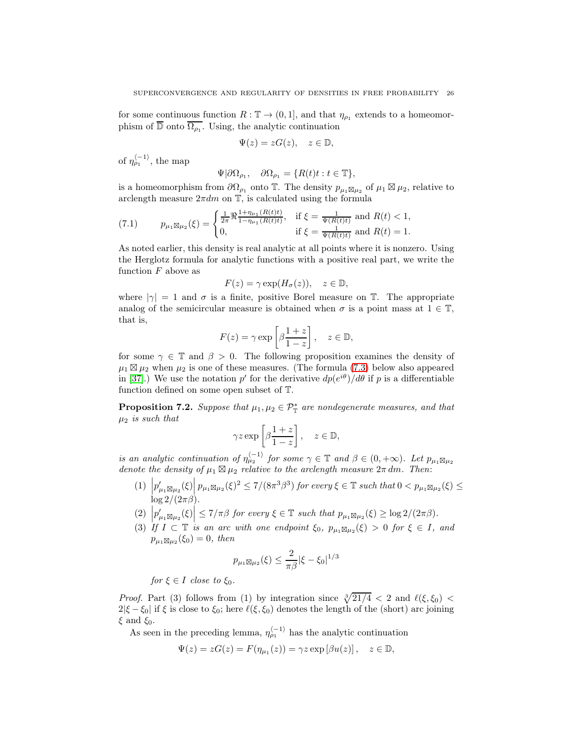for some continuous function  $R : \mathbb{T} \to (0, 1]$ , and that  $\eta_{\rho_1}$  extends to a homeomorphism of  $\overline{\mathbb{D}}$  onto  $\overline{\Omega_{\rho_1}}$ . Using, the analytic continuation

$$
\Psi(z)=zG(z),\quad z\in\mathbb{D},
$$

of  $\eta_{\rho_1}^{\langle -1 \rangle}$ , the map

$$
\Psi|\partial\Omega_{\rho_1}, \quad \partial\Omega_{\rho_1} = \{R(t)t : t \in \mathbb{T}\},\
$$

is a homeomorphism from  $\partial\Omega_{\rho_1}$  onto T. The density  $p_{\mu_1\boxtimes\mu_2}$  of  $\mu_1\boxtimes\mu_2$ , relative to arclength measure  $2\pi dm$  on  $\mathbb{T}$ , is calculated using the formula

<span id="page-25-0"></span>(7.1) 
$$
p_{\mu_1 \boxtimes \mu_2}(\xi) = \begin{cases} \frac{1}{2\pi} \Re \frac{1 + \eta_{\mu_1}(R(t)t)}{1 - \eta_{\mu_1}(R(t)t)}, & \text{if } \xi = \frac{1}{\Psi(R(t)t)} \text{ and } R(t) < 1, \\ 0, & \text{if } \xi = \frac{1}{\Psi(R(t)t)} \text{ and } R(t) = 1. \end{cases}
$$

As noted earlier, this density is real analytic at all points where it is nonzero. Using the Herglotz formula for analytic functions with a positive real part, we write the function  $F$  above as

$$
F(z) = \gamma \exp(H_{\sigma}(z)), \quad z \in \mathbb{D},
$$

where  $|\gamma|=1$  and  $\sigma$  is a finite, positive Borel measure on T. The appropriate analog of the semicircular measure is obtained when  $\sigma$  is a point mass at  $1 \in \mathbb{T}$ , that is,

$$
F(z) = \gamma \exp\left[\beta \frac{1+z}{1-z}\right], \quad z \in \mathbb{D},
$$

for some  $\gamma \in \mathbb{T}$  and  $\beta > 0$ . The following proposition examines the density of  $\mu_1 \boxtimes \mu_2$  when  $\mu_2$  is one of these measures. (The formula [\(7.3\)](#page-26-0) below also appeared in [\[37\]](#page-53-3).) We use the notation p' for the derivative  $dp(e^{i\theta})/d\theta$  if p is a differentiable function defined on some open subset of T.

<span id="page-25-1"></span>**Proposition 7.2.** Suppose that  $\mu_1, \mu_2 \in \mathcal{P}_{\mathbb{T}}^*$  are nondegenerate measures, and that  $\mu_2$  is such that

$$
\gamma z \exp\left[\beta \frac{1+z}{1-z}\right], \quad z \in \mathbb{D},
$$

is an analytic continuation of  $\eta_{\mu_2}^{\langle -1 \rangle}$  for some  $\gamma \in \mathbb{T}$  and  $\beta \in (0, +\infty)$ . Let  $p_{\mu_1 \boxtimes \mu_2}$ denote the density of  $\mu_1 \boxtimes \mu_2$  relative to the arclength measure  $2\pi dm$ . Then:

- (1)  $\left|p'_{\mu_1\boxtimes\mu_2}(\xi)\right|p_{\mu_1\boxtimes\mu_2}(\xi)^2 \leq 7/(8\pi^3\beta^3)$  for every  $\xi \in \mathbb{T}$  such that  $0 < p_{\mu_1\boxtimes\mu_2}(\xi) \leq$  $\log 2/(2\pi\beta)$ .
- (2)  $\left|p'_{\mu_1\boxtimes\mu_2}(\xi)\right| \leq 7/\pi\beta$  for every  $\xi \in \mathbb{T}$  such that  $p_{\mu_1\boxtimes\mu_2}(\xi) \geq \log 2/(2\pi\beta)$ .
- (3) If  $I \subset \mathbb{T}$  is an arc with one endpoint  $\xi_0$ ,  $p_{\mu_1 \boxtimes \mu_2}(\xi) > 0$  for  $\xi \in I$ , and  $p_{\mu_1} \boxtimes_{\mu_2} (\xi_0) = 0$ , then

$$
p_{\mu_1 \boxtimes \mu_2}(\xi) \le \frac{2}{\pi \beta} |\xi - \xi_0|^{1/3}
$$

for  $\xi \in I$  close to  $\xi_0$ .

*Proof.* Part (3) follows from (1) by integration since  $\sqrt[3]{21/4}$  < 2 and  $\ell(\xi, \xi_0)$  <  $2|\xi - \xi_0|$  if  $\xi$  is close to  $\xi_0$ ; here  $\ell(\xi, \xi_0)$  denotes the length of the (short) arc joining  $\xi$  and  $\xi_0$ .

As seen in the preceding lemma,  $\eta_{\rho_1}^{\langle -1 \rangle}$  has the analytic continuation

$$
\Psi(z) = zG(z) = F(\eta_{\mu_1}(z)) = \gamma z \exp[\beta u(z)], \quad z \in \mathbb{D},
$$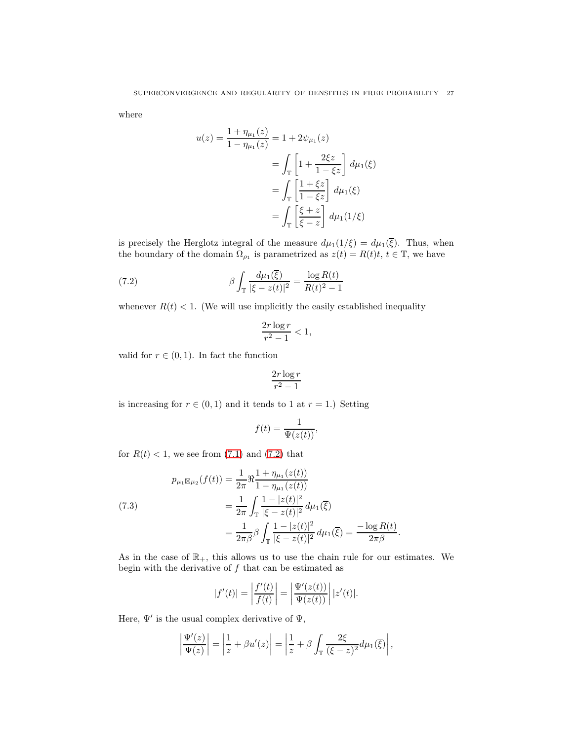where

$$
u(z) = \frac{1 + \eta_{\mu_1}(z)}{1 - \eta_{\mu_1}(z)} = 1 + 2\psi_{\mu_1}(z)
$$
  
= 
$$
\int_{\mathbb{T}} \left[ 1 + \frac{2\xi z}{1 - \xi z} \right] d\mu_1(\xi)
$$
  
= 
$$
\int_{\mathbb{T}} \left[ \frac{1 + \xi z}{1 - \xi z} \right] d\mu_1(\xi)
$$
  
= 
$$
\int_{\mathbb{T}} \left[ \frac{\xi + z}{\xi - z} \right] d\mu_1(1/\xi)
$$

is precisely the Herglotz integral of the measure  $d\mu_1(1/\xi) = d\mu_1(\overline{\xi})$ . Thus, when the boundary of the domain  $\Omega_{\rho_1}$  is parametrized as  $z(t) = R(t)t, t \in \mathbb{T}$ , we have

(7.2) 
$$
\beta \int_{\mathbb{T}} \frac{d\mu_1(\overline{\xi})}{|\xi - z(t)|^2} = \frac{\log R(t)}{R(t)^2 - 1}
$$

whenever  $R(t) < 1$ . (We will use implicitly the easily established inequality

<span id="page-26-1"></span>
$$
\frac{2r\log r}{r^2-1} < 1,
$$

valid for  $r \in (0, 1)$ . In fact the function

$$
\frac{2r\log r}{r^2-1}
$$

is increasing for  $r \in (0,1)$  and it tends to 1 at  $r = 1$ .) Setting

$$
f(t) = \frac{1}{\Psi(z(t))},
$$

for  $R(t) < 1$ , we see from [\(7.1\)](#page-25-0) and [\(7.2\)](#page-26-1) that

<span id="page-26-0"></span>(7.3)  
\n
$$
p_{\mu_1 \boxtimes \mu_2}(f(t)) = \frac{1}{2\pi} \Re \frac{1 + \eta_{\mu_1}(z(t))}{1 - \eta_{\mu_1}(z(t))}
$$
\n
$$
= \frac{1}{2\pi} \int_{\mathbb{T}} \frac{1 - |z(t)|^2}{|\xi - z(t)|^2} d\mu_1(\overline{\xi})
$$
\n
$$
= \frac{1}{2\pi \beta} \beta \int_{\mathbb{T}} \frac{1 - |z(t)|^2}{|\xi - z(t)|^2} d\mu_1(\overline{\xi}) = \frac{-\log R(t)}{2\pi \beta}.
$$

As in the case of  $\mathbb{R}_+$ , this allows us to use the chain rule for our estimates. We begin with the derivative of  $f$  that can be estimated as

$$
|f'(t)| = \left| \frac{f'(t)}{f(t)} \right| = \left| \frac{\Psi'(z(t))}{\Psi(z(t))} \right| |z'(t)|.
$$

Here,  $\Psi'$  is the usual complex derivative of  $\Psi$ ,

$$
\left|\frac{\Psi'(z)}{\Psi(z)}\right| = \left|\frac{1}{z} + \beta u'(z)\right| = \left|\frac{1}{z} + \beta \int_{\mathbb{T}} \frac{2\xi}{(\xi - z)^2} d\mu_1(\overline{\xi})\right|,
$$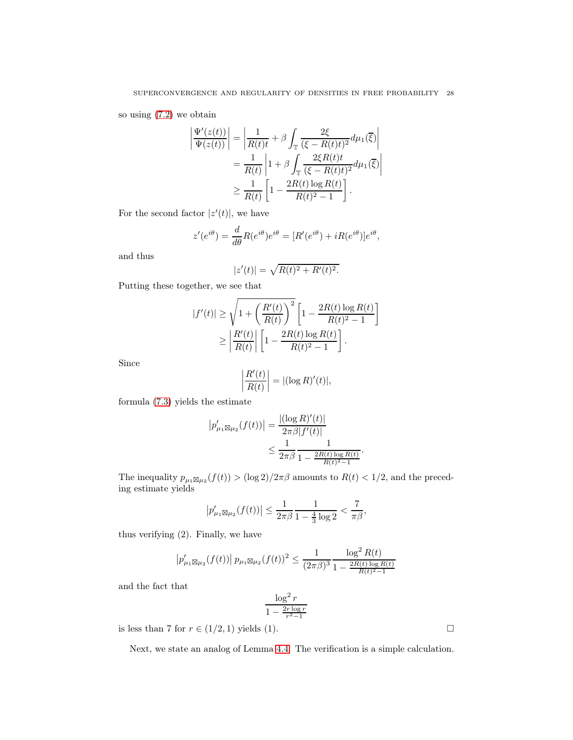so using [\(7.2\)](#page-26-1) we obtain

$$
\left| \frac{\Psi'(z(t))}{\Psi(z(t))} \right| = \left| \frac{1}{R(t)t} + \beta \int_{\mathbb{T}} \frac{2\xi}{(\xi - R(t)t)^2} d\mu_1(\overline{\xi}) \right|
$$
  
\n
$$
= \frac{1}{R(t)} \left| 1 + \beta \int_{\mathbb{T}} \frac{2\xi R(t)t}{(\xi - R(t)t)^2} d\mu_1(\overline{\xi}) \right|
$$
  
\n
$$
\geq \frac{1}{R(t)} \left[ 1 - \frac{2R(t) \log R(t)}{R(t)^2 - 1} \right].
$$

For the second factor  $|z'(t)|$ , we have

$$
z'(e^{i\theta}) = \frac{d}{d\theta}R(e^{i\theta})e^{i\theta} = [R'(e^{i\theta}) + iR(e^{i\theta})]e^{i\theta},
$$

and thus

$$
|z'(t)| = \sqrt{R(t)^2 + R'(t)^2}.
$$

Putting these together, we see that

$$
|f'(t)| \ge \sqrt{1 + \left(\frac{R'(t)}{R(t)}\right)^2} \left[1 - \frac{2R(t)\log R(t)}{R(t)^2 - 1}\right]
$$
  
 
$$
\ge \left|\frac{R'(t)}{R(t)}\right| \left[1 - \frac{2R(t)\log R(t)}{R(t)^2 - 1}\right].
$$

Since

$$
\left| \frac{R'(t)}{R(t)} \right| = |(\log R)'(t)|,
$$

formula [\(7.3\)](#page-26-0) yields the estimate

$$
|p'_{\mu_1 \boxtimes \mu_2}(f(t))| = \frac{|(\log R)'(t)|}{2\pi \beta |f'(t)|} \le \frac{1}{2\pi \beta} \frac{1}{1 - \frac{2R(t)\log R(t)}{R(t)^2 - 1}}.
$$

The inequality  $p_{\mu_1 \boxtimes \mu_2}(f(t)) > (\log 2)/2\pi\beta$  amounts to  $R(t) < 1/2$ , and the preceding estimate yields

$$
\left|p'_{\mu_1\boxtimes\mu_2}(f(t))\right| \leq \frac{1}{2\pi\beta} \frac{1}{1-\frac{4}{3}\log 2} < \frac{7}{\pi\beta},
$$

thus verifying (2). Finally, we have

$$
\left|p'_{\mu_1 \boxtimes \mu_2}(f(t))\right| p_{\mu_1 \boxtimes \mu_2}(f(t))^2 \le \frac{1}{(2\pi\beta)^3} \frac{\log^2 R(t)}{1 - \frac{2R(t)\log R(t)}{R(t)^2 - 1}}
$$

and the fact that

$$
\frac{\log^2 r}{1 - \frac{2r \log r}{r^2 - 1}}
$$

is less than 7 for  $r \in (1/2, 1)$  yields (1).

Next, we state an analog of Lemma [4.4.](#page-15-0) The verification is a simple calculation.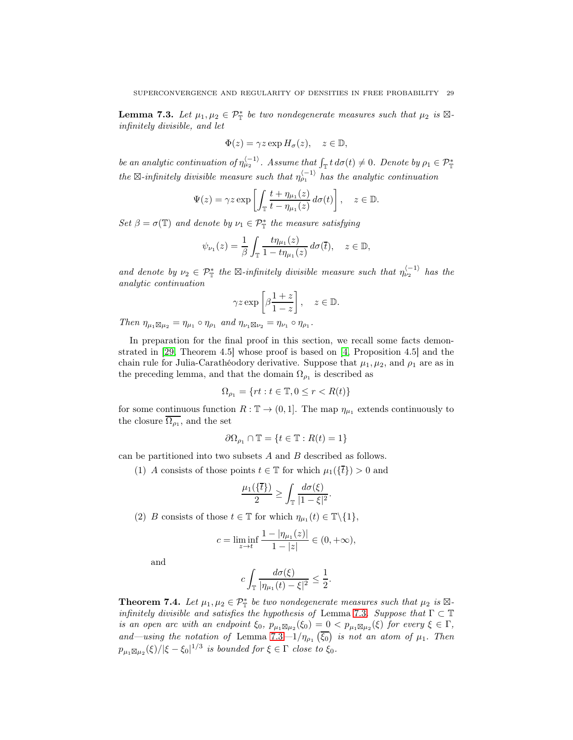<span id="page-28-0"></span>**Lemma 7.3.** Let  $\mu_1, \mu_2 \in \mathcal{P}_{\mathbb{T}}^*$  be two nondegenerate measures such that  $\mu_2$  is  $\boxtimes$ infinitely divisible, and let

$$
\Phi(z) = \gamma z \exp H_{\sigma}(z), \quad z \in \mathbb{D},
$$

be an analytic continuation of  $\eta_{\mu_2}^{(-1)}$ . Assume that  $\int_{\mathbb{T}} t d\sigma(t) \neq 0$ . Denote by  $\rho_1 \in \mathcal{P}_{\mathbb{T}}^*$ the  $\boxtimes$ -infinitely divisible measure such that  $\eta_{\rho_1}^{\langle -1 \rangle}$  has the analytic continuation

$$
\Psi(z) = \gamma z \exp\left[\int_{\mathbb{T}} \frac{t + \eta_{\mu_1}(z)}{t - \eta_{\mu_1}(z)} d\sigma(t)\right], \quad z \in \mathbb{D}.
$$

Set  $\beta = \sigma(\mathbb{T})$  and denote by  $\nu_1 \in \mathcal{P}_{\mathbb{T}}^*$  the measure satisfying

$$
\psi_{\nu_1}(z) = \frac{1}{\beta} \int_{\mathbb{T}} \frac{t \eta_{\mu_1}(z)}{1 - t \eta_{\mu_1}(z)} d\sigma(\overline{t}), \quad z \in \mathbb{D},
$$

and denote by  $\nu_2 \in \mathcal{P}_{\mathbb{T}}^*$  the  $\boxtimes$ -infinitely divisible measure such that  $\eta_{\nu_2}^{(-1)}$  has the analytic continuation

$$
\gamma z \exp\left[\beta \frac{1+z}{1-z}\right], \quad z \in \mathbb{D}.
$$

Then  $\eta_{\mu_1 \boxtimes \mu_2} = \eta_{\mu_1} \circ \eta_{\rho_1}$  and  $\eta_{\nu_1 \boxtimes \nu_2} = \eta_{\nu_1} \circ \eta_{\rho_1}$ .

In preparation for the final proof in this section, we recall some facts demonstrated in [\[29,](#page-52-9) Theorem 4.5] whose proof is based on [\[4,](#page-51-2) Proposition 4.5] and the chain rule for Julia-Carathéodory derivative. Suppose that  $\mu_1, \mu_2$ , and  $\rho_1$  are as in the preceding lemma, and that the domain  $\Omega_{\rho_1}$  is described as

$$
\Omega_{\rho_1} = \{ rt : t \in \mathbb{T}, 0 \le r < R(t) \}
$$

for some continuous function  $R : \mathbb{T} \to (0, 1]$ . The map  $\eta_{\mu_1}$  extends continuously to the closure  $\Omega_{\rho_1}$ , and the set

$$
\partial\Omega_{\rho_1} \cap \mathbb{T} = \{t \in \mathbb{T} : R(t) = 1\}
$$

can be partitioned into two subsets A and B described as follows.

(1) A consists of those points  $t \in \mathbb{T}$  for which  $\mu_1(\{\overline{t}\}) > 0$  and

$$
\frac{\mu_1(\{\overline{t}\})}{2} \ge \int_{\mathbb{T}} \frac{d\sigma(\xi)}{|1-\xi|^2}.
$$

(2) B consists of those  $t \in \mathbb{T}$  for which  $\eta_{\mu_1}(t) \in \mathbb{T} \setminus \{1\},\$ 

$$
c = \liminf_{z \to t} \frac{1 - |\eta_{\mu_1}(z)|}{1 - |z|} \in (0, +\infty),
$$

and

$$
c\int_{\mathbb{T}}\frac{d\sigma(\xi)}{|\eta_{\mu_1}(t)-\xi|^2}\leq \frac{1}{2}.
$$

<span id="page-28-1"></span>**Theorem 7.4.** Let  $\mu_1, \mu_2 \in \mathcal{P}_{\mathbb{T}}^*$  be two nondegenerate measures such that  $\mu_2$  is  $\boxtimes$ -infinitely divisible and satisfies the hypothesis of Lemma [7.3](#page-28-0). Suppose that  $\Gamma \subset \mathbb{T}$ is an open arc with an endpoint  $\xi_0$ ,  $p_{\mu_1 \boxtimes \mu_2}(\xi_0) = 0 < p_{\mu_1 \boxtimes \mu_2}(\xi)$  for every  $\xi \in \Gamma$ , and—using the notation of Lemma [7.3](#page-28-0)—1/ $\eta_{\rho_1}(\overline{\xi_0})$  is not an atom of  $\mu_1$ . Then  $p_{\mu_1\boxtimes\mu_2}(\xi)/|\xi-\xi_0|^{1/3}$  is bounded for  $\xi\in\Gamma$  close to  $\xi_0$ .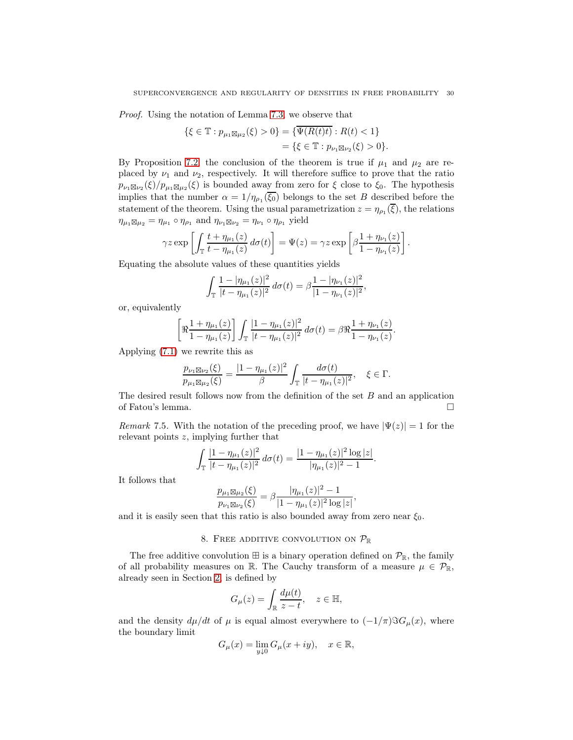Proof. Using the notation of Lemma [7.3,](#page-28-0) we observe that

$$
\{\xi \in \mathbb{T} : p_{\mu_1 \boxtimes \mu_2}(\xi) > 0\} = \{\overline{\Psi(R(t)t)} : R(t) < 1\}
$$
  
=  $\{\xi \in \mathbb{T} : p_{\nu_1 \boxtimes \nu_2}(\xi) > 0\}.$ 

By Proposition [7.2,](#page-25-1) the conclusion of the theorem is true if  $\mu_1$  and  $\mu_2$  are replaced by  $\nu_1$  and  $\nu_2$ , respectively. It will therefore suffice to prove that the ratio  $p_{\nu_1\boxtimes\nu_2}(\xi)/p_{\mu_1\boxtimes\mu_2}(\xi)$  is bounded away from zero for  $\xi$  close to  $\xi_0$ . The hypothesis implies that the number  $\alpha = 1/\eta_{\rho_1}(\xi_0)$  belongs to the set B described before the statement of the theorem. Using the usual parametrization  $z = \eta_{\rho_1}(\xi)$ , the relations  $\eta_{\mu_1} \boxtimes_{\mu_2} = \eta_{\mu_1} \circ \eta_{\rho_1}$  and  $\eta_{\nu_1} \boxtimes_{\nu_2} = \eta_{\nu_1} \circ \eta_{\rho_1}$  yield

$$
\gamma z \exp\left[\int_{\mathbb{T}} \frac{t + \eta_{\mu_1}(z)}{t - \eta_{\mu_1}(z)} d\sigma(t)\right] = \Psi(z) = \gamma z \exp\left[\beta \frac{1 + \eta_{\nu_1}(z)}{1 - \eta_{\nu_1}(z)}\right].
$$

Equating the absolute values of these quantities yields

$$
\int_{\mathbb{T}} \frac{1 - |\eta_{\mu_1}(z)|^2}{|t - \eta_{\mu_1}(z)|^2} d\sigma(t) = \beta \frac{1 - |\eta_{\nu_1}(z)|^2}{|1 - \eta_{\nu_1}(z)|^2},
$$

or, equivalently

$$
\[\Re \frac{1+\eta_{\mu_1}(z)}{1-\eta_{\mu_1}(z)}\] \int_{\mathbb{T}} \frac{|1-\eta_{\mu_1}(z)|^2}{|t-\eta_{\mu_1}(z)|^2} \, d\sigma(t) = \beta \Re \frac{1+\eta_{\nu_1}(z)}{1-\eta_{\nu_1}(z)}.
$$

Applying [\(7.1\)](#page-25-0) we rewrite this as

$$
\frac{p_{\nu_1 \boxtimes \nu_2}(\xi)}{p_{\mu_1 \boxtimes \mu_2}(\xi)} = \frac{|1 - \eta_{\mu_1}(z)|^2}{\beta} \int_{\mathbb{T}} \frac{d\sigma(t)}{|t - \eta_{\mu_1}(z)|^2}, \quad \xi \in \Gamma.
$$

The desired result follows now from the definition of the set  $B$  and an application of Fatou's lemma.

Remark 7.5. With the notation of the preceding proof, we have  $|\Psi(z)| = 1$  for the relevant points z, implying further that

$$
\int_{\mathbb{T}} \frac{|1 - \eta_{\mu_1}(z)|^2}{|t - \eta_{\mu_1}(z)|^2} d\sigma(t) = \frac{|1 - \eta_{\mu_1}(z)|^2 \log |z|}{|\eta_{\mu_1}(z)|^2 - 1}.
$$

It follows that

$$
\frac{p_{\mu_1 \boxtimes \mu_2}(\xi)}{p_{\nu_1 \boxtimes \nu_2}(\xi)} = \beta \frac{|\eta_{\mu_1}(z)|^2 - 1}{|1 - \eta_{\mu_1}(z)|^2 \log |z|},
$$

<span id="page-29-0"></span>and it is easily seen that this ratio is also bounded away from zero near  $\xi_0$ .

# 8. FREE ADDITIVE CONVOLUTION ON  $\mathcal{P}_{\mathbb{R}}$

The free additive convolution  $\mathbb{H}$  is a binary operation defined on  $\mathcal{P}_{\mathbb{R}}$ , the family of all probability measures on R. The Cauchy transform of a measure  $\mu \in \mathcal{P}_{\mathbb{R}}$ , already seen in Section [2,](#page-1-0) is defined by

$$
G_{\mu}(z) = \int_{\mathbb{R}} \frac{d\mu(t)}{z - t}, \quad z \in \mathbb{H},
$$

and the density  $d\mu/dt$  of  $\mu$  is equal almost everywhere to  $(-1/\pi)\Im G_{\mu}(x)$ , where the boundary limit

$$
G_\mu(x)=\lim_{y\downarrow 0}G_\mu(x+iy),\quad x\in\mathbb{R},
$$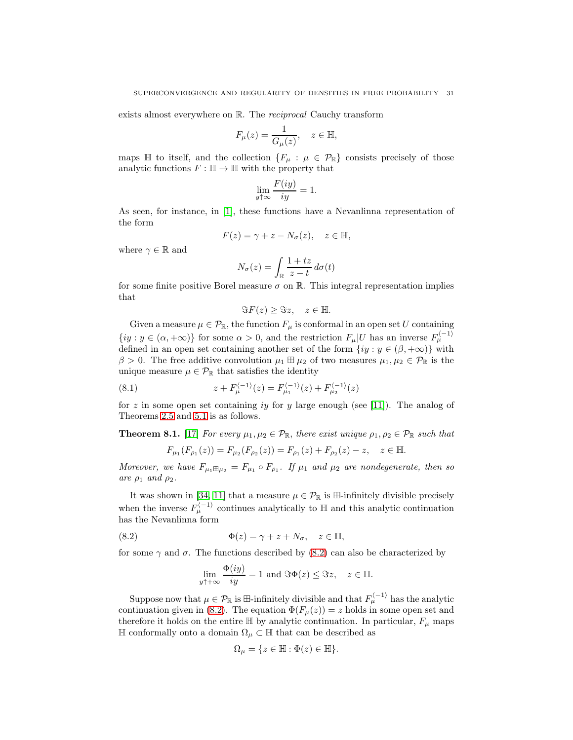exists almost everywhere on R. The *reciprocal* Cauchy transform

$$
F_{\mu}(z) = \frac{1}{G_{\mu}(z)}, \quad z \in \mathbb{H},
$$

maps  $\mathbb H$  to itself, and the collection  $\{F_\mu : \mu \in \mathcal P_{\mathbb R}\}\)$  consists precisely of those analytic functions  $F : \mathbb{H} \to \mathbb{H}$  with the property that

$$
\lim_{y \uparrow \infty} \frac{F(iy)}{iy} = 1.
$$

As seen, for instance, in [\[1\]](#page-51-3), these functions have a Nevanlinna representation of the form

$$
F(z) = \gamma + z - N_{\sigma}(z), \quad z \in \mathbb{H},
$$

where  $\gamma \in \mathbb{R}$  and

$$
N_{\sigma}(z) = \int_{\mathbb{R}} \frac{1+tz}{z-t} \, d\sigma(t)
$$

for some finite positive Borel measure  $\sigma$  on R. This integral representation implies that

$$
\Im F(z) \geq \Im z, \quad z \in \mathbb{H}.
$$

Given a measure  $\mu \in \mathcal{P}_{\mathbb{R}}$ , the function  $F_{\mu}$  is conformal in an open set U containing  $\{iy : y \in (\alpha, +\infty)\}\)$  for some  $\alpha > 0$ , and the restriction  $F_{\mu}|U$  has an inverse  $F_{\mu}^{(-1)}$ defined in an open set containing another set of the form  $\{iy : y \in (\beta, +\infty)\}\$  with  $\beta > 0$ . The free additive convolution  $\mu_1 \boxplus \mu_2$  of two measures  $\mu_1, \mu_2 \in \mathcal{P}_{\mathbb{R}}$  is the unique measure  $\mu \in \mathcal{P}_{\mathbb{R}}$  that satisfies the identity

(8.1) 
$$
z + F_{\mu}^{(-1)}(z) = F_{\mu_1}^{(-1)}(z) + F_{\mu_2}^{(-1)}(z)
$$

for z in some open set containing iy for y large enough (see [\[11\]](#page-52-7)). The analog of Theorems [2.5](#page-4-1) and [5.1](#page-19-2) is as follows.

<span id="page-30-1"></span>**Theorem 8.1.** [17] For every  $\mu_1, \mu_2 \in \mathcal{P}_{\mathbb{R}}$ , there exist unique  $\rho_1, \rho_2 \in \mathcal{P}_{\mathbb{R}}$  such that

<span id="page-30-2"></span>
$$
F_{\mu_1}(F_{\rho_1}(z)) = F_{\mu_2}(F_{\rho_2}(z)) = F_{\rho_1}(z) + F_{\rho_2}(z) - z, \quad z \in \mathbb{H}.
$$

Moreover, we have  $F_{\mu_1 \boxplus \mu_2} = F_{\mu_1} \circ F_{\rho_1}$ . If  $\mu_1$  and  $\mu_2$  are nondegenerate, then so are  $\rho_1$  and  $\rho_2$ .

It was shown in [\[34,](#page-53-4) [11\]](#page-52-7) that a measure  $\mu \in \mathcal{P}_{\mathbb{R}}$  is  $\mathbb{H}$ -infinitely divisible precisely when the inverse  $F_{\mu}^{(-1)}$  continues analytically to  $\mathbb H$  and this analytic continuation has the Nevanlinna form

(8.2) 
$$
\Phi(z) = \gamma + z + N_{\sigma}, \quad z \in \mathbb{H},
$$

for some  $\gamma$  and  $\sigma$ . The functions described by [\(8.2\)](#page-30-0) can also be characterized by

<span id="page-30-0"></span>
$$
\lim_{y \uparrow +\infty} \frac{\Phi(iy)}{iy} = 1 \text{ and } \Im \Phi(z) \leq \Im z, \quad z \in \mathbb{H}.
$$

Suppose now that  $\mu \in \mathcal{P}_{\mathbb{R}}$  is  $\pm$ -infinitely divisible and that  $F_{\mu}^{(-1)}$  has the analytic continuation given in [\(8.2\)](#page-30-0). The equation  $\Phi(F_\mu(z)) = z$  holds in some open set and therefore it holds on the entire  $\mathbb H$  by analytic continuation. In particular,  $F_\mu$  maps <sup>H</sup> conformally onto a domain <sup>Ω</sup><sup>µ</sup> <sup>⊂</sup> <sup>H</sup> that can be described as

$$
\Omega_\mu=\{z\in\mathbb{H}:\Phi(z)\in\mathbb{H}\}.
$$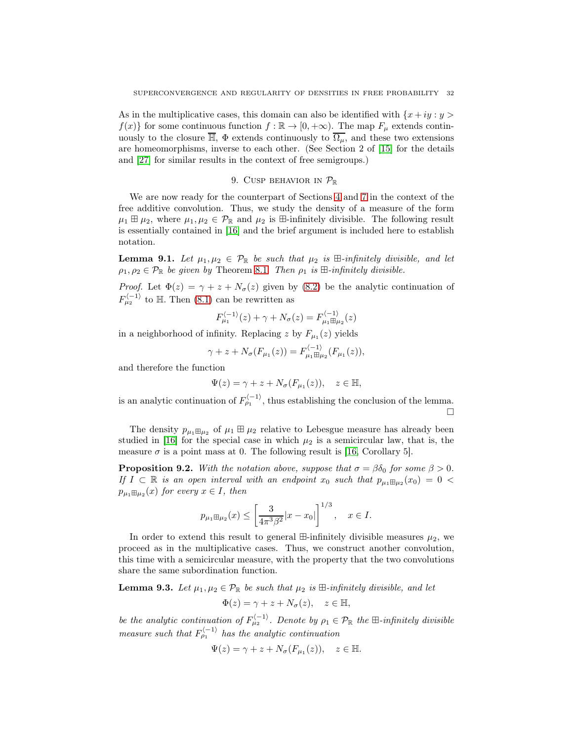As in the multiplicative cases, this domain can also be identified with  $\{x + iy : y >$  $f(x)$  for some continuous function  $f : \mathbb{R} \to [0, +\infty)$ . The map  $F_\mu$  extends continuously to the closure  $\overline{\mathbb{H}}$ ,  $\Phi$  extends continuously to  $\overline{\Omega_{\mu}}$ , and these two extensions are homeomorphisms, inverse to each other. (See Section 2 of [\[15\]](#page-52-2) for the details and [\[27\]](#page-52-18) for similar results in the context of free semigroups.)

## 9. CUSP BEHAVIOR IN  $\mathcal{P}_{\mathbb{R}}$

<span id="page-31-0"></span>We are now ready for the counterpart of Sections [4](#page-11-0) and [7](#page-24-0) in the context of the free additive convolution. Thus, we study the density of a measure of the form  $\mu_1 \boxplus \mu_2$ , where  $\mu_1, \mu_2 \in \mathcal{P}_{\mathbb{R}}$  and  $\mu_2$  is  $\boxplus$ -infinitely divisible. The following result is essentially contained in [\[16\]](#page-52-5) and the brief argument is included here to establish notation.

**Lemma 9.1.** Let  $\mu_1, \mu_2 \in \mathcal{P}_{\mathbb{R}}$  be such that  $\mu_2$  is  $\mathbb{H}\text{-infinitely divisible, and let}$  $\rho_1, \rho_2 \in \mathcal{P}_{\mathbb{R}}$  be given by Theorem [8.1.](#page-30-1) Then  $\rho_1$  is  $\mathbb{H}\text{-}\text{infinitely divisible.}$ 

*Proof.* Let  $\Phi(z) = \gamma + z + N_{\sigma}(z)$  given by [\(8.2\)](#page-30-0) be the analytic continuation of  $F_{\mu_2}^{\langle -1 \rangle}$  to H. Then [\(8.1\)](#page-30-2) can be rewritten as

$$
F_{\mu_1}^{\langle -1 \rangle}(z) + \gamma + N_{\sigma}(z) = F_{\mu_1 \boxplus \mu_2}^{\langle -1 \rangle}(z)
$$

in a neighborhood of infinity. Replacing z by  $F_{\mu_1}(z)$  yields

$$
\gamma + z + N_{\sigma}(F_{\mu_1}(z)) = F_{\mu_1 \boxplus \mu_2}^{(-1)}(F_{\mu_1}(z)),
$$

and therefore the function

$$
\Psi(z) = \gamma + z + N_{\sigma}(F_{\mu_1}(z)), \quad z \in \mathbb{H},
$$

is an analytic continuation of  $F_{\rho_1}^{\langle -1 \rangle}$ , thus establishing the conclusion of the lemma.  $\Box$ 

The density  $p_{\mu_1 \boxplus \mu_2}$  of  $\mu_1 \boxplus \mu_2$  relative to Lebesgue measure has already been studied in [\[16\]](#page-52-5) for the special case in which  $\mu_2$  is a semicircular law, that is, the measure  $\sigma$  is a point mass at 0. The following result is [\[16,](#page-52-5) Corollary 5].

<span id="page-31-2"></span>**Proposition 9.2.** With the notation above, suppose that  $\sigma = \beta \delta_0$  for some  $\beta > 0$ . If  $I \subset \mathbb{R}$  is an open interval with an endpoint  $x_0$  such that  $p_{\mu_1} \boxplus_{\mu_2} (x_0) = 0$  $p_{\mu_1\boxplus\mu_2}(x)$  for every  $x\in I$ , then

$$
p_{\mu_1 \boxplus \mu_2}(x) \le \left[\frac{3}{4\pi^3\beta^2}|x-x_0|\right]^{1/3}, \quad x \in I.
$$

In order to extend this result to general  $\mathbb{H}\text{-infinitely divisible measures }\mu_2$ , we proceed as in the multiplicative cases. Thus, we construct another convolution, this time with a semicircular measure, with the property that the two convolutions share the same subordination function.

<span id="page-31-1"></span>**Lemma 9.3.** Let  $\mu_1, \mu_2 \in \mathcal{P}_{\mathbb{R}}$  be such that  $\mu_2$  is  $\mathbb{H}\text{-}\text{infinitely divisible, and let}$ 

$$
\Phi(z) = \gamma + z + N_{\sigma}(z), \quad z \in \mathbb{H},
$$

be the analytic continuation of  $F_{\mu_2}^{(-1)}$ . Denote by  $\rho_1 \in \mathcal{P}_{\mathbb{R}}$  the  $\mathbb{H}$ -infinitely divisible measure such that  $F_{\rho_1}^{\langle -1 \rangle}$  has the analytic continuation

$$
\Psi(z) = \gamma + z + N_{\sigma}(F_{\mu_1}(z)), \quad z \in \mathbb{H}.
$$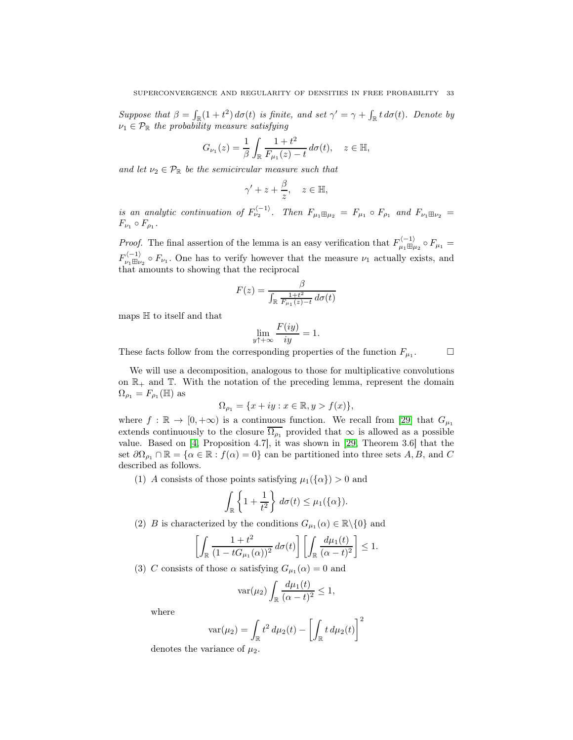Suppose that  $\beta = \int_{\mathbb{R}} (1+t^2) d\sigma(t)$  is finite, and set  $\gamma' = \gamma + \int_{\mathbb{R}} t d\sigma(t)$ . Denote by  $\nu_1 \in \mathcal{P}_{\mathbb{R}}$  the probability measure satisfying

$$
G_{\nu_1}(z) = \frac{1}{\beta} \int_{\mathbb{R}} \frac{1+t^2}{F_{\mu_1}(z) - t} \, d\sigma(t), \quad z \in \mathbb{H},
$$

and let  $\nu_2 \in \mathcal{P}_{\mathbb{R}}$  be the semicircular measure such that

$$
\gamma' + z + \frac{\beta}{z}, \quad z \in \mathbb{H},
$$

is an analytic continuation of  $F_{\nu_2}^{(-1)}$ . Then  $F_{\mu_1 \boxplus \mu_2} = F_{\mu_1} \circ F_{\rho_1}$  and  $F_{\nu_1 \boxplus \nu_2} =$  $F_{\nu_1} \circ F_{\rho_1}$ .

*Proof.* The final assertion of the lemma is an easy verification that  $F_{\mu_1 \boxplus \mu_2}^{(-1)} \circ F_{\mu_1} =$  $F_{\nu_1 \boxplus \nu_2}^{(-1)} \circ F_{\nu_1}$ . One has to verify however that the measure  $\nu_1$  actually exists, and that amounts to showing that the reciprocal

$$
F(z) = \frac{\beta}{\int_{\mathbb{R}} \frac{1+t^2}{F_{\mu_1}(z)-t} d\sigma(t)}
$$

maps H to itself and that

$$
\lim_{y \uparrow + \infty} \frac{F(iy)}{iy} = 1.
$$

These facts follow from the corresponding properties of the function  $F_{\mu_1}$ .

 $\Box$ 

We will use a decomposition, analogous to those for multiplicative convolutions on  $\mathbb{R}_+$  and  $\mathbb{T}$ . With the notation of the preceding lemma, represent the domain  $\Omega_{\rho_1} = F_{\rho_1}(\mathbb{H})$  as

$$
\Omega_{\rho_1} = \{ x + iy : x \in \mathbb{R}, y > f(x) \},\
$$

where  $f : \mathbb{R} \to [0, +\infty)$  is a continuous function. We recall from [\[29\]](#page-52-9) that  $G_{\mu_1}$ extends continuously to the closure  $\overline{\Omega_{\rho_1}}$  provided that  $\infty$  is allowed as a possible value. Based on [\[4,](#page-51-2) Proposition 4.7], it was shown in [\[29,](#page-52-9) Theorem 3.6] that the set  $\partial\Omega_{\rho_1} \cap \mathbb{R} = {\alpha \in \mathbb{R} : f(\alpha) = 0}$  can be partitioned into three sets A, B, and C described as follows.

(1) A consists of those points satisfying  $\mu_1({\{\alpha\}}) > 0$  and

$$
\int_{\mathbb{R}} \left\{ 1 + \frac{1}{t^2} \right\} d\sigma(t) \leq \mu_1(\{\alpha\}).
$$

(2)  $B$  is characterized by the conditions  $G_{\mu_1}(\alpha) \in \mathbb{R} \backslash \{0\}$  and

$$
\left[\int_{\mathbb{R}}\frac{1+t^2}{(1-tG_{\mu_1}(\alpha))^2}d\sigma(t)\right]\left[\int_{\mathbb{R}}\frac{d\mu_1(t)}{(\alpha-t)^2}\right]\leq 1.
$$

(3) C consists of those  $\alpha$  satisfying  $G_{\mu_1}(\alpha) = 0$  and

$$
\operatorname{var}(\mu_2) \int_{\mathbb{R}} \frac{d\mu_1(t)}{(\alpha - t)^2} \le 1,
$$

where

$$
\text{var}(\mu_2) = \int_{\mathbb{R}} t^2 d\mu_2(t) - \left[ \int_{\mathbb{R}} t d\mu_2(t) \right]^2
$$

denotes the variance of  $\mu_2$ .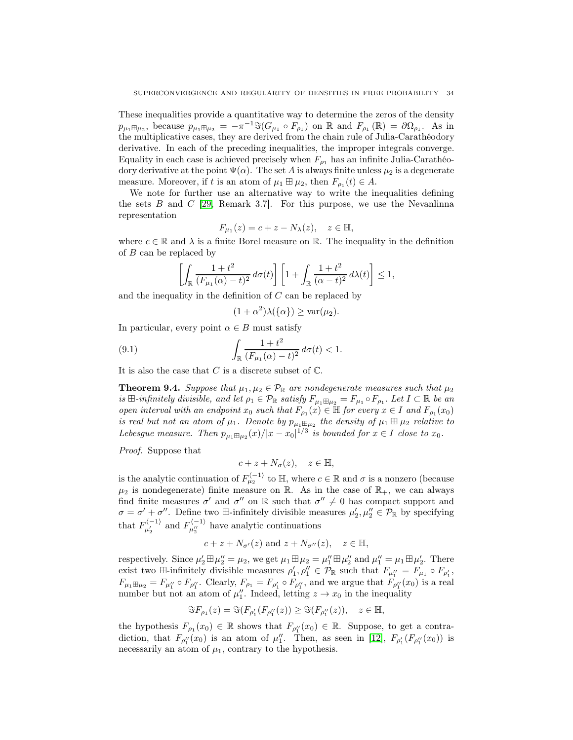These inequalities provide a quantitative way to determine the zeros of the density  $p_{\mu_1 \boxplus \mu_2}$ , because  $p_{\mu_1 \boxplus \mu_2} = -\pi^{-1} \Im(G_{\mu_1} \circ F_{\rho_1})$  on  $\mathbb R$  and  $F_{\rho_1}(\mathbb R) = \partial \Omega_{\rho_1}$ . As in the multiplicative cases, they are derived from the chain rule of Julia-Carathéodory derivative. In each of the preceding inequalities, the improper integrals converge. Equality in each case is achieved precisely when  $F_{\rho_1}$  has an infinite Julia-Carathéodory derivative at the point  $\Psi(\alpha)$ . The set A is always finite unless  $\mu_2$  is a degenerate measure. Moreover, if t is an atom of  $\mu_1 \boxplus \mu_2$ , then  $F_{\rho_1}(t) \in A$ .

We note for further use an alternative way to write the inequalities defining the sets  $B$  and  $C$  [\[29,](#page-52-9) Remark 3.7]. For this purpose, we use the Nevanlinna representation

$$
F_{\mu_1}(z) = c + z - N_{\lambda}(z), \quad z \in \mathbb{H},
$$

where  $c \in \mathbb{R}$  and  $\lambda$  is a finite Borel measure on  $\mathbb{R}$ . The inequality in the definition of B can be replaced by

$$
\left[\int_{\mathbb{R}}\frac{1+t^2}{(F_{\mu_1}(\alpha)-t)^2}d\sigma(t)\right]\left[1+\int_{\mathbb{R}}\frac{1+t^2}{(\alpha-t)^2}d\lambda(t)\right]\leq 1,
$$

and the inequality in the definition of C can be replaced by

<span id="page-33-0"></span>
$$
(1+\alpha^2)\lambda(\{\alpha\}) \ge \text{var}(\mu_2).
$$

In particular, every point  $\alpha \in B$  must satisfy

(9.1) 
$$
\int_{\mathbb{R}} \frac{1+t^2}{(F_{\mu_1}(\alpha)-t)^2} d\sigma(t) < 1.
$$

It is also the case that  $C$  is a discrete subset of  $\mathbb C$ .

<span id="page-33-1"></span>**Theorem 9.4.** Suppose that  $\mu_1, \mu_2 \in \mathcal{P}_{\mathbb{R}}$  are nondegenerate measures such that  $\mu_2$ is  $\boxplus$ -infinitely divisible, and let  $\rho_1 \in \mathcal{P}_{\mathbb{R}}$  satisfy  $F_{\mu_1 \boxplus \mu_2} = F_{\mu_1} \circ F_{\rho_1}$ . Let  $I \subset \mathbb{R}$  be an open interval with an endpoint  $x_0$  such that  $F_{\rho_1}(x) \in \mathbb{H}$  for every  $x \in I$  and  $F_{\rho_1}(x_0)$ is real but not an atom of  $\mu_1$ . Denote by  $p_{\mu_1 \boxplus \mu_2}$  the density of  $\mu_1 \boxplus \mu_2$  relative to Lebesgue measure. Then  $p_{\mu_1 \boxplus \mu_2}(x)/|x-x_0|^{1/3}$  is bounded for  $x \in I$  close to  $x_0$ .

Proof. Suppose that

$$
c + z + N_{\sigma}(z), \quad z \in \mathbb{H},
$$

is the analytic continuation of  $F_{\mu_2}^{\langle -1 \rangle}$  to  $\mathbb{H}$ , where  $c \in \mathbb{R}$  and  $\sigma$  is a nonzero (because  $\mu_2$  is nondegenerate) finite measure on R. As in the case of  $\mathbb{R}_+$ , we can always find finite measures  $\sigma'$  and  $\sigma''$  on R such that  $\sigma'' \neq 0$  has compact support and  $\sigma = \sigma' + \sigma''$ . Define two  $\boxplus$ -infinitely divisible measures  $\mu'_2, \mu''_2 \in \mathcal{P}_{\mathbb{R}}$  by specifying that  $F_{\mu'_2}^{(-1)}$  and  $F_{\mu''_2}^{(-1)}$  have analytic continuations

$$
c + z + N_{\sigma'}(z)
$$
 and  $z + N_{\sigma''}(z)$ ,  $z \in \mathbb{H}$ ,

respectively. Since  $\mu'_2 \boxplus \mu''_2 = \mu_2$ , we get  $\mu_1 \boxplus \mu_2 = \mu''_1 \boxplus \mu''_2$  and  $\mu''_1 = \mu_1 \boxplus \mu'_2$ . There exist two  $\boxplus$ -infinitely divisible measures  $\rho'_1, \rho''_1 \in \mathcal{P}_{\mathbb{R}}$  such that  $F_{\mu''_1} = F_{\mu_1} \circ F_{\rho'_1}$ ,  $F_{\mu_1 \boxplus \mu_2} = F_{\mu_1''} \circ F_{\rho_1''}$ . Clearly,  $F_{\rho_1} = F_{\rho_1'} \circ F_{\rho_1''}$ , and we argue that  $F_{\rho_1''}(x_0)$  is a real number but not an atom of  $\mu_1''$ . Indeed, letting  $z \to x_0$  in the inequality

$$
\Im F_{\rho_1}(z) = \Im(F_{\rho_1'}(F_{\rho_1''}(z)) \geq \Im(F_{\rho_1''}(z)), \quad z \in \mathbb{H},
$$

the hypothesis  $F_{\rho_1}(x_0) \in \mathbb{R}$  shows that  $F_{\rho_1''}(x_0) \in \mathbb{R}$ . Suppose, to get a contradiction, that  $F_{\rho_1}(\alpha_0)$  is an atom of  $\mu_1''$ . Then, as seen in [\[12\]](#page-52-19),  $F_{\rho_1'}(F_{\rho_1''}(x_0))$  is necessarily an atom of  $\mu_1$ , contrary to the hypothesis.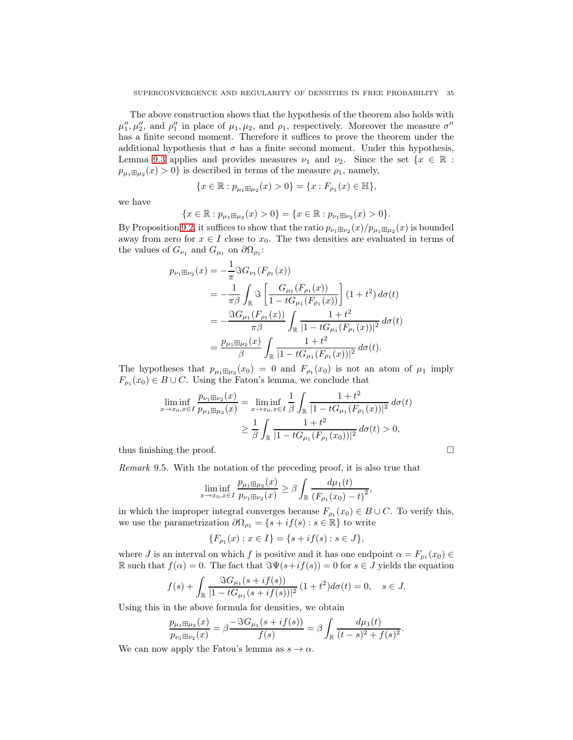The above construction shows that the hypothesis of the theorem also holds with  $\mu''_1, \mu''_2$ , and  $\rho''_1$  in place of  $\mu_1, \mu_2$ , and  $\rho_1$ , respectively. Moreover the measure  $\sigma''$ has a finite second moment. Therefore it suffices to prove the theorem under the additional hypothesis that  $\sigma$  has a finite second moment. Under this hypothesis, Lemma [9.3](#page-31-1) applies and provides measures  $\nu_1$  and  $\nu_2$ . Since the set  $\{x \in \mathbb{R} :$  $p_{\mu_1 \boxplus \mu_2}(x) > 0$ } is described in terms of the measure  $\rho_1$ , namely,

$$
\{x \in \mathbb{R} : p_{\mu_1 \boxplus \mu_2}(x) > 0\} = \{x : F_{\rho_1}(x) \in \mathbb{H}\},\
$$

we have

$$
\{x \in \mathbb{R} : p_{\mu_1 \boxplus \mu_2}(x) > 0\} = \{x \in \mathbb{R} : p_{\nu_1 \boxplus \nu_2}(x) > 0\}.
$$

By Proposition [9.2,](#page-31-2) it suffices to show that the ratio  $p_{\nu_1 \boxplus \nu_2}(x)/p_{\mu_1 \boxplus \mu_2}(x)$  is bounded away from zero for  $x \in I$  close to  $x_0$ . The two densities are evaluated in terms of the values of  $G_{\nu_1}$  and  $G_{\mu_1}$  on  $\partial\Omega_{\rho_1}$ :

$$
p_{\nu_1 \boxplus \nu_2}(x) = -\frac{1}{\pi} \Im G_{\nu_1}(F_{\rho_1}(x))
$$
  
\n
$$
= -\frac{1}{\pi \beta} \int_{\mathbb{R}} \Im \left[ \frac{G_{\mu_1}(F_{\rho_1}(x))}{1 - t G_{\mu_1}(F_{\rho_1}(x))} \right] (1 + t^2) d\sigma(t)
$$
  
\n
$$
= -\frac{\Im G_{\mu_1}(F_{\rho_1}(x))}{\pi \beta} \int_{\mathbb{R}} \frac{1 + t^2}{|1 - t G_{\mu_1}(F_{\rho_1}(x))|^2} d\sigma(t)
$$
  
\n
$$
= \frac{p_{\mu_1 \boxplus \mu_2}(x)}{\beta} \int_{\mathbb{R}} \frac{1 + t^2}{|1 - t G_{\mu_1}(F_{\rho_1}(x))|^2} d\sigma(t).
$$

The hypotheses that  $p_{\mu_1 \boxplus \mu_2}(x_0) = 0$  and  $F_{\rho_1}(x_0)$  is not an atom of  $\mu_1$  imply  $F_{\rho_1}(x_0) \in B \cup C$ . Using the Fatou's lemma, we conclude that

$$
\liminf_{x \to x_0, x \in I} \frac{p_{\nu_1 \boxplus \nu_2}(x)}{p_{\mu_1 \boxplus \mu_2}(x)} = \liminf_{x \to x_0, x \in I} \frac{1}{\beta} \int_{\mathbb{R}} \frac{1 + t^2}{|1 - t G_{\mu_1}(F_{\rho_1}(x))|^2} d\sigma(t)
$$

$$
\geq \frac{1}{\beta} \int_{\mathbb{R}} \frac{1 + t^2}{|1 - t G_{\mu_1}(F_{\rho_1}(x_0))|^2} d\sigma(t) > 0,
$$

thus finishing the proof.  $\Box$ 

Remark 9.5. With the notation of the preceding proof, it is also true that

$$
\liminf_{x \to x_0, x \in I} \frac{p_{\mu_1 \boxplus \mu_2}(x)}{p_{\nu_1 \boxplus \nu_2}(x)} \ge \beta \int_{\mathbb{R}} \frac{d\mu_1(t)}{(F_{\rho_1}(x_0) - t)^2},
$$

in which the improper integral converges because  $F_{\rho_1}(x_0) \in B \cup C$ . To verify this, we use the parametrization  $\partial\Omega_{\rho_1} = \{s + if(s) : s \in \mathbb{R}\}\)$  to write

$$
\{F_{\rho_1}(x) : x \in I\} = \{s + if(s) : s \in J\},\
$$

where J is an interval on which f is positive and it has one endpoint  $\alpha = F_{\rho_1}(x_0) \in$ R such that  $f(\alpha) = 0$ . The fact that  $\Im \Psi(s + if(s)) = 0$  for  $s \in J$  yields the equation

$$
f(s) + \int_{\mathbb{R}} \frac{\Im G_{\mu_1}(s + if(s))}{|1 - tG_{\mu_1}(s + if(s))|^2} (1 + t^2) d\sigma(t) = 0, \quad s \in J.
$$

Using this in the above formula for densities, we obtain

$$
\frac{p_{\mu_1 \boxplus \mu_2}(x)}{p_{\nu_1 \boxplus \nu_2}(x)} = \beta \frac{-\Im G_{\mu_1}(s + if(s))}{f(s)} = \beta \int_{\mathbb{R}} \frac{d\mu_1(t)}{(t - s)^2 + f(s)^2}.
$$

We can now apply the Fatou's lemma as  $s \to \alpha$ .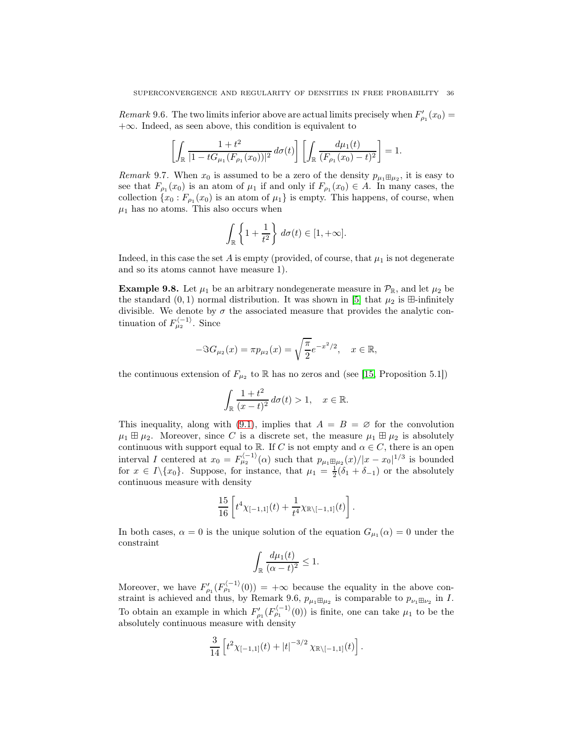*Remark* 9.6. The two limits inferior above are actual limits precisely when  $F'_{\rho_1}(x_0) =$  $+\infty$ . Indeed, as seen above, this condition is equivalent to

$$
\left[\int_{\mathbb{R}}\frac{1+t^2}{|1-tG_{\mu_1}(F_{\rho_1}(x_0))|^2}d\sigma(t)\right]\left[\int_{\mathbb{R}}\frac{d\mu_1(t)}{(F_{\rho_1}(x_0)-t)^2}\right]=1.
$$

<span id="page-35-0"></span>*Remark* 9.7. When  $x_0$  is assumed to be a zero of the density  $p_{\mu_1 \boxplus \mu_2}$ , it is easy to see that  $F_{\rho_1}(x_0)$  is an atom of  $\mu_1$  if and only if  $F_{\rho_1}(x_0) \in A$ . In many cases, the collection  $\{x_0 : F_{\rho_1}(x_0)$  is an atom of  $\mu_1\}$  is empty. This happens, of course, when  $\mu_1$  has no atoms. This also occurs when

$$
\int_{\mathbb{R}} \left\{ 1 + \frac{1}{t^2} \right\} d\sigma(t) \in [1, +\infty].
$$

Indeed, in this case the set A is empty (provided, of course, that  $\mu_1$  is not degenerate and so its atoms cannot have measure 1).

**Example 9.8.** Let  $\mu_1$  be an arbitrary nondegenerate measure in  $\mathcal{P}_{\mathbb{R}}$ , and let  $\mu_2$  be the standard  $(0, 1)$  normal distribution. It was shown in [\[5\]](#page-52-20) that  $\mu_2$  is  $\boxplus$ -infinitely divisible. We denote by  $\sigma$  the associated measure that provides the analytic continuation of  $F_{\mu_2}^{(-1)}$ . Since

$$
-\Im G_{\mu_2}(x) = \pi p_{\mu_2}(x) = \sqrt{\frac{\pi}{2}} e^{-x^2/2}, \quad x \in \mathbb{R},
$$

the continuous extension of  $F_{\mu_2}$  to R has no zeros and (see [\[15,](#page-52-2) Proposition 5.1])

$$
\int_{\mathbb{R}} \frac{1+t^2}{(x-t)^2} \, d\sigma(t) > 1, \quad x \in \mathbb{R}.
$$

This inequality, along with [\(9.1\)](#page-33-0), implies that  $A = B = \emptyset$  for the convolution  $\mu_1 \boxplus \mu_2$ . Moreover, since C is a discrete set, the measure  $\mu_1 \boxplus \mu_2$  is absolutely continuous with support equal to R. If C is not empty and  $\alpha \in C$ , there is an open interval I centered at  $x_0 = F_{\mu_2}^{(-1)}(\alpha)$  such that  $p_{\mu_1 \boxplus \mu_2}(x)/|x-x_0|^{1/3}$  is bounded for  $x \in I \setminus \{x_0\}$ . Suppose, for instance, that  $\mu_1 = \frac{1}{2}(\delta_1 + \delta_{-1})$  or the absolutely continuous measure with density

$$
\frac{15}{16} \left[ t^4 \chi_{[-1,1]}(t) + \frac{1}{t^4} \chi_{\mathbb{R} \setminus [-1,1]}(t) \right].
$$

In both cases,  $\alpha = 0$  is the unique solution of the equation  $G_{\mu_1}(\alpha) = 0$  under the constraint

$$
\int_{\mathbb{R}} \frac{d\mu_1(t)}{(\alpha - t)^2} \le 1.
$$

Moreover, we have  $F'_{\rho_1}(F'^{-1)}_{\rho_1}(0) = +\infty$  because the equality in the above constraint is achieved and thus, by Remark 9.6,  $p_{\mu_1 \boxplus \mu_2}$  is comparable to  $p_{\nu_1 \boxplus \nu_2}$  in I. To obtain an example in which  $F'_{\rho_1}(F_{\rho_1}^{(-1)}(0))$  is finite, one can take  $\mu_1$  to be the absolutely continuous measure with density

$$
\frac{3}{14}\left[t^2\chi_{[-1,1]}(t)+|t|^{-3/2}\chi_{\mathbb{R}\setminus[-1,1]}(t)\right].
$$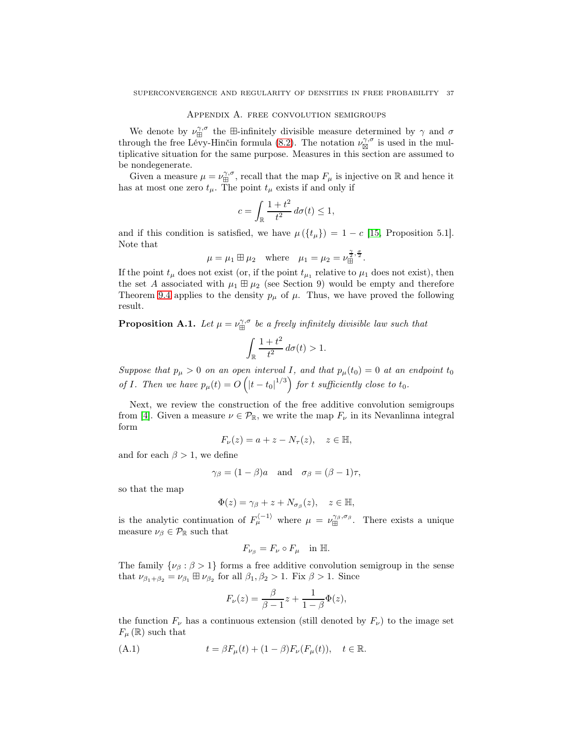#### Appendix A. free convolution semigroups

We denote by  $\nu_{\text{H}}^{\gamma,\sigma}$  the  $\text{H-infinitely divisible measure determined by } \gamma$  and  $\sigma$ through the free Lévy-Hinčin formula [\(8.2\)](#page-30-0). The notation  $\nu_{\boxtimes}^{\gamma,\sigma}$  is used in the multiplicative situation for the same purpose. Measures in this section are assumed to be nondegenerate.

Given a measure  $\mu = \nu_{\text{H}}^{\gamma,\sigma}$ , recall that the map  $F_{\mu}$  is injective on R and hence it has at most one zero  $t_{\mu}$ . The point  $t_{\mu}$  exists if and only if

$$
c = \int_{\mathbb{R}} \frac{1+t^2}{t^2} \, d\sigma(t) \le 1,
$$

and if this condition is satisfied, we have  $\mu({t<sub>\mu</sub>}) = 1 - c$  [\[15,](#page-52-2) Proposition 5.1]. Note that

$$
\mu = \mu_1 \boxplus \mu_2 \text{ where } \mu_1 = \mu_2 = \nu_{\boxplus}^{\frac{\gamma}{2}, \frac{\sigma}{2}}.
$$

If the point  $t_{\mu}$  does not exist (or, if the point  $t_{\mu_1}$  relative to  $\mu_1$  does not exist), then the set A associated with  $\mu_1 \boxplus \mu_2$  (see Section 9) would be empty and therefore Theorem [9.4](#page-33-1) applies to the density  $p_{\mu}$  of  $\mu$ . Thus, we have proved the following result.

<span id="page-36-1"></span>**Proposition A.1.** Let  $\mu = \nu_{\boxplus}^{\gamma,\sigma}$  be a freely infinitely divisible law such that

$$
\int_{\mathbb{R}} \frac{1+t^2}{t^2} d\sigma(t) > 1.
$$

Suppose that  $p_{\mu} > 0$  on an open interval I, and that  $p_{\mu}(t_0) = 0$  at an endpoint  $t_0$ of I. Then we have  $p_{\mu}(t) = O\left(|t-t_0|^{1/3}\right)$  for t sufficiently close to  $t_0$ .

Next, we review the construction of the free additive convolution semigroups from [\[4\]](#page-51-2). Given a measure  $\nu \in \mathcal{P}_{\mathbb{R}}$ , we write the map  $F_{\nu}$  in its Nevanlinna integral form

$$
F_{\nu}(z) = a + z - N_{\tau}(z), \quad z \in \mathbb{H},
$$

and for each  $\beta > 1$ , we define

$$
\gamma_{\beta} = (1 - \beta)a
$$
 and  $\sigma_{\beta} = (\beta - 1)\tau$ ,

so that the map

$$
\Phi(z) = \gamma_{\beta} + z + N_{\sigma_{\beta}}(z), \quad z \in \mathbb{H},
$$

is the analytic continuation of  $F_{\mu}^{(-1)}$  where  $\mu = \nu_{\boxplus}^{\gamma_{\beta}, \sigma_{\beta}}$ . There exists a unique measure  $\nu_\beta \in \mathcal{P}_{\mathbb{R}}$  such that

$$
F_{\nu_{\beta}} = F_{\nu} \circ F_{\mu} \quad \text{in } \mathbb{H}.
$$

The family  $\{\nu_\beta : \beta > 1\}$  forms a free additive convolution semigroup in the sense that  $\nu_{\beta_1+\beta_2} = \nu_{\beta_1} \boxplus \nu_{\beta_2}$  for all  $\beta_1, \beta_2 > 1$ . Fix  $\beta > 1$ . Since

<span id="page-36-0"></span>
$$
F_{\nu}(z) = \frac{\beta}{\beta - 1}z + \frac{1}{1 - \beta}\Phi(z),
$$

the function  $F_{\nu}$  has a continuous extension (still denoted by  $F_{\nu}$ ) to the image set  $F_{\mu}(\mathbb{R})$  such that

(A.1) 
$$
t = \beta F_{\mu}(t) + (1 - \beta)F_{\nu}(F_{\mu}(t)), \quad t \in \mathbb{R}.
$$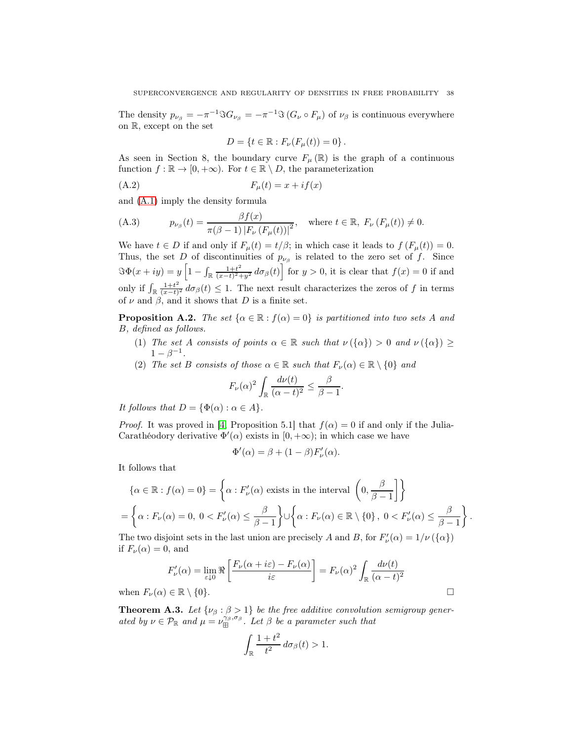The density  $p_{\nu_{\beta}} = -\pi^{-1} \Im G_{\nu_{\beta}} = -\pi^{-1} \Im (G_{\nu} \circ F_{\mu})$  of  $\nu_{\beta}$  is continuous everywhere on R, except on the set

$$
D = \{ t \in \mathbb{R} : F_{\nu}(F_{\mu}(t)) = 0 \} .
$$

As seen in Section 8, the boundary curve  $F_{\mu}(\mathbb{R})$  is the graph of a continuous function  $f : \mathbb{R} \to [0, +\infty)$ . For  $t \in \mathbb{R} \setminus D$ , the parameterization

$$
(A.2) \t\t F_{\mu}(t) = x + if(x)
$$

and [\(A.1\)](#page-36-0) imply the density formula

<span id="page-37-0"></span>(A.3) 
$$
p_{\nu_{\beta}}(t) = \frac{\beta f(x)}{\pi(\beta - 1) |F_{\nu}(F_{\mu}(t))|^2}, \text{ where } t \in \mathbb{R}, F_{\nu}(F_{\mu}(t)) \neq 0.
$$

We have  $t \in D$  if and only if  $F_{\mu}(t) = t/\beta$ ; in which case it leads to  $f(F_{\mu}(t)) = 0$ . Thus, the set D of discontinuities of  $p_{\nu_\beta}$  is related to the zero set of f. Since  $\Im \Phi(x+iy) = y \left[1 - \int_{\mathbb{R}} \frac{1+t^2}{(x-t)^2} \right]$  $\frac{1+t^2}{(x-t)^2+y^2} d\sigma_\beta(t)$  for  $y>0$ , it is clear that  $f(x)=0$  if and only if  $\int_{\mathbb{R}} \frac{1+t^2}{(x-t)}$  $\frac{1+t^2}{(x-t)^2} d\sigma_\beta(t) \leq 1$ . The next result characterizes the zeros of f in terms of  $\nu$  and  $\beta$ , and it shows that D is a finite set.

<span id="page-37-1"></span>**Proposition A.2.** The set  $\{\alpha \in \mathbb{R} : f(\alpha) = 0\}$  is partitioned into two sets A and B, defined as follows.

- (1) The set A consists of points  $\alpha \in \mathbb{R}$  such that  $\nu(\{\alpha\}) > 0$  and  $\nu(\{\alpha\}) \ge$  $1 - \beta^{-1}$ .
- (2) The set B consists of those  $\alpha \in \mathbb{R}$  such that  $F_{\nu}(\alpha) \in \mathbb{R} \setminus \{0\}$  and

$$
F_{\nu}(\alpha)^{2} \int_{\mathbb{R}} \frac{d\nu(t)}{(\alpha - t)^{2}} \leq \frac{\beta}{\beta - 1}.
$$

It follows that  $D = {\Phi(\alpha) : \alpha \in A}.$ 

*Proof.* It was proved in [\[4,](#page-51-2) Proposition 5.1] that  $f(\alpha) = 0$  if and only if the Julia-Carathéodory derivative  $\Phi'(\alpha)$  exists in  $[0, +\infty)$ ; in which case we have

$$
\Phi'(\alpha) = \beta + (1 - \beta)F'_{\nu}(\alpha).
$$

It follows that

$$
\{\alpha \in \mathbb{R} : f(\alpha) = 0\} = \left\{\alpha : F_{\nu}'(\alpha) \text{ exists in the interval } \left(0, \frac{\beta}{\beta - 1}\right]\right\}
$$

$$
= \left\{\alpha : F_{\nu}(\alpha) = 0, 0 < F_{\nu}'(\alpha) \le \frac{\beta}{\beta - 1}\right\} \cup \left\{\alpha : F_{\nu}(\alpha) \in \mathbb{R} \setminus \{0\}, 0 < F_{\nu}'(\alpha) \le \frac{\beta}{\beta - 1}\right\}.
$$

The two disjoint sets in the last union are precisely A and B, for  $F'_{\nu}(\alpha) = 1/\nu({\{\alpha\}})$ if  $F_\nu(\alpha) = 0$ , and

$$
F'_{\nu}(\alpha) = \lim_{\varepsilon \downarrow 0} \Re \left[ \frac{F_{\nu}(\alpha + i\varepsilon) - F_{\nu}(\alpha)}{i\varepsilon} \right] = F_{\nu}(\alpha)^2 \int_{\mathbb{R}} \frac{d\nu(t)}{(\alpha - t)^2}
$$
  
when  $F_{\nu}(\alpha) \in \mathbb{R} \setminus \{0\}.$ 

<span id="page-37-2"></span>**Theorem A.3.** Let  $\{\nu_{\beta} : \beta > 1\}$  be the free additive convolution semigroup generated by  $\nu \in \mathcal{P}_{\mathbb{R}}$  and  $\mu = \nu_{\boxplus}^{\gamma_{\beta}, \sigma_{\beta}}$ . Let  $\beta$  be a parameter such that

$$
\int_{\mathbb{R}} \frac{1+t^2}{t^2} \, d\sigma_{\beta}(t) > 1.
$$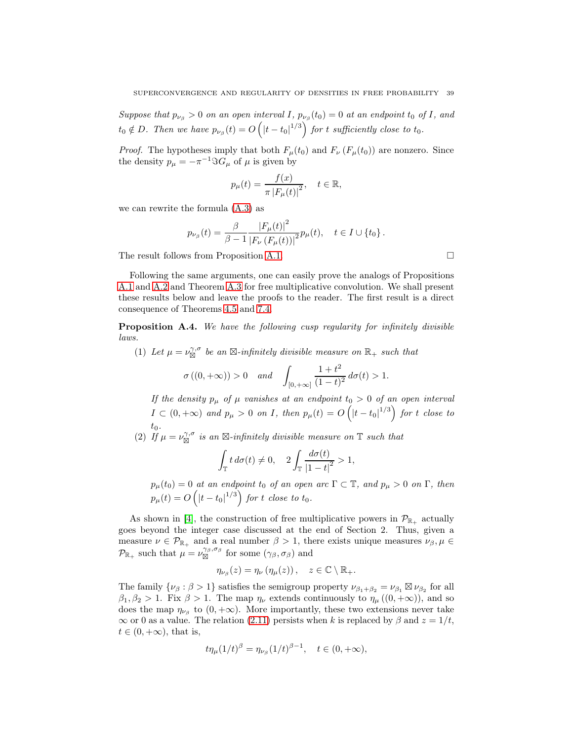Suppose that  $p_{\nu_\beta} > 0$  on an open interval I,  $p_{\nu_\beta}(t_0) = 0$  at an endpoint  $t_0$  of I, and  $t_0 \notin D$ . Then we have  $p_{\nu_\beta}(t) = O\left(|t-t_0|^{1/3}\right)$  for t sufficiently close to  $t_0$ .

*Proof.* The hypotheses imply that both  $F_{\mu}(t_0)$  and  $F_{\nu}(F_{\mu}(t_0))$  are nonzero. Since the density  $p_{\mu} = -\pi^{-1} \Im G_{\mu}$  of  $\mu$  is given by

$$
p_{\mu}(t) = \frac{f(x)}{\pi |F_{\mu}(t)|^2}, \quad t \in \mathbb{R},
$$

we can rewrite the formula [\(A.3\)](#page-37-0) as

$$
p_{\nu_{\beta}}(t) = \frac{\beta}{\beta - 1} \frac{|F_{\mu}(t)|^2}{|F_{\nu}(F_{\mu}(t))|^2} p_{\mu}(t), \quad t \in I \cup \{t_0\}.
$$

The result follows from Proposition [A.1.](#page-36-1)

Following the same arguments, one can easily prove the analogs of Propositions [A.1](#page-36-1) and [A.2](#page-37-1) and Theorem [A.3](#page-37-2) for free multiplicative convolution. We shall present these results below and leave the proofs to the reader. The first result is a direct consequence of Theorems [4.5](#page-16-0) and [7.4.](#page-28-1)

Proposition A.4. We have the following cusp regularity for infinitely divisible laws.

(1) Let  $\mu = \nu_{\boxtimes}^{\gamma,\sigma}$  be an  $\boxtimes$ -infinitely divisible measure on  $\mathbb{R}_+$  such that  $\sigma((0, +\infty)) > 0$  and  $\int_{[0, +\infty]}$  $1 + t^2$  $\frac{1+e}{(1-t)^2} d\sigma(t) > 1.$ 

If the density  $p_{\mu}$  of  $\mu$  vanishes at an endpoint  $t_0 > 0$  of an open interval  $I \subset (0, +\infty)$  and  $p_{\mu} > 0$  on I, then  $p_{\mu}(t) = O\left(|t-t_0|^{1/3}\right)$  for t close to  $t_0$ .

(2) If  $\mu = \nu_{\overline{\bowtie}}^{\gamma,\sigma}$  is an  $\boxtimes$ -infinitely divisible measure on  $\mathbb T$  such that

$$
\int_{\mathbb{T}} t \, d\sigma(t) \neq 0, \quad 2 \int_{\mathbb{T}} \frac{d\sigma(t)}{|1-t|^2} > 1,
$$

 $p_{\mu}(t_0) = 0$  at an endpoint  $t_0$  of an open arc  $\Gamma \subset \mathbb{T}$ , and  $p_{\mu} > 0$  on  $\Gamma$ , then  $p_\mu(t) = O\left(|t-t_0|^{1/3}\right)$  for  $t$  close to  $t_0.$ 

As shown in [\[4\]](#page-51-2), the construction of free multiplicative powers in  $\mathcal{P}_{\mathbb{R}_+}$  actually goes beyond the integer case discussed at the end of Section 2. Thus, given a measure  $\nu \in \mathcal{P}_{\mathbb{R}_+}$  and a real number  $\beta > 1$ , there exists unique measures  $\nu_\beta, \mu \in$  $\mathcal{P}_{\mathbb{R}_+}$  such that  $\mu = \nu_{\boxtimes}^{\gamma_\beta, \sigma_\beta}$  for some  $(\gamma_\beta, \sigma_\beta)$  and

$$
\eta_{\nu_{\beta}}(z) = \eta_{\nu} (\eta_{\mu}(z)), \quad z \in \mathbb{C} \setminus \mathbb{R}_+.
$$

The family  $\{\nu_\beta : \beta > 1\}$  satisfies the semigroup property  $\nu_{\beta_1+\beta_2} = \nu_{\beta_1} \boxtimes \nu_{\beta_2}$  for all  $\beta_1, \beta_2 > 1$ . Fix  $\beta > 1$ . The map  $\eta_{\nu}$  extends continuously to  $\eta_{\mu}((0, +\infty))$ , and so does the map  $\eta_{\nu_{\beta}}$  to  $(0, +\infty)$ . More importantly, these two extensions never take  $\infty$  or 0 as a value. The relation [\(2.11\)](#page-8-1) persists when k is replaced by  $\beta$  and  $z = 1/t$ ,  $t \in (0, +\infty)$ , that is,

$$
t\eta_{\mu}(1/t)^{\beta} = \eta_{\nu_{\beta}}(1/t)^{\beta - 1}, \quad t \in (0, +\infty),
$$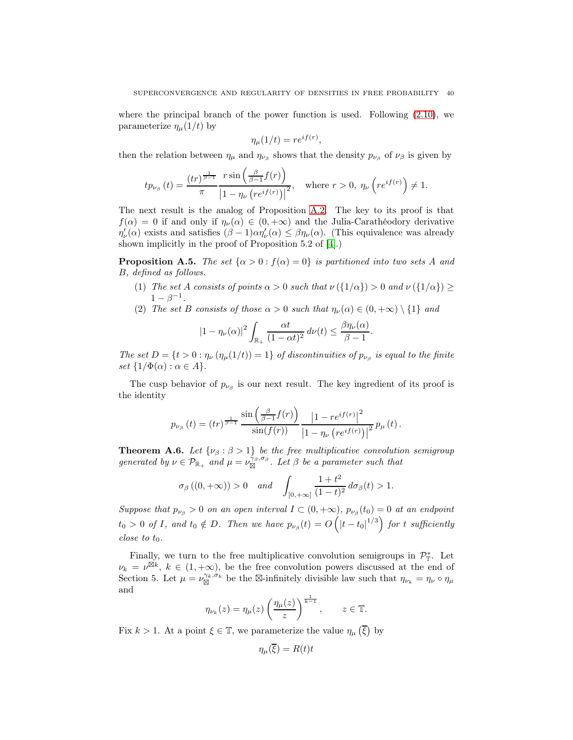where the principal branch of the power function is used. Following [\(2.10\)](#page-6-1), we parameterize  $\eta_{\mu}(1/t)$  by

$$
\eta_{\mu}(1/t) = re^{if(r)},
$$

then the relation between  $\eta_{\mu}$  and  $\eta_{\nu_{\beta}}$  shows that the density  $p_{\nu_{\beta}}$  of  $\nu_{\beta}$  is given by

$$
tp_{\nu_{\beta}}(t) = \frac{(tr)^{\frac{1}{\beta-1}}}{\pi} \frac{r \sin\left(\frac{\beta}{\beta-1}f(r)\right)}{\left|1 - \eta_{\nu}\left(re^{if(r)}\right)\right|^2}, \quad \text{where } r > 0, \ \eta_{\nu}\left(re^{if(r)}\right) \neq 1.
$$

The next result is the analog of Proposition [A.2.](#page-37-1) The key to its proof is that  $f(\alpha) = 0$  if and only if  $\eta_{\nu}(\alpha) \in (0, +\infty)$  and the Julia-Carathéodory derivative  $\eta'_{\nu}(\alpha)$  exists and satisfies  $(\beta - 1)\alpha \eta'_{\nu}(\alpha) \leq \beta \eta_{\nu}(\alpha)$ . (This equivalence was already shown implicitly in the proof of Proposition 5.2 of [\[4\]](#page-51-2).)

**Proposition A.5.** The set  $\{\alpha > 0 : f(\alpha) = 0\}$  is partitioned into two sets A and B, defined as follows.

- (1) The set A consists of points  $\alpha > 0$  such that  $\nu(\{1/\alpha\}) > 0$  and  $\nu(\{1/\alpha\}) \ge$  $1 - \beta^{-1}$ .
- (2) The set B consists of those  $\alpha > 0$  such that  $\eta_{\nu}(\alpha) \in (0, +\infty) \setminus \{1\}$  and

$$
|1 - \eta_{\nu}(\alpha)|^2 \int_{\mathbb{R}_+} \frac{\alpha t}{(1 - \alpha t)^2} d\nu(t) \le \frac{\beta \eta_{\nu}(\alpha)}{\beta - 1}.
$$

The set  $D = \{t > 0 : \eta_{\nu}(\eta_{\mu}(1/t)) = 1\}$  of discontinuities of  $p_{\nu_{\beta}}$  is equal to the finite set  $\{1/\Phi(\alpha): \alpha \in A\}.$ 

The cusp behavior of  $p_{\nu_\beta}$  is our next result. The key ingredient of its proof is the identity

$$
p_{\nu_{\beta}}\left(t\right)=\left(tr\right)^{\frac{1}{\beta-1}}\frac{\sin\left(\frac{\beta}{\beta-1}f(r)\right)}{\sin(f(r))}\frac{\left|1-re^{if(r)}\right|^{2}}{\left|1-\eta_{\nu}\left(re^{if(r)}\right)\right|^{2}}p_{\mu}\left(t\right).
$$

**Theorem A.6.** Let  $\{\nu_{\beta} : \beta > 1\}$  be the free multiplicative convolution semigroup generated by  $\nu \in \mathcal{P}_{\mathbb{R}_+}$  and  $\mu = \nu_{\boxtimes}^{\hat{\gamma}_{\beta}, \sigma_{\beta}}$ . Let  $\beta$  be a parameter such that

$$
\sigma_{\beta}\left((0,+\infty)\right) > 0
$$
 and  $\int_{[0,+\infty]} \frac{1+t^2}{(1-t)^2} d\sigma_{\beta}(t) > 1.$ 

Suppose that  $p_{\nu_\beta} > 0$  on an open interval  $I \subset (0, +\infty)$ ,  $p_{\nu_\beta}(t_0) = 0$  at an endpoint  $t_0 > 0$  of I, and  $t_0 \notin D$ . Then we have  $p_{\nu_\beta}(t) = O\left(|t-t_0|^{1/3}\right)$  for t sufficiently close to  $t_0$ .

Finally, we turn to the free multiplicative convolution semigroups in  $\mathcal{P}_{\mathbb{T}}^*$ . Let  $\nu_k = \nu^{\boxtimes k}, k \in (1, +\infty)$ , be the free convolution powers discussed at the end of Section 5. Let  $\mu = \nu_{\boxtimes}^{\gamma_k, \sigma_k}$  be the  $\boxtimes$ -infinitely divisible law such that  $\eta_{\nu_k} = \eta_{\nu} \circ \eta_{\mu}$ and

$$
\eta_{\nu_k}(z) = \eta_{\mu}(z) \left(\frac{\eta_{\mu}(z)}{z}\right)^{\frac{1}{k-1}}, \qquad z \in \mathbb{T}.
$$

Fix  $k > 1$ . At a point  $\xi \in \mathbb{T}$ , we parameterize the value  $\eta_{\mu}(\overline{\xi})$  by

$$
\eta_{\mu}(\xi) = R(t)t
$$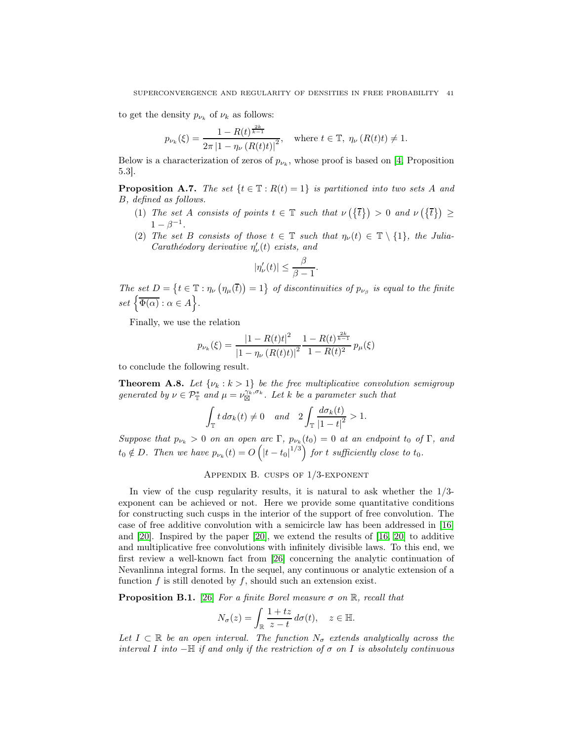to get the density  $p_{\nu_k}$  of  $\nu_k$  as follows:

$$
p_{\nu_k}(\xi) = \frac{1 - R(t)^{\frac{2k}{k-1}}}{2\pi |1 - \eta_{\nu}(R(t)t)|^2}, \quad \text{where } t \in \mathbb{T}, \ \eta_{\nu}(R(t)t) \neq 1.
$$

Below is a characterization of zeros of  $p_{\nu_k}$ , whose proof is based on [\[4,](#page-51-2) Proposition 5.3].

**Proposition A.7.** The set  $\{t \in \mathbb{T} : R(t) = 1\}$  is partitioned into two sets A and B, defined as follows.

- (1) The set A consists of points  $t \in \mathbb{T}$  such that  $\nu(\lbrace \bar{t} \rbrace) > 0$  and  $\nu(\lbrace \bar{t} \rbrace) \geq$  $1 - \beta^{-1}$ .
- (2) The set B consists of those  $t \in \mathbb{T}$  such that  $\eta_{\nu}(t) \in \mathbb{T} \setminus \{1\}$ , the Julia-Carathéodory derivative  $\eta'_{\nu}(t)$  exists, and

.

$$
|\eta_{\nu}'(t)| \leq \frac{\beta}{\beta - 1}
$$

The set  $D = \{t \in \mathbb{T} : \eta_{\nu}(\eta_{\mu}(\overline{t})) = 1\}$  of discontinuities of  $p_{\nu_{\beta}}$  is equal to the finite  $set\left\{\overline{\Phi(\alpha)} : \alpha \in A\right\}.$ 

Finally, we use the relation

$$
p_{\nu_k}(\xi) = \frac{|1 - R(t)t|^2}{|1 - \eta_{\nu}(R(t)t)|^2} \frac{1 - R(t)^{\frac{2k}{k-1}}}{1 - R(t)^2} p_{\mu}(\xi)
$$

to conclude the following result.

**Theorem A.8.** Let  $\{\nu_k : k > 1\}$  be the free multiplicative convolution semigroup generated by  $\nu \in \mathcal{P}_{\mathbb{T}}^*$  and  $\mu = \nu_{\boxtimes}^{\gamma_k, \sigma_k}$ . Let k be a parameter such that

$$
\int_{\mathbb{T}} t \, d\sigma_k(t) \neq 0 \quad and \quad 2 \int_{\mathbb{T}} \frac{d\sigma_k(t)}{|1-t|^2} > 1.
$$

Suppose that  $p_{\nu_k} > 0$  on an open arc  $\Gamma$ ,  $p_{\nu_k}(t_0) = 0$  at an endpoint  $t_0$  of  $\Gamma$ , and  $t_0 \notin D$ . Then we have  $p_{\nu_k}(t) = O\left(|t-t_0|^{1/3}\right)$  for t sufficiently close to  $t_0$ .

#### APPENDIX B. CUSPS OF  $1/3$ -EXPONENT

In view of the cusp regularity results, it is natural to ask whether the  $1/3$ exponent can be achieved or not. Here we provide some quantitative conditions for constructing such cusps in the interior of the support of free convolution. The case of free additive convolution with a semicircle law has been addressed in [\[16\]](#page-52-5) and [\[20\]](#page-52-21). Inspired by the paper [\[20\]](#page-52-21), we extend the results of [\[16,](#page-52-5) [20\]](#page-52-21) to additive and multiplicative free convolutions with infinitely divisible laws. To this end, we first review a well-known fact from [\[26\]](#page-52-22) concerning the analytic continuation of Nevanlinna integral forms. In the sequel, any continuous or analytic extension of a function  $f$  is still denoted by  $f$ , should such an extension exist.

<span id="page-40-0"></span>**Proposition B.1.** [\[26\]](#page-52-22) For a finite Borel measure  $\sigma$  on  $\mathbb{R}$ , recall that

$$
N_{\sigma}(z) = \int_{\mathbb{R}} \frac{1+tz}{z-t} \, d\sigma(t), \quad z \in \mathbb{H}.
$$

Let  $I \subset \mathbb{R}$  be an open interval. The function  $N_{\sigma}$  extends analytically across the interval I into  $-\mathbb{H}$  if and only if the restriction of  $\sigma$  on I is absolutely continuous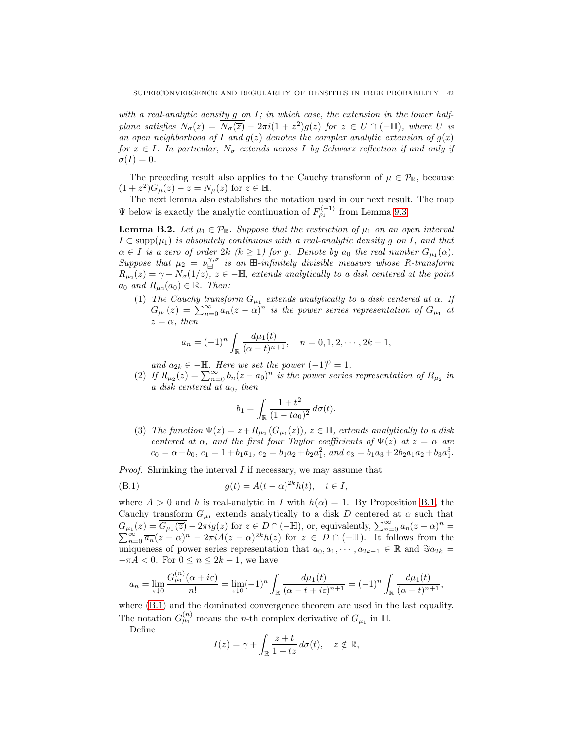with a real-analytic density g on I; in which case, the extension in the lower halfplane satisfies  $N_{\sigma}(z) = \overline{N_{\sigma}(\overline{z})} - 2\pi i(1 + z^2)g(z)$  for  $z \in U \cap (-\mathbb{H})$ , where U is an open neighborhood of I and  $g(z)$  denotes the complex analytic extension of  $g(x)$ for  $x \in I$ . In particular,  $N_{\sigma}$  extends across I by Schwarz reflection if and only if  $\sigma(I)=0.$ 

The preceding result also applies to the Cauchy transform of  $\mu \in \mathcal{P}_{\mathbb{R}}$ , because  $(1+z^2)G_{\mu}(z) - z = N_{\mu}(z)$  for  $z \in \mathbb{H}$ .

The next lemma also establishes the notation used in our next result. The map  $\Psi$  below is exactly the analytic continuation of  $F_{\rho_1}^{\langle -1 \rangle}$  from Lemma [9.3.](#page-31-1)

<span id="page-41-1"></span>**Lemma B.2.** Let  $\mu_1 \in \mathcal{P}_{\mathbb{R}}$ . Suppose that the restriction of  $\mu_1$  on an open interval  $I \subset \text{supp}(\mu_1)$  is absolutely continuous with a real-analytic density g on I, and that  $\alpha \in I$  is a zero of order  $2k$  ( $k \geq 1$ ) for g. Denote by  $a_0$  the real number  $G_{\mu_1}(\alpha)$ . Suppose that  $\mu_2 = \nu_{\boxplus}^{\gamma,\sigma}$  is an  $\boxplus$ -infinitely divisible measure whose R-transform  $R_{\mu_2}(z) = \gamma + N_{\sigma}(1/z)$ ,  $z \in -\mathbb{H}$ , extends analytically to a disk centered at the point  $a_0$  and  $R_{\mu_2}(a_0) \in \mathbb{R}$ . Then:

(1) The Cauchy transform  $G_{\mu_1}$  extends analytically to a disk centered at  $\alpha$ . If  $G_{\mu_1}(z) = \sum_{n=0}^{\infty} a_n(z-\alpha)^n$  is the power series representation of  $G_{\mu_1}$  at  $z = \alpha$ , then

$$
a_n = (-1)^n \int_{\mathbb{R}} \frac{d\mu_1(t)}{(\alpha - t)^{n+1}}, \quad n = 0, 1, 2, \cdots, 2k - 1,
$$

and  $a_{2k} \in -\mathbb{H}$ . Here we set the power  $(-1)^0 = 1$ .

(2) If  $R_{\mu_2}(z) = \sum_{n=0}^{\infty} b_n(z-a_0)^n$  is the power series representation of  $R_{\mu_2}$  in a disk centered at  $a_0$ , then

<span id="page-41-0"></span>
$$
b_1 = \int_{\mathbb{R}} \frac{1+t^2}{(1-ta_0)^2} \, d\sigma(t).
$$

(3) The function  $\Psi(z) = z + R_{\mu_2} (G_{\mu_1}(z)), z \in \mathbb{H}$ , extends analytically to a disk centered at  $\alpha$ , and the first four Taylor coefficients of  $\Psi(z)$  at  $z = \alpha$  are  $c_0 = \alpha + b_0, c_1 = 1 + b_1 a_1, c_2 = b_1 a_2 + b_2 a_1^2, and c_3 = b_1 a_3 + 2b_2 a_1 a_2 + b_3 a_1^3.$ 

Proof. Shrinking the interval I if necessary, we may assume that

(B.1) 
$$
g(t) = A(t - \alpha)^{2k} h(t), \quad t \in I,
$$

where  $A > 0$  and h is real-analytic in I with  $h(\alpha) = 1$ . By Proposition [B.1,](#page-40-0) the Cauchy transform  $G_{\mu_1}$  extends analytically to a disk D centered at  $\alpha$  such that  $G_{\mu_1}(z) = \overline{G_{\mu_1}(\overline{z})} - 2\pi i g(z)$  for  $z \in D \cap (-\mathbb{H})$ , or, equivalently,  $\sum_{n=0}^{\infty} a_n(z-\alpha)$ P  $n =$  $\sum_{n=0}^{\infty} \overline{a_n}(z-\alpha)^n - 2\pi i A(z-\alpha)^{2k}h(z)$  for  $z \in D \cap (-\mathbb{H})$ . It follows from the uniqueness of power series representation that  $a_0, a_1, \dots, a_{2k-1} \in \mathbb{R}$  and  $\Im a_{2k} =$  $-\pi A < 0$ . For  $0 \le n \le 2k - 1$ , we have

$$
a_n = \lim_{\varepsilon \downarrow 0} \frac{G_{\mu_1}^{(n)}(\alpha + i\varepsilon)}{n!} = \lim_{\varepsilon \downarrow 0} (-1)^n \int_{\mathbb{R}} \frac{d\mu_1(t)}{(\alpha - t + i\varepsilon)^{n+1}} = (-1)^n \int_{\mathbb{R}} \frac{d\mu_1(t)}{(\alpha - t)^{n+1}},
$$

where  $(B.1)$  and the dominated convergence theorem are used in the last equality. The notation  $G_{\mu_1}^{(n)}$  means the *n*-th complex derivative of  $G_{\mu_1}$  in H.

Define

$$
I(z) = \gamma + \int_{\mathbb{R}} \frac{z+t}{1-tz} d\sigma(t), \quad z \notin \mathbb{R},
$$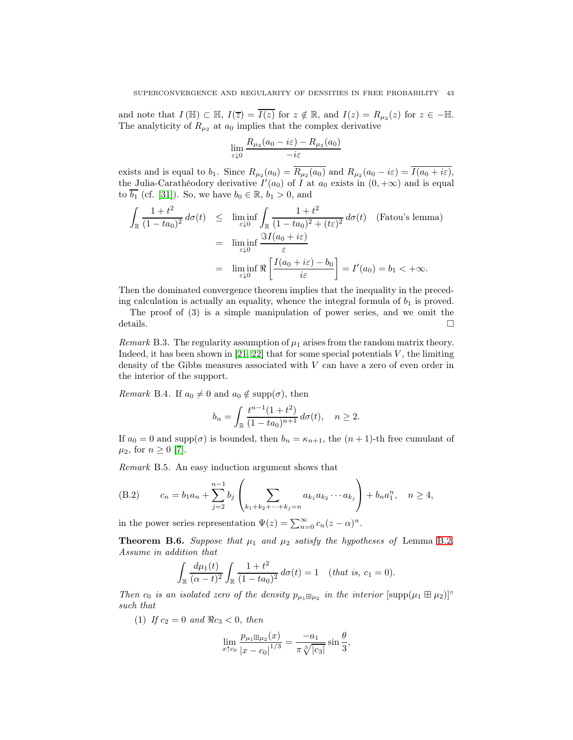and note that  $I(\mathbb{H}) \subset \mathbb{H}$ ,  $I(\overline{z}) = \overline{I(z)}$  for  $z \notin \mathbb{R}$ , and  $I(z) = R_{\mu_2}(z)$  for  $z \in -\mathbb{H}$ . The analyticity of  $R_{\mu_2}$  at  $a_0$  implies that the complex derivative

$$
\lim_{\varepsilon \downarrow 0} \frac{R_{\mu_2}(a_0 - i\varepsilon) - R_{\mu_2}(a_0)}{-i\varepsilon}
$$

exists and is equal to  $b_1$ . Since  $R_{\mu_2}(a_0) = R_{\mu_2}(a_0)$  and  $R_{\mu_2}(a_0 - i\varepsilon) = I(a_0 + i\varepsilon)$ , the Julia-Carathéodory derivative  $I'(a_0)$  of I at  $a_0$  exists in  $(0, +\infty)$  and is equal to  $\overline{b_1}$  (cf. [\[31\]](#page-52-13)). So, we have  $b_0 \in \mathbb{R}$ ,  $b_1 > 0$ , and

$$
\int_{\mathbb{R}} \frac{1+t^2}{(1-ta_0)^2} d\sigma(t) \leq \liminf_{\varepsilon \downarrow 0} \int_{\mathbb{R}} \frac{1+t^2}{(1-ta_0)^2 + (t\varepsilon)^2} d\sigma(t) \quad \text{(Fatou's lemma)}
$$
\n
$$
= \liminf_{\varepsilon \downarrow 0} \frac{\Im I(a_0 + i\varepsilon)}{\varepsilon}
$$
\n
$$
= \liminf_{\varepsilon \downarrow 0} \Re \left[ \frac{I(a_0 + i\varepsilon) - b_0}{i\varepsilon} \right] = I'(a_0) = b_1 < +\infty.
$$

Then the dominated convergence theorem implies that the inequality in the preceding calculation is actually an equality, whence the integral formula of  $b_1$  is proved.

The proof of (3) is a simple manipulation of power series, and we omit the details.  $\Box$ 

Remark B.3. The regularity assumption of  $\mu_1$  arises from the random matrix theory. Indeed, it has been shown in [\[21,](#page-52-23) [22\]](#page-52-24) that for some special potentials  $V$ , the limiting density of the Gibbs measures associated with V can have a zero of even order in the interior of the support.

*Remark* B.4. If  $a_0 \neq 0$  and  $a_0 \notin \text{supp}(\sigma)$ , then

$$
b_n = \int_{\mathbb{R}} \frac{t^{n-1}(1+t^2)}{(1-ta_0)^{n+1}} d\sigma(t), \quad n \ge 2.
$$

If  $a_0 = 0$  and supp $(\sigma)$  is bounded, then  $b_n = \kappa_{n+1}$ , the  $(n+1)$ -th free cumulant of  $\mu_2$ , for  $n \geq 0$  [\[7\]](#page-52-25).

Remark B.5. An easy induction argument shows that

<span id="page-42-0"></span>(B.2) 
$$
c_n = b_1 a_n + \sum_{j=2}^{n-1} b_j \left( \sum_{k_1 + k_2 + \dots + k_j = n} a_{k_1} a_{k_2} \cdots a_{k_j} \right) + b_n a_1^n, \quad n \ge 4,
$$

in the power series representation  $\Psi(z) = \sum_{n=0}^{\infty} c_n(z-\alpha)^n$ .

<span id="page-42-1"></span>**Theorem B.6.** Suppose that  $\mu_1$  and  $\mu_2$  satisfy the hypotheses of Lemma [B.2](#page-41-1). Assume in addition that

$$
\int_{\mathbb{R}} \frac{d\mu_1(t)}{(\alpha - t)^2} \int_{\mathbb{R}} \frac{1 + t^2}{(1 - ta_0)^2} d\sigma(t) = 1 \quad (that is, c_1 = 0).
$$

Then  $c_0$  is an isolated zero of the density  $p_{\mu_1 \boxplus \mu_2}$  in the interior  $[\text{supp}(\mu_1 \boxplus \mu_2)]^{\circ}$ such that

(1) If  $c_2 = 0$  and  $\Re c_3 < 0$ , then

$$
\lim_{x \uparrow c_0} \frac{p_{\mu_1 \boxplus \mu_2}(x)}{|x - c_0|^{1/3}} = \frac{-a_1}{\pi \sqrt[3]{|c_3|}} \sin \frac{\theta}{3},
$$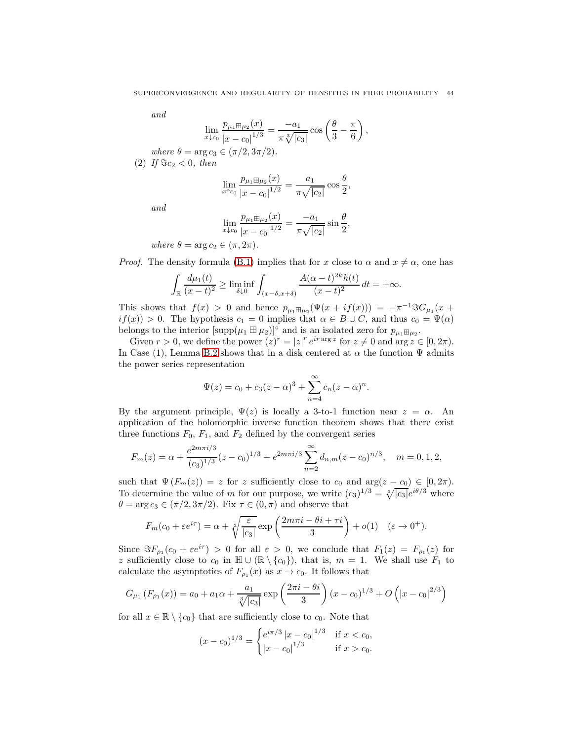and

$$
\lim_{x \downarrow c_0} \frac{p_{\mu_1 \boxplus \mu_2}(x)}{|x - c_0|^{1/3}} = \frac{-a_1}{\pi \sqrt[3]{|c_3|}} \cos \left(\frac{\theta}{3} - \frac{\pi}{6}\right),
$$

where  $\theta = \arg c_3 \in (\pi/2, 3\pi/2)$ . (2) If  $\Im c_2 < 0$ , then

$$
\lim_{x \uparrow c_0} \frac{p_{\mu_1 \boxplus \mu_2}(x)}{|x - c_0|^{1/2}} = \frac{a_1}{\pi \sqrt{|c_2|}} \cos \frac{\theta}{2},
$$

and

$$
\lim_{x \downarrow c_0} \frac{p_{\mu_1 \boxplus \mu_2}(x)}{|x - c_0|^{1/2}} = \frac{-a_1}{\pi \sqrt{|c_2|}} \sin \frac{\theta}{2},
$$

where  $\theta = \arg c_2 \in (\pi, 2\pi)$ .

*Proof.* The density formula [\(B.1\)](#page-41-0) implies that for x close to  $\alpha$  and  $x \neq \alpha$ , one has

$$
\int_{\mathbb{R}} \frac{d\mu_1(t)}{(x-t)^2} \ge \liminf_{\delta \downarrow 0} \int_{(x-\delta,x+\delta)} \frac{A(\alpha-t)^{2k}h(t)}{(x-t)^2} dt = +\infty.
$$

This shows that  $f(x) > 0$  and hence  $p_{\mu_1 \boxplus \mu_2}(\Psi(x + if(x))) = -\pi^{-1} \Im G_{\mu_1}(x +$  $if(x) > 0$ . The hypothesis  $c_1 = 0$  implies that  $\alpha \in B \cup C$ , and thus  $c_0 = \Psi(\alpha)$ belongs to the interior  $[\text{supp}(\mu_1 \boxplus \mu_2)]^{\circ}$  and is an isolated zero for  $p_{\mu_1 \boxplus \mu_2}$ .

Given  $r > 0$ , we define the power  $(z)^r = |z|^r e^{ir \arg z}$  for  $z \neq 0$  and  $\arg z \in [0, 2\pi)$ . In Case (1), Lemma [B.2](#page-41-1) shows that in a disk centered at  $\alpha$  the function  $\Psi$  admits the power series representation

$$
\Psi(z) = c_0 + c_3(z - \alpha)^3 + \sum_{n=4}^{\infty} c_n (z - \alpha)^n.
$$

By the argument principle,  $\Psi(z)$  is locally a 3-to-1 function near  $z = \alpha$ . An application of the holomorphic inverse function theorem shows that there exist three functions  $F_0$ ,  $F_1$ , and  $F_2$  defined by the convergent series

$$
F_m(z) = \alpha + \frac{e^{2m\pi i/3}}{(c_3)^{1/3}}(z - c_0)^{1/3} + e^{2m\pi i/3} \sum_{n=2}^{\infty} d_{n,m}(z - c_0)^{n/3}, \quad m = 0, 1, 2,
$$

such that  $\Psi(F_m(z)) = z$  for z sufficiently close to  $c_0$  and  $\arg(z - c_0) \in [0, 2\pi)$ . To determine the value of m for our purpose, we write  $(c_3)^{1/3} = \sqrt[3]{|c_3|}e^{i\theta/3}$  where  $\theta = \arg c_3 \in (\pi/2, 3\pi/2)$ . Fix  $\tau \in (0, \pi)$  and observe that

$$
F_m(c_0 + \varepsilon e^{i\tau}) = \alpha + \sqrt[3]{\frac{\varepsilon}{|c_3|}} \exp\left(\frac{2m\pi i - \theta i + \tau i}{3}\right) + o(1) \quad (\varepsilon \to 0^+).
$$

Since  $\Im F_{\rho_1}(c_0 + \varepsilon e^{i\tau}) > 0$  for all  $\varepsilon > 0$ , we conclude that  $F_1(z) = F_{\rho_1}(z)$  for z sufficiently close to  $c_0$  in  $\mathbb{H} \cup (\mathbb{R} \setminus \{c_0\})$ , that is,  $m = 1$ . We shall use  $F_1$  to calculate the asymptotics of  $F_{\rho_1}(x)$  as  $x \to c_0$ . It follows that

$$
G_{\mu_1}(F_{\rho_1}(x)) = a_0 + a_1\alpha + \frac{a_1}{\sqrt[3]{|c_3|}} \exp\left(\frac{2\pi i - \theta i}{3}\right)(x - c_0)^{1/3} + O\left(|x - c_0|^{2/3}\right)
$$

for all  $x \in \mathbb{R} \setminus \{c_0\}$  that are sufficiently close to  $c_0$ . Note that

$$
(x - c_0)^{1/3} = \begin{cases} e^{i\pi/3} |x - c_0|^{1/3} & \text{if } x < c_0, \\ |x - c_0|^{1/3} & \text{if } x > c_0. \end{cases}
$$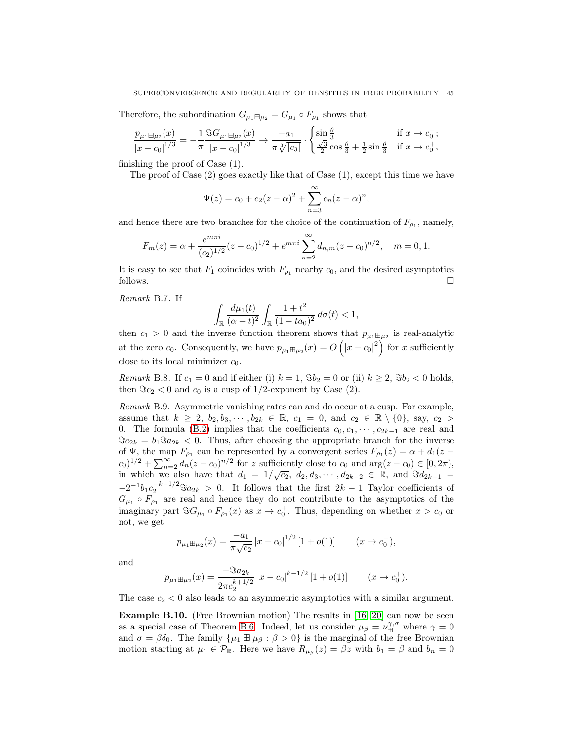Therefore, the subordination  $G_{\mu_1 \boxplus \mu_2} = G_{\mu_1} \circ F_{\rho_1}$  shows that

$$
\frac{p_{\mu_1\boxplus\mu_2}(x)}{|x-c_0|^{1/3}} = -\frac{1}{\pi} \frac{\Im G_{\mu_1\boxplus\mu_2}(x)}{|x-c_0|^{1/3}} \to \frac{-a_1}{\pi \sqrt[3]{|c_3|}} \cdot \begin{cases} \sin\frac{\theta}{3} & \text{if } x \to c_0^-; \\ \frac{\sqrt{3}}{2} \cos\frac{\theta}{3} + \frac{1}{2} \sin\frac{\theta}{3} & \text{if } x \to c_0^+, \end{cases}
$$

finishing the proof of Case (1).

The proof of Case (2) goes exactly like that of Case (1), except this time we have

$$
\Psi(z) = c_0 + c_2(z - \alpha)^2 + \sum_{n=3}^{\infty} c_n(z - \alpha)^n,
$$

and hence there are two branches for the choice of the continuation of  $F_{\rho_1}$ , namely,

$$
F_m(z) = \alpha + \frac{e^{m\pi i}}{(c_2)^{1/2}}(z - c_0)^{1/2} + e^{m\pi i} \sum_{n=2}^{\infty} d_{n,m}(z - c_0)^{n/2}, \quad m = 0, 1.
$$

It is easy to see that  $F_1$  coincides with  $F_{\rho_1}$  nearby  $c_0$ , and the desired asymptotics follows.  $\Box$ 

<span id="page-44-0"></span>Remark B.7. If

$$
\int_{\mathbb{R}} \frac{d\mu_1(t)}{(\alpha - t)^2} \int_{\mathbb{R}} \frac{1 + t^2}{(1 - ta_0)^2} \, d\sigma(t) < 1,
$$

then  $c_1 > 0$  and the inverse function theorem shows that  $p_{\mu_1 \boxplus \mu_2}$  is real-analytic at the zero  $c_0$ . Consequently, we have  $p_{\mu_1 \boxplus \mu_2}(x) = O(|x - c_0|^2)$  for x sufficiently close to its local minimizer  $c_0$ .

<span id="page-44-2"></span>*Remark* B.8. If  $c_1 = 0$  and if either (i)  $k = 1$ ,  $\Im b_2 = 0$  or (ii)  $k \ge 2$ ,  $\Im b_2 < 0$  holds, then  $\Im c_2 < 0$  and  $c_0$  is a cusp of 1/2-exponent by Case (2).

<span id="page-44-1"></span>Remark B.9. Asymmetric vanishing rates can and do occur at a cusp. For example, assume that  $k \geq 2$ ,  $b_2, b_3, \dots, b_{2k} \in \mathbb{R}$ ,  $c_1 = 0$ , and  $c_2 \in \mathbb{R} \setminus \{0\}$ , say,  $c_2 >$ 0. The formula [\(B.2\)](#page-42-0) implies that the coefficients  $c_0, c_1, \dots, c_{2k-1}$  are real and  $\Im c_{2k} = b_1 \Im a_{2k} < 0$ . Thus, after choosing the appropriate branch for the inverse of  $\Psi$ , the map  $F_{\rho_1}$  can be represented by a convergent series  $F_{\rho_1}(z) = \alpha + d_1(z - z)$  $(c_0)^{1/2} + \sum_{n=2}^{\infty} d_n(z - c_0)^{n/2}$  for z sufficiently close to  $c_0$  and  $\arg(z - c_0) \in [0, 2\pi)$ , in which we also have that  $d_1 = 1/\sqrt{c_2}$ ,  $d_2, d_3, \cdots, d_{2k-2} \in \mathbb{R}$ , and  $\Im d_{2k-1} =$  $-2^{-1}b_1c_2^{-k-1/2}$  $\Im a_{2k} > 0$ . It follows that the first  $2k-1$  Taylor coefficients of  $G_{\mu_1} \circ F_{\rho_1}$  are real and hence they do not contribute to the asymptotics of the imaginary part  $\Im G_{\mu_1} \circ F_{\rho_1}(x)$  as  $x \to c_0^+$ . Thus, depending on whether  $x > c_0$  or not, we get

$$
p_{\mu_1 \boxplus \mu_2}(x) = \frac{-a_1}{\pi \sqrt{c_2}} |x - c_0|^{1/2} [1 + o(1)] \qquad (x \to c_0^-),
$$

and

$$
p_{\mu_1 \boxplus \mu_2}(x) = \frac{-\Im a_{2k}}{2\pi c_2^{k+1/2}} |x - c_0|^{k-1/2} [1 + o(1)] \qquad (x \to c_0^+).
$$

The case  $c_2 < 0$  also leads to an asymmetric asymptotics with a similar argument.

**Example B.10.** (Free Brownian motion) The results in [\[16,](#page-52-5) [20\]](#page-52-21) can now be seen as a special case of Theorem [B.6.](#page-42-1) Indeed, let us consider  $\mu_{\beta} = \nu_{\text{H}}^{\gamma,\sigma}$  where  $\gamma = 0$ and  $\sigma = \beta \delta_0$ . The family  $\{\mu_1 \boxplus \mu_\beta : \beta > 0\}$  is the marginal of the free Brownian motion starting at  $\mu_1 \in \mathcal{P}_{\mathbb{R}}$ . Here we have  $R_{\mu_\beta}(z) = \beta z$  with  $b_1 = \beta$  and  $b_n = 0$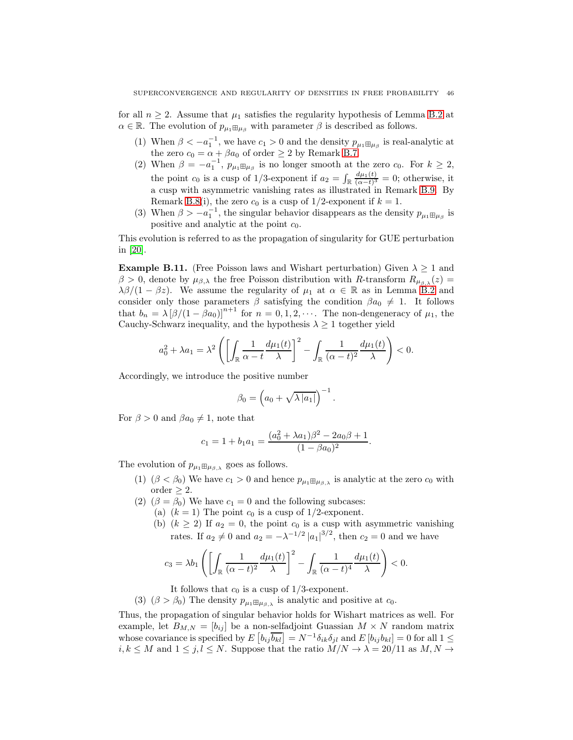for all  $n \geq 2$ . Assume that  $\mu_1$  satisfies the regularity hypothesis of Lemma [B.2](#page-41-1) at  $\alpha \in \mathbb{R}$ . The evolution of  $p_{\mu_1 \boxplus \mu_\beta}$  with parameter  $\beta$  is described as follows.

- (1) When  $\beta < -a_1^{-1}$ , we have  $c_1 > 0$  and the density  $p_{\mu_1 \boxplus \mu_\beta}$  is real-analytic at the zero  $c_0 = \alpha + \beta a_0$  of order  $\geq 2$  by Remark [B.7.](#page-44-0)
- (2) When  $\beta = -a_1^{-1}$ ,  $p_{\mu_1 \boxplus \mu_\beta}$  is no longer smooth at the zero  $c_0$ . For  $k \geq 2$ , the point  $c_0$  is a cusp of 1/3-exponent if  $a_2 = \int_{\mathbb{R}} \frac{d\mu_1(t)}{(\alpha - t)^3}$  $\frac{d\mu_1(t)}{(\alpha-t)^3} = 0$ ; otherwise, it a cusp with asymmetric vanishing rates as illustrated in Remark [B.9.](#page-44-1) By Remark [B.8\(](#page-44-2)i), the zero  $c_0$  is a cusp of 1/2-exponent if  $k = 1$ .
- (3) When  $\beta > -a_1^{-1}$ , the singular behavior disappears as the density  $p_{\mu_1 \boxplus \mu_\beta}$  is positive and analytic at the point  $c_0$ .

This evolution is referred to as the propagation of singularity for GUE perturbation in [\[20\]](#page-52-21).

**Example B.11.** (Free Poisson laws and Wishart perturbation) Given  $\lambda > 1$  and  $β > 0$ , denote by  $μ_{β,λ}$  the free Poisson distribution with R-transform  $R_{μ_{β,λ}}(z)$  =  $\lambda\beta/(1-\beta z)$ . We assume the regularity of  $\mu_1$  at  $\alpha \in \mathbb{R}$  as in Lemma [B.2](#page-41-1) and consider only those parameters  $\beta$  satisfying the condition  $\beta a_0 \neq 1$ . It follows that  $b_n = \lambda [\beta/(1 - \beta a_0)]^{n+1}$  for  $n = 0, 1, 2, \cdots$ . The non-dengeneracy of  $\mu_1$ , the Cauchy-Schwarz inequality, and the hypothesis  $\lambda \geq 1$  together yield

$$
a_0^2 + \lambda a_1 = \lambda^2 \left( \left[ \int_{\mathbb{R}} \frac{1}{\alpha - t} \frac{d\mu_1(t)}{\lambda} \right]^2 - \int_{\mathbb{R}} \frac{1}{(\alpha - t)^2} \frac{d\mu_1(t)}{\lambda} \right) < 0.
$$

Accordingly, we introduce the positive number

$$
\beta_0 = \left(a_0 + \sqrt{\lambda |a_1|}\right)^{-1}.
$$

For  $\beta > 0$  and  $\beta a_0 \neq 1$ , note that

$$
c_1 = 1 + b_1 a_1 = \frac{(a_0^2 + \lambda a_1)\beta^2 - 2a_0\beta + 1}{(1 - \beta a_0)^2}.
$$

The evolution of  $p_{\mu_1 \boxplus \mu_{\beta,\lambda}}$  goes as follows.

- (1)  $(\beta < \beta_0)$  We have  $c_1 > 0$  and hence  $p_{\mu_1 \boxplus \mu_{\beta,\lambda}}$  is analytic at the zero  $c_0$  with order  $\geq 2$ .
- (2)  $(\beta = \beta_0)$  We have  $c_1 = 0$  and the following subcases:
	- (a)  $(k = 1)$  The point  $c_0$  is a cusp of 1/2-exponent.
		- (b)  $(k \ge 2)$  If  $a_2 = 0$ , the point  $c_0$  is a cusp with asymmetric vanishing rates. If  $a_2 \neq 0$  and  $a_2 = -\lambda^{-1/2} |a_1|^{3/2}$ , then  $c_2 = 0$  and we have

$$
c_3 = \lambda b_1 \left( \left[ \int_{\mathbb{R}} \frac{1}{(\alpha - t)^2} \frac{d\mu_1(t)}{\lambda} \right]^2 - \int_{\mathbb{R}} \frac{1}{(\alpha - t)^4} \frac{d\mu_1(t)}{\lambda} \right) < 0.
$$

It follows that  $c_0$  is a cusp of  $1/3$ -exponent.

(3)  $(\beta > \beta_0)$  The density  $p_{\mu_1 \boxplus \mu_{\beta,\lambda}}$  is analytic and positive at  $c_0$ .

Thus, the propagation of singular behavior holds for Wishart matrices as well. For example, let  $B_{M,N} = [b_{ij}]$  be a non-selfadjoint Guassian  $M \times N$  random matrix whose covariance is specified by  $E\left[b_{ij}\overline{b_{kl}}\right] = N^{-1}\delta_{ik}\delta_{jl}$  and  $E\left[b_{ij}b_{kl}\right] = 0$  for all  $1 \leq$  $i, k \leq M$  and  $1 \leq j, l \leq N$ . Suppose that the ratio  $M/N \to \lambda = 20/11$  as  $M, N \to \lambda$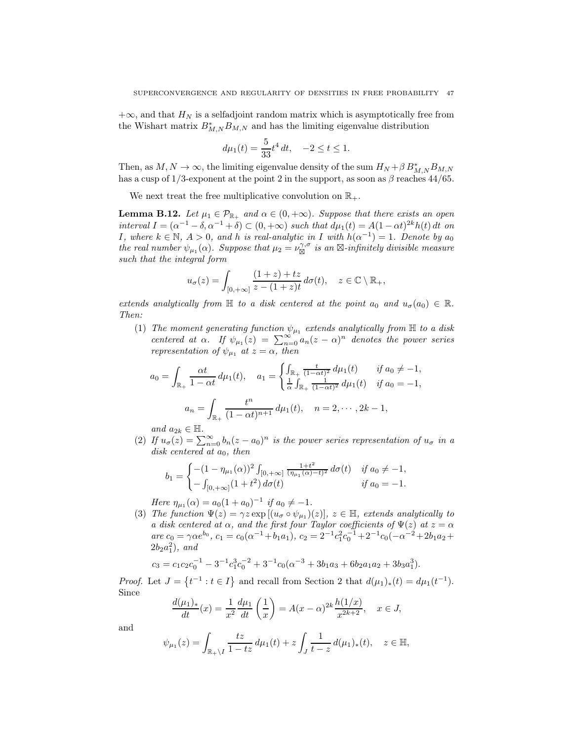$+\infty$ , and that  $H_N$  is a selfadjoint random matrix which is asymptotically free from the Wishart matrix  $B^*_{M,N}B_{M,N}$  and has the limiting eigenvalue distribution

$$
d\mu_1(t) = \frac{5}{33}t^4 dt, \quad -2 \le t \le 1.
$$

Then, as  $M, N \to \infty$ , the limiting eigenvalue density of the sum  $H_N + \beta B_{M,N}^* B_{M,N}$ has a cusp of 1/3-exponent at the point 2 in the support, as soon as  $\beta$  reaches 44/65.

We next treat the free multiplicative convolution on  $\mathbb{R}_+$ .

<span id="page-46-0"></span>**Lemma B.12.** Let  $\mu_1 \in \mathcal{P}_{\mathbb{R}_+}$  and  $\alpha \in (0, +\infty)$ . Suppose that there exists an open interval  $I = (\alpha^{-1} - \delta, \alpha^{-1} + \delta) \subset (0, +\infty)$  such that  $d\mu_1(t) = A(1 - \alpha t)^{2k} h(t) dt$  on *I*, where  $k \in \mathbb{N}$ ,  $A > 0$ , and h is real-analytic in *I* with  $h(\alpha^{-1}) = 1$ . Denote by  $a_0$ the real number  $\psi_{\mu_1}(\alpha)$ . Suppose that  $\mu_2 = \nu_{\boxtimes}^{\gamma,\sigma}$  is an  $\boxtimes$ -infinitely divisible measure such that the integral form

$$
u_{\sigma}(z) = \int_{[0,+\infty]} \frac{(1+z)+tz}{z-(1+z)t} d\sigma(t), \quad z \in \mathbb{C} \setminus \mathbb{R}_+,
$$

extends analytically from  $\mathbb H$  to a disk centered at the point  $a_0$  and  $u_{\sigma}(a_0) \in \mathbb R$ . Then:

(1) The moment generating function  $\psi_{\mu_1}$  extends analytically from  $\mathbb H$  to a disk centered at  $\alpha$ . If  $\psi_{\mu_1}(z) = \sum_{n=0}^{\infty} a_n(z-\alpha)^n$  denotes the power series representation of  $\psi_{\mu_1}$  at  $z = \alpha$ , then

$$
a_0 = \int_{\mathbb{R}_+} \frac{\alpha t}{1 - \alpha t} d\mu_1(t), \quad a_1 = \begin{cases} \int_{\mathbb{R}_+} \frac{t}{(1 - \alpha t)^2} d\mu_1(t) & \text{if } a_0 \neq -1, \\ \frac{1}{\alpha} \int_{\mathbb{R}_+} \frac{1}{(1 - \alpha t)^2} d\mu_1(t) & \text{if } a_0 = -1, \end{cases}
$$
\n
$$
a_n = \int_{\mathbb{R}_+} \frac{t^n}{(1 - \alpha t)^{n+1}} d\mu_1(t), \quad n = 2, \cdots, 2k - 1,
$$

and  $a_{2k} \in \mathbb{H}$ .

(2) If  $u_{\sigma}(z) = \sum_{n=0}^{\infty} b_n(z - a_0)^n$  is the power series representation of  $u_{\sigma}$  in a disk centered at  $a_0$ , then

$$
b_1 = \begin{cases} -(1 - \eta_{\mu_1}(\alpha))^2 \int_{[0, +\infty]} \frac{1+t^2}{(\eta_{\mu_1}(\alpha)-t)^2} d\sigma(t) & \text{if } a_0 \neq -1, \\ -\int_{[0, +\infty]} (1+t^2) d\sigma(t) & \text{if } a_0 = -1. \end{cases}
$$

Here  $\eta_{\mu_1}(\alpha) = a_0(1 + a_0)^{-1}$  if  $a_0 \neq -1$ .

(3) The function  $\Psi(z) = \gamma z \exp[(u_{\sigma} \circ \psi_{\mu_1})(z)], z \in \mathbb{H}$ , extends analytically to a disk centered at  $\alpha$ , and the first four Taylor coefficients of  $\Psi(z)$  at  $z = \alpha$ are  $c_0 = \gamma \alpha e^{b_0}$ ,  $c_1 = c_0(\alpha^{-1} + b_1 a_1)$ ,  $c_2 = 2^{-1} c_1^2 c_0^{-1} + 2^{-1} c_0(-\alpha^{-2} + 2b_1 a_2 +$  $2b_2a_1^2$ ), and

$$
c_3 = c_1 c_2 c_0^{-1} - 3^{-1} c_1^3 c_0^{-2} + 3^{-1} c_0 (\alpha^{-3} + 3b_1 a_3 + 6b_2 a_1 a_2 + 3b_3 a_1^3).
$$

*Proof.* Let  $J = \{t^{-1} : t \in I\}$  and recall from Section 2 that  $d(\mu_1)_*(t) = d\mu_1(t^{-1})$ . Since

$$
\frac{d(\mu_1)_*}{dt}(x) = \frac{1}{x^2} \frac{d\mu_1}{dt} \left(\frac{1}{x}\right) = A(x - \alpha)^{2k} \frac{h(1/x)}{x^{2k+2}}, \quad x \in J,
$$

and

$$
\psi_{\mu_1}(z) = \int_{\mathbb{R}_+ \setminus I} \frac{tz}{1 - tz} d\mu_1(t) + z \int_J \frac{1}{t - z} d(\mu_1)_*(t), \quad z \in \mathbb{H},
$$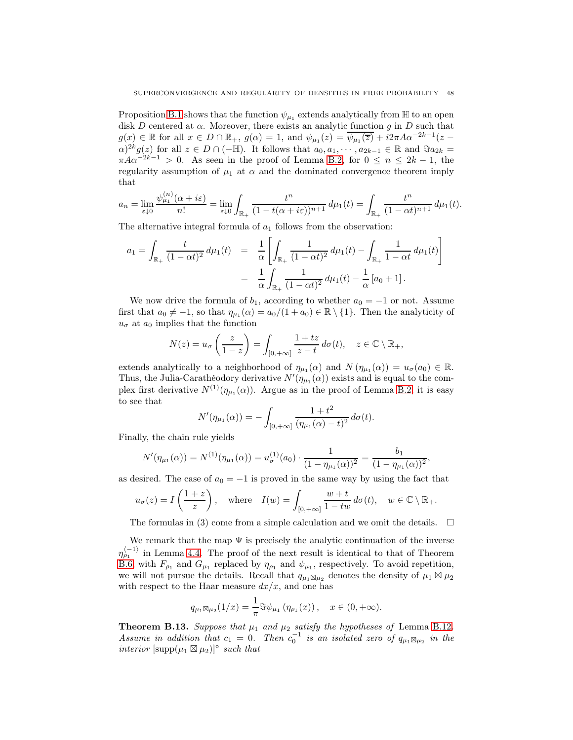Proposition [B.1](#page-40-0) shows that the function  $\psi_{\mu_1}$  extends analytically from  $\mathbb H$  to an open disk D centered at  $\alpha$ . Moreover, there exists an analytic function g in D such that  $g(x) \in \mathbb{R}$  for all  $x \in D \cap \mathbb{R}_+$ ,  $g(\alpha) = 1$ , and  $\psi_{\mu_1}(z) = \overline{\psi_{\mu_1}(z)} + i2\pi A \alpha^{-2k-1}(z \alpha)^{2k} g(z)$  for all  $z \in D \cap (-\mathbb{H})$ . It follows that  $a_0, a_1, \dots, a_{2k-1} \in \mathbb{R}$  and  $\Im a_{2k} =$  $\pi A \alpha^{-2k-1} > 0$ . As seen in the proof of Lemma [B.2,](#page-41-1) for  $0 \le n \le 2k-1$ , the regularity assumption of  $\mu_1$  at  $\alpha$  and the dominated convergence theorem imply that

$$
a_n = \lim_{\varepsilon \downarrow 0} \frac{\psi_{\mu_1}^{(n)}(\alpha + i\varepsilon)}{n!} = \lim_{\varepsilon \downarrow 0} \int_{\mathbb{R}_+} \frac{t^n}{(1 - t(\alpha + i\varepsilon))^{n+1}} d\mu_1(t) = \int_{\mathbb{R}_+} \frac{t^n}{(1 - \alpha t)^{n+1}} d\mu_1(t).
$$

The alternative integral formula of  $a_1$  follows from the observation:

$$
a_1 = \int_{\mathbb{R}_+} \frac{t}{(1 - \alpha t)^2} d\mu_1(t) = \frac{1}{\alpha} \left[ \int_{\mathbb{R}_+} \frac{1}{(1 - \alpha t)^2} d\mu_1(t) - \int_{\mathbb{R}_+} \frac{1}{1 - \alpha t} d\mu_1(t) \right]
$$
  
= 
$$
\frac{1}{\alpha} \int_{\mathbb{R}_+} \frac{1}{(1 - \alpha t)^2} d\mu_1(t) - \frac{1}{\alpha} [a_0 + 1].
$$

We now drive the formula of  $b_1$ , according to whether  $a_0 = -1$  or not. Assume first that  $a_0 \neq -1$ , so that  $\eta_{\mu_1}(\alpha) = a_0/(1 + a_0) \in \mathbb{R} \setminus \{1\}$ . Then the analyticity of  $u_{\sigma}$  at  $a_0$  implies that the function

$$
N(z) = u_{\sigma}\left(\frac{z}{1-z}\right) = \int_{[0,+\infty]} \frac{1+tz}{z-t} \, d\sigma(t), \quad z \in \mathbb{C} \setminus \mathbb{R}_+,
$$

extends analytically to a neighborhood of  $\eta_{\mu_1}(\alpha)$  and  $N(\eta_{\mu_1}(\alpha)) = u_{\sigma}(a_0) \in \mathbb{R}$ . Thus, the Julia-Carathéodory derivative  $N'(\eta_{\mu_1}(\alpha))$  exists and is equal to the complex first derivative  $N^{(1)}(\eta_{\mu_1}(\alpha))$ . Argue as in the proof of Lemma [B.2,](#page-41-1) it is easy to see that

$$
N'(\eta_{\mu_1}(\alpha)) = -\int_{[0,+\infty]} \frac{1+t^2}{(\eta_{\mu_1}(\alpha)-t)^2} d\sigma(t).
$$

Finally, the chain rule yields

$$
N'(\eta_{\mu_1}(\alpha)) = N^{(1)}(\eta_{\mu_1}(\alpha)) = u_{\sigma}^{(1)}(a_0) \cdot \frac{1}{(1 - \eta_{\mu_1}(\alpha))^2} = \frac{b_1}{(1 - \eta_{\mu_1}(\alpha))^2},
$$

as desired. The case of  $a_0 = -1$  is proved in the same way by using the fact that

$$
u_{\sigma}(z) = I\left(\frac{1+z}{z}\right)
$$
, where  $I(w) = \int_{[0,+\infty]} \frac{w+t}{1-tw} d\sigma(t)$ ,  $w \in \mathbb{C} \setminus \mathbb{R}_+$ .

The formulas in (3) come from a simple calculation and we omit the details.  $\square$ 

We remark that the map  $\Psi$  is precisely the analytic continuation of the inverse  $\eta_{\rho_1}^{\langle -1 \rangle}$  in Lemma [4.4.](#page-15-0) The proof of the next result is identical to that of Theorem [B.6,](#page-42-1) with  $F_{\rho_1}$  and  $G_{\mu_1}$  replaced by  $\eta_{\rho_1}$  and  $\psi_{\mu_1}$ , respectively. To avoid repetition, we will not pursue the details. Recall that  $q_{\mu_1 \boxtimes \mu_2}$  denotes the density of  $\mu_1 \boxtimes \mu_2$ with respect to the Haar measure  $dx/x$ , and one has

$$
q_{\mu_1 \boxtimes \mu_2}(1/x) = \frac{1}{\pi} \Im \psi_{\mu_1} (\eta_{\rho_1}(x)), \quad x \in (0, +\infty).
$$

**Theorem B.13.** Suppose that  $\mu_1$  and  $\mu_2$  satisfy the hypotheses of Lemma [B.12](#page-46-0). Assume in addition that  $c_1 = 0$ . Then  $c_0^{-1}$  is an isolated zero of  $q_{\mu_1 \boxtimes \mu_2}$  in the interior  $[\text{supp}(\mu_1 \boxtimes \mu_2)]^{\circ}$  such that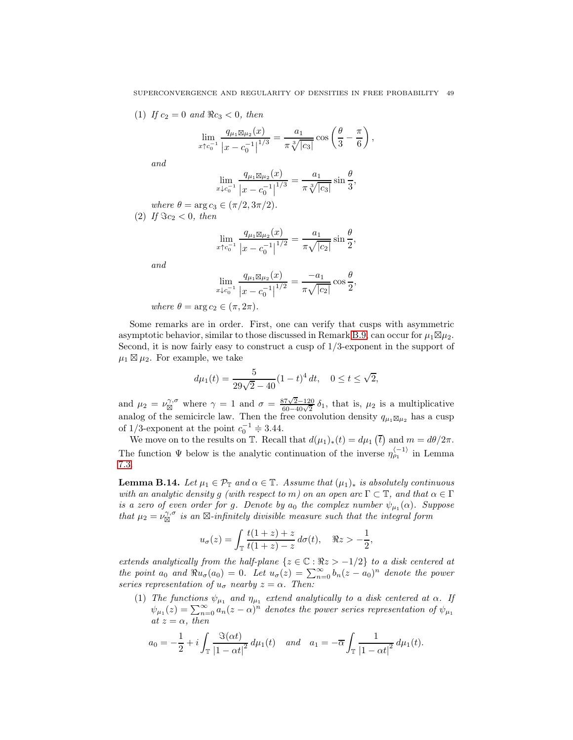(1) If  $c_2 = 0$  and  $\Re c_3 < 0$ , then

$$
\lim_{x \uparrow c_0^{-1}} \frac{q_{\mu_1 \boxtimes \mu_2}(x)}{|x - c_0^{-1}|^{1/3}} = \frac{a_1}{\pi \sqrt[3]{|c_3|}} \cos \left(\frac{\theta}{3} - \frac{\pi}{6}\right),\,
$$

and

$$
\lim_{x \downarrow c_0^{-1}} \frac{q_{\mu_1 \boxtimes \mu_2}(x)}{|x - c_0^{-1}|^{1/3}} = \frac{a_1}{\pi \sqrt[3]{|c_3|}} \sin \frac{\theta}{3},
$$

where 
$$
\theta = \arg c_3 \in (\pi/2, 3\pi/2)
$$
.  
(2) If  $\Im c_2 < 0$ , then

$$
\lim_{x \uparrow c_0^{-1}} \frac{q_{\mu_1 \boxtimes \mu_2}(x)}{|x - c_0^{-1}|^{1/2}} = \frac{a_1}{\pi \sqrt{|c_2|}} \sin \frac{\theta}{2},
$$

and

$$
\lim_{x \downarrow c_0^{-1}} \frac{q_{\mu_1 \boxtimes \mu_2}(x)}{|x - c_0^{-1}|^{1/2}} = \frac{-a_1}{\pi \sqrt{|c_2|}} \cos \frac{\theta}{2},
$$

where  $\theta = \arg c_2 \in (\pi, 2\pi)$ .

Some remarks are in order. First, one can verify that cusps with asymmetric asymptotic behavior, similar to those discussed in Remark [B.9,](#page-44-1) can occur for  $\mu_1 \boxtimes \mu_2$ . Second, it is now fairly easy to construct a cusp of 1/3-exponent in the support of  $\mu_1 \boxtimes \mu_2$ . For example, we take

$$
d\mu_1(t) = \frac{5}{29\sqrt{2} - 40} (1 - t)^4 dt, \quad 0 \le t \le \sqrt{2},
$$

and  $\mu_2 = \nu_{\boxtimes}^{\gamma,\sigma}$  where  $\gamma = 1$  and  $\sigma = \frac{87\sqrt{2}-120}{60-40\sqrt{2}} \delta_1$ , that is,  $\mu_2$  is a multiplicative analog of the semicircle law. Then the free convolution density  $q_{\mu_1\boxtimes\mu_2}$  has a cusp of 1/3-exponent at the point  $c_0^{-1} \doteq 3.44$ .

We move on to the results on T. Recall that  $d(\mu_1)_*(t) = d\mu_1(\overline{t})$  and  $m = d\theta/2\pi$ . The function  $\Psi$  below is the analytic continuation of the inverse  $\eta_{\rho_1}^{\langle -1 \rangle}$  in Lemma [7.3.](#page-28-0)

<span id="page-48-0"></span>**Lemma B.14.** Let  $\mu_1 \in \mathcal{P}_{\mathbb{T}}$  and  $\alpha \in \mathbb{T}$ . Assume that  $(\mu_1)_*$  is absolutely continuous with an analytic density g (with respect to m) on an open arc  $\Gamma \subset \mathbb{T}$ , and that  $\alpha \in \Gamma$ is a zero of even order for g. Denote by  $a_0$  the complex number  $\psi_{\mu_1}(\alpha)$ . Suppose that  $\mu_2 = \nu_{\boxtimes}^{\gamma,\sigma}$  is an  $\boxtimes$ -infinitely divisible measure such that the integral form

$$
u_{\sigma}(z) = \int_{\mathbb{T}} \frac{t(1+z) + z}{t(1+z) - z} d\sigma(t), \quad \Re z > -\frac{1}{2},
$$

extends analytically from the half-plane  $\{z \in \mathbb{C} : \Re z > -1/2\}$  to a disk centered at the point  $a_0$  and  $\Re u_{\sigma}(a_0) = 0$ . Let  $u_{\sigma}(z) = \sum_{n=0}^{\infty} b_n(z - a_0)^n$  denote the power series representation of  $u_{\sigma}$  nearby  $z = \alpha$ . Then:

(1) The functions  $\psi_{\mu_1}$  and  $\eta_{\mu_1}$  extend analytically to a disk centered at  $\alpha$ . If  $\psi_{\mu_1}(z) = \sum_{n=0}^{\infty} a_n(z-\alpha)^n$  denotes the power series representation of  $\psi_{\mu_1}$ at  $z = \alpha$ , then

$$
a_0 = -\frac{1}{2} + i \int_{\mathbb{T}} \frac{\Im(\alpha t)}{|1 - \alpha t|^2} d\mu_1(t) \quad and \quad a_1 = -\overline{\alpha} \int_{\mathbb{T}} \frac{1}{|1 - \alpha t|^2} d\mu_1(t).
$$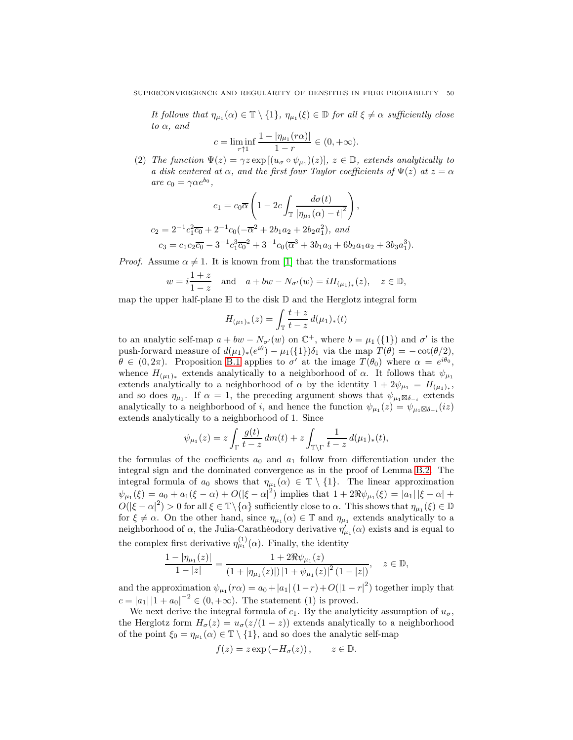It follows that  $\eta_{\mu_1}(\alpha) \in \mathbb{T} \setminus \{1\}$ ,  $\eta_{\mu_1}(\xi) \in \mathbb{D}$  for all  $\xi \neq \alpha$  sufficiently close to  $\alpha$ , and

$$
c = \liminf_{r \uparrow 1} \frac{1 - |\eta_{\mu_1}(r\alpha)|}{1 - r} \in (0, +\infty).
$$

(2) The function  $\Psi(z) = \gamma z \exp[(u_{\sigma} \circ \psi_{\mu_1})(z)], z \in \mathbb{D}$ , extends analytically to a disk centered at  $\alpha$ , and the first four Taylor coefficients of  $\Psi(z)$  at  $z = \alpha$ are  $c_0 = \gamma \alpha e^{b_0},$ 

$$
c_1 = c_0 \overline{\alpha} \left( 1 - 2c \int_{\mathbb{T}} \frac{d\sigma(t)}{|\eta_{\mu_1}(\alpha) - t|^2} \right),
$$
  
\n
$$
c_2 = 2^{-1} c_1^2 \overline{c_0} + 2^{-1} c_0 (-\overline{\alpha}^2 + 2b_1 a_2 + 2b_2 a_1^2), \text{ and}
$$
  
\n
$$
c_3 = c_1 c_2 \overline{c_0} - 3^{-1} c_1^3 \overline{c_0}^2 + 3^{-1} c_0 (\overline{\alpha}^3 + 3b_1 a_3 + 6b_2 a_1 a_2 + 3b_3 a_1^3).
$$

*Proof.* Assume  $\alpha \neq 1$ . It is known from [\[1\]](#page-51-3) that the transformations

$$
w = i \frac{1+z}{1-z}
$$
 and  $a + bw - N_{\sigma'}(w) = iH_{(\mu_1)_*}(z), \quad z \in \mathbb{D},$ 

map the upper half-plane  $\mathbb H$  to the disk  $\mathbb D$  and the Herglotz integral form

$$
H_{(\mu_1)_*}(z) = \int_{\mathbb{T}} \frac{t+z}{t-z} \, d(\mu_1)_*(t)
$$

to an analytic self-map  $a + bw - N_{\sigma'}(w)$  on  $\mathbb{C}^+$ , where  $b = \mu_1(\{1\})$  and  $\sigma'$  is the push-forward measure of  $d(\mu_1)_*(e^{i\theta}) - \mu_1({1})\delta_1$  via the map  $T(\theta) = -\cot(\theta/2)$ ,  $\theta \in (0, 2\pi)$ . Proposition [B.1](#page-40-0) applies to  $\sigma'$  at the image  $T(\theta_0)$  where  $\alpha = e^{i\theta_0}$ , whence  $H_{(\mu_1)_*}$  extends analytically to a neighborhood of  $\alpha$ . It follows that  $\psi_{\mu_1}$ extends analytically to a neighborhood of  $\alpha$  by the identity  $1 + 2\psi_{\mu_1} = H_{(\mu_1)_*},$ and so does  $\eta_{\mu_1}$ . If  $\alpha = 1$ , the preceding argument shows that  $\psi_{\mu_1 \boxtimes \delta_{-i}}$  extends analytically to a neighborhood of i, and hence the function  $\psi_{\mu_1}(z) = \psi_{\mu_1 \boxtimes \delta_{-i}}(iz)$ extends analytically to a neighborhood of 1. Since

$$
\psi_{\mu_1}(z) = z \int_{\Gamma} \frac{g(t)}{t - z} dm(t) + z \int_{\mathbb{T}\backslash \Gamma} \frac{1}{t - z} d(\mu_1)_*(t),
$$

the formulas of the coefficients  $a_0$  and  $a_1$  follow from differentiation under the integral sign and the dominated convergence as in the proof of Lemma [B.2.](#page-41-1) The integral formula of  $a_0$  shows that  $\eta_{\mu_1}(\alpha) \in \mathbb{T} \setminus \{1\}$ . The linear approximation  $\psi_{\mu_1}(\xi) = a_0 + a_1(\xi - \alpha) + O(|\xi - \alpha|^2)$  implies that  $1 + 2\Re \psi_{\mu_1}(\xi) = |a_1||\xi - \alpha| +$  $O(|\xi - \alpha|^2) > 0$  for all  $\xi \in \mathbb{T} \setminus {\alpha}$  sufficiently close to  $\alpha$ . This shows that  $\eta_{\mu_1}(\xi) \in \mathbb{D}$ for  $\xi \neq \alpha$ . On the other hand, since  $\eta_{\mu_1}(\alpha) \in \mathbb{T}$  and  $\eta_{\mu_1}$  extends analytically to a neighborhood of  $\alpha$ , the Julia-Carathéodory derivative  $\eta_{\mu_1}'(\alpha)$  exists and is equal to the complex first derivative  $\eta_{\mu_1}^{(1)}(\alpha)$ . Finally, the identity

$$
\frac{1-|\eta_{\mu_1}(z)|}{1-|z|} = \frac{1+2\Re\psi_{\mu_1}(z)}{(1+|\eta_{\mu_1}(z)|)\,|1+\psi_{\mu_1}(z)|^2\,(1-|z|)}, \quad z \in \mathbb{D},
$$

and the approximation  $\psi_{\mu_1}(r\alpha) = a_0 + |a_1| (1 - r) + O(|1 - r|^2)$  together imply that  $c = |a_1| |1 + a_0|^{-2} \in (0, +\infty)$ . The statement (1) is proved.

We next derive the integral formula of  $c_1$ . By the analyticity assumption of  $u_{\sigma}$ , the Herglotz form  $H_{\sigma}(z) = u_{\sigma}(z/(1-z))$  extends analytically to a neighborhood of the point  $\xi_0 = \eta_{\mu_1}(\alpha) \in \mathbb{T} \setminus \{1\}$ , and so does the analytic self-map

$$
f(z) = z \exp(-H_{\sigma}(z)), \qquad z \in \mathbb{D}.
$$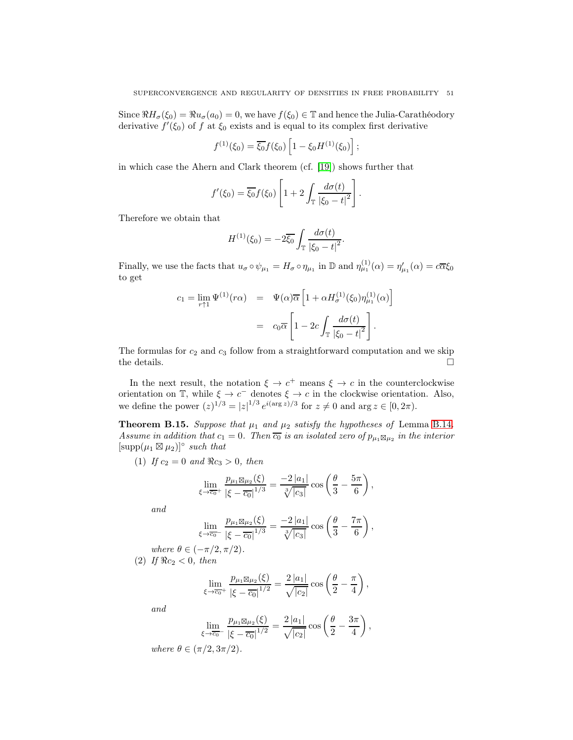Since  $\Re H_{\sigma}(\xi_0) = \Re u_{\sigma}(a_0) = 0$ , we have  $f(\xi_0) \in \mathbb{T}$  and hence the Julia-Carathéodory derivative  $f'(\xi_0)$  of f at  $\xi_0$  exists and is equal to its complex first derivative

$$
f^{(1)}(\xi_0) = \overline{\xi_0} f(\xi_0) \left[ 1 - \xi_0 H^{(1)}(\xi_0) \right];
$$

in which case the Ahern and Clark theorem (cf. [\[19\]](#page-52-26)) shows further that

$$
f'(\xi_0) = \overline{\xi_0} f(\xi_0) \left[ 1 + 2 \int_{\mathbb{T}} \frac{d\sigma(t)}{|\xi_0 - t|^2} \right].
$$

Therefore we obtain that

$$
H^{(1)}(\xi_0) = -2\overline{\xi_0} \int_{\mathbb{T}} \frac{d\sigma(t)}{|\xi_0 - t|^2}.
$$

Finally, we use the facts that  $u_{\sigma} \circ \psi_{\mu_1} = H_{\sigma} \circ \eta_{\mu_1}$  in  $\mathbb{D}$  and  $\eta_{\mu_1}^{(1)}(\alpha) = \eta_{\mu_1}'(\alpha) = c\overline{\alpha}\xi_0$ to get

$$
c_1 = \lim_{r \uparrow 1} \Psi^{(1)}(r\alpha) = \Psi(\alpha)\overline{\alpha} \left[ 1 + \alpha H_{\sigma}^{(1)}(\xi_0) \eta_{\mu_1}^{(1)}(\alpha) \right]
$$

$$
= c_0 \overline{\alpha} \left[ 1 - 2c \int_{\mathbb{T}} \frac{d\sigma(t)}{|\xi_0 - t|^2} \right].
$$

The formulas for  $c_2$  and  $c_3$  follow from a straightforward computation and we skip the details.  $\Box$ 

In the next result, the notation  $\xi \to c^+$  means  $\xi \to c$  in the counterclockwise orientation on  $\mathbb{T}$ , while  $\xi \to c^-$  denotes  $\xi \to c$  in the clockwise orientation. Also, we define the power  $(z)^{1/3} = |z|^{1/3} e^{i(\arg z)/3}$  for  $z \neq 0$  and  $\arg z \in [0, 2\pi)$ .

**Theorem B.15.** Suppose that  $\mu_1$  and  $\mu_2$  satisfy the hypotheses of Lemma [B.14](#page-48-0). Assume in addition that  $c_1 = 0$ . Then  $\overline{c_0}$  is an isolated zero of  $p_{\mu_1 \boxtimes \mu_2}$  in the interior  $[\text{supp}(\mu_1 \boxtimes \mu_2)]^{\circ}$  such that

(1) If  $c_2 = 0$  and  $\Re c_3 > 0$ , then

$$
\lim_{\xi \to \overline{c_0}^+} \frac{p_{\mu_1 \boxtimes \mu_2}(\xi)}{|\xi - \overline{c_0}|^{1/3}} = \frac{-2 |a_1|}{\sqrt[3]{|c_3|}} \cos \left( \frac{\theta}{3} - \frac{5\pi}{6} \right),
$$

and

$$
\lim_{\xi \to \overline{c_0}} \frac{p_{\mu_1 \boxtimes \mu_2}(\xi)}{|\xi - \overline{c_0}|^{1/3}} = \frac{-2 |a_1|}{\sqrt[3]{|c_3|}} \cos \left( \frac{\theta}{3} - \frac{7\pi}{6} \right),
$$

where  $\theta \in (-\pi/2, \pi/2)$ . (2) If  $\Re c_2 < 0$ , then

$$
\lim_{\xi \to \overline{c_0}^+} \frac{p_{\mu_1 \boxtimes \mu_2}(\xi)}{|\xi - \overline{c_0}|^{1/2}} = \frac{2 |a_1|}{\sqrt{|c_2|}} \cos \left(\frac{\theta}{2} - \frac{\pi}{4}\right),
$$

and

$$
\lim_{\xi \to \overline{c_0}} \frac{p_{\mu_1 \boxtimes \mu_2}(\xi)}{|\xi - \overline{c_0}|^{1/2}} = \frac{2 |a_1|}{\sqrt{|c_2|}} \cos \left(\frac{\theta}{2} - \frac{3\pi}{4}\right),
$$

where  $\theta \in (\pi/2, 3\pi/2)$ .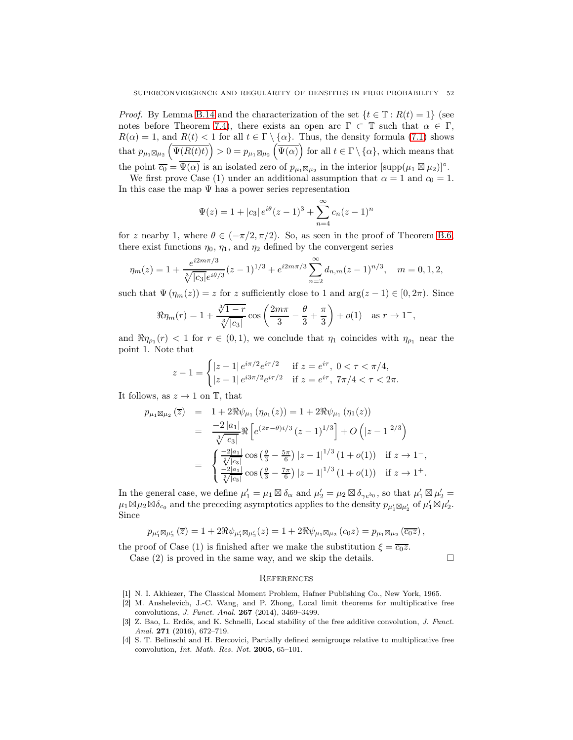*Proof.* By Lemma [B.14](#page-48-0) and the characterization of the set  $\{t \in \mathbb{T} : R(t) = 1\}$  (see notes before Theorem [7.4\)](#page-28-1), there exists an open arc  $\Gamma \subset \mathbb{T}$  such that  $\alpha \in \Gamma$ ,  $R(\alpha) = 1$ , and  $R(t) < 1$  for all  $t \in \Gamma \setminus \{\alpha\}$ . Thus, the density formula [\(7.1\)](#page-25-0) shows that  $p_{\mu_1 \boxtimes \mu_2} \left( \overline{\Psi(R(t)t)} \right) > 0 = p_{\mu_1 \boxtimes \mu_2} \left( \overline{\Psi(\alpha)} \right)$  for all  $t \in \Gamma \setminus \{\alpha\}$ , which means that the point  $\overline{c_0} = \overline{\Psi(\alpha)}$  is an isolated zero of  $p_{\mu_1 \boxtimes \mu_2}$  in the interior  $[\text{supp}(\mu_1 \boxtimes \mu_2)]^{\circ}$ .

We first prove Case (1) under an additional assumption that  $\alpha = 1$  and  $c_0 = 1$ . In this case the map  $\Psi$  has a power series representation

$$
\Psi(z) = 1 + |c_3| e^{i\theta} (z - 1)^3 + \sum_{n=4}^{\infty} c_n (z - 1)^n
$$

for z nearby 1, where  $\theta \in (-\pi/2, \pi/2)$ . So, as seen in the proof of Theorem [B.6,](#page-42-1) there exist functions  $\eta_0$ ,  $\eta_1$ , and  $\eta_2$  defined by the convergent series

$$
\eta_m(z) = 1 + \frac{e^{i2m\pi/3}}{\sqrt[3]{|c_3|}e^{i\theta/3}}(z-1)^{1/3} + e^{i2m\pi/3} \sum_{n=2}^{\infty} d_{n,m}(z-1)^{n/3}, \quad m = 0, 1, 2,
$$

such that  $\Psi(\eta_m(z)) = z$  for z sufficiently close to 1 and  $\arg(z - 1) \in [0, 2\pi)$ . Since

$$
\Re \eta_m(r) = 1 + \frac{\sqrt[3]{1-r}}{\sqrt[3]{|c_3|}} \cos \left( \frac{2m\pi}{3} - \frac{\theta}{3} + \frac{\pi}{3} \right) + o(1) \text{ as } r \to 1^-,
$$

and  $\Re \eta_{\rho_1}(r) < 1$  for  $r \in (0,1)$ , we conclude that  $\eta_1$  coincides with  $\eta_{\rho_1}$  near the point 1. Note that

$$
z - 1 = \begin{cases} |z - 1| \, e^{i\pi/2} e^{i\tau/2} & \text{if } z = e^{i\tau}, \ 0 < \tau < \pi/4, \\ |z - 1| \, e^{i3\pi/2} e^{i\tau/2} & \text{if } z = e^{i\tau}, \ 7\pi/4 < \tau < 2\pi. \end{cases}
$$

It follows, as  $z \to 1$  on T, that

$$
p_{\mu_1 \boxtimes \mu_2}(\overline{z}) = 1 + 2\Re \psi_{\mu_1} (\eta_{\rho_1}(z)) = 1 + 2\Re \psi_{\mu_1} (\eta_1(z))
$$
  
\n
$$
= \frac{-2|a_1|}{\sqrt[3]{|c_3|}} \Re \left[ e^{(2\pi - \theta)i/3} (z - 1)^{1/3} \right] + O\left(|z - 1|^{2/3}\right)
$$
  
\n
$$
= \begin{cases} \frac{-2|a_1|}{\sqrt[3]{|c_3|}} \cos \left(\frac{\theta}{3} - \frac{5\pi}{6}\right) |z - 1|^{1/3} (1 + o(1)) & \text{if } z \to 1^{-}, \\ \frac{-2|a_1|}{\sqrt[3]{|c_3|}} \cos \left(\frac{\theta}{3} - \frac{7\pi}{6}\right) |z - 1|^{1/3} (1 + o(1)) & \text{if } z \to 1^{+}. \end{cases}
$$

In the general case, we define  $\mu'_1 = \mu_1 \boxtimes \delta_\alpha$  and  $\mu'_2 = \mu_2 \boxtimes \delta_{\gamma e^{b_0}}$ , so that  $\mu'_1 \boxtimes \mu'_2 =$  $\mu_1 \boxtimes \mu_2 \boxtimes \delta_{c_0}$  and the preceding asymptotics applies to the density  $p_{\mu'_1} \boxtimes \mu'_2$  of  $\mu'_1 \boxtimes \mu'_2$ . Since

$$
p_{\mu'_1 \boxtimes \mu'_2}(\overline{z}) = 1 + 2\Re \psi_{\mu'_1 \boxtimes \mu'_2}(z) = 1 + 2\Re \psi_{\mu_1 \boxtimes \mu_2}(c_0 z) = p_{\mu_1 \boxtimes \mu_2}(\overline{c_0 z}),
$$

the proof of Case (1) is finished after we make the substitution  $\xi = \overline{c_0z}$ .

Case  $(2)$  is proved in the same way, and we skip the details.

#### **REFERENCES**

- <span id="page-51-3"></span><span id="page-51-1"></span>[1] N. I. Akhiezer, The Classical Moment Problem, Hafner Publishing Co., New York, 1965.
- [2] M. Anshelevich, J.-C. Wang, and P. Zhong, Local limit theorems for multiplicative free convolutions, J. Funct. Anal. 267 (2014), 3469–3499.
- <span id="page-51-0"></span>[3] Z. Bao, L. Erdös, and K. Schnelli, Local stability of the free additive convolution, J. Funct. Anal. 271 (2016), 672-719.
- <span id="page-51-2"></span>[4] S. T. Belinschi and H. Bercovici, Partially defined semigroups relative to multiplicative free convolution, Int. Math. Res. Not. 2005, 65–101.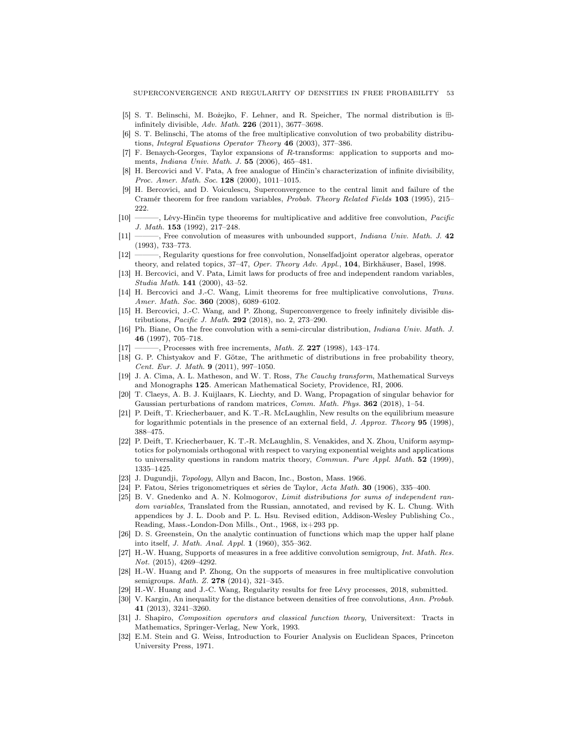- <span id="page-52-20"></span><span id="page-52-14"></span>[5] S. T. Belinschi, M. Bożejko, F. Lehner, and R. Speicher, The normal distribution is ⊞ infinitely divisible, Adv. Math. 226 (2011), 3677–3698.
- [6] S. T. Belinschi, The atoms of the free multiplicative convolution of two probability distributions, Integral Equations Operator Theory 46 (2003), 377–386.
- <span id="page-52-25"></span>[7] F. Benaych-Georges, Taylor expansions of R-transforms: application to supports and moments, Indiana Univ. Math. J. 55 (2006), 465–481.
- <span id="page-52-3"></span>[8] H. Bercovici and V. Pata, A free analogue of Hinčin's characterization of infinite divisibility, Proc. Amer. Math. Soc. 128 (2000), 1011-1015.
- <span id="page-52-0"></span>[9] H. Bercovici, and D. Voiculescu, Superconvergence to the central limit and failure of the Cramér theorem for free random variables, Probab. Theory Related Fields 103 (1995), 215– 222.
- <span id="page-52-16"></span>[10] ———, Lévy-Hinčin type theorems for multiplicative and additive free convolution, Pacific J. Math. 153 (1992), 217–248.
- <span id="page-52-7"></span>[11] ——, Free convolution of measures with unbounded support, *Indiana Univ. Math. J.* 42 (1993), 733–773.
- <span id="page-52-19"></span>[12] ———, Regularity questions for free convolution, Nonselfadjoint operator algebras, operator theory, and related topics, 37–47, Oper. Theory Adv. Appl., 104, Birkhäuser, Basel, 1998.
- <span id="page-52-11"></span>[13] H. Bercovici, and V. Pata, Limit laws for products of free and independent random variables, Studia Math. **141** (2000), 43-52.
- <span id="page-52-17"></span>[14] H. Bercovici and J.-C. Wang, Limit theorems for free multiplicative convolutions, Trans. Amer. Math. Soc. 360 (2008), 6089-6102.
- <span id="page-52-2"></span>[15] H. Bercovici, J.-C. Wang, and P. Zhong, Superconvergence to freely infinitely divisible distributions, Pacific J. Math. 292 (2018), no. 2, 273–290.
- <span id="page-52-5"></span>[16] Ph. Biane, On the free convolution with a semi-circular distribution, Indiana Univ. Math. J. 46 (1997), 705–718.
- <span id="page-52-10"></span>[17] ———, Processes with free increments, *Math. Z.* **227** (1998), 143-174.
- [18] G. P. Chistyakov and F. Götze, The arithmetic of distributions in free probability theory, Cent. Eur. J. Math. 9 (2011), 997–1050.
- <span id="page-52-26"></span>[19] J. A. Cima, A. L. Matheson, and W. T. Ross, The Cauchy transform, Mathematical Surveys and Monographs 125. American Mathematical Society, Providence, RI, 2006.
- <span id="page-52-21"></span>[20] T. Claeys, A. B. J. Kuijlaars, K. Liechty, and D. Wang, Propagation of singular behavior for Gaussian perturbations of random matrices, *Comm. Math. Phys.* **362** (2018), 1–54.
- <span id="page-52-23"></span>[21] P. Deift, T. Kriecherbauer, and K. T.-R. McLaughlin, New results on the equilibrium measure for logarithmic potentials in the presence of an external field, J. Approx. Theory 95 (1998), 388–475.
- <span id="page-52-24"></span>[22] P. Deift, T. Kriecherbauer, K. T.-R. McLaughlin, S. Venakides, and X. Zhou, Uniform asymptotics for polynomials orthogonal with respect to varying exponential weights and applications to universality questions in random matrix theory, *Commun. Pure Appl. Math.* 52 (1999), 1335–1425.
- <span id="page-52-15"></span><span id="page-52-12"></span>[23] J. Dugundji, Topology, Allyn and Bacon, Inc., Boston, Mass. 1966.
- <span id="page-52-4"></span>[24] P. Fatou, Séries trigonometriques et séries de Taylor, Acta Math. 30 (1906), 335–400.
- [25] B. V. Gnedenko and A. N. Kolmogorov, Limit distributions for sums of independent random variables. Translated from the Russian, annotated, and revised by K. L. Chung. With appendices by J. L. Doob and P. L. Hsu. Revised edition, Addison-Wesley Publishing Co., Reading, Mass.-London-Don Mills., Ont., 1968, ix+293 pp.
- <span id="page-52-22"></span>[26] D. S. Greenstein, On the analytic continuation of functions which map the upper half plane into itself, J. Math. Anal. Appl. 1 (1960), 355–362.
- <span id="page-52-18"></span>[27] H.-W. Huang, Supports of measures in a free additive convolution semigroup, Int. Math. Res. Not. (2015), 4269–4292.
- <span id="page-52-8"></span>[28] H.-W. Huang and P. Zhong, On the supports of measures in free multiplicative convolution semigroups. *Math. Z.* **278** (2014), 321-345.
- <span id="page-52-9"></span><span id="page-52-1"></span>[29] H.-W. Huang and J.-C. Wang, Regularity results for free Lévy processes, 2018, submitted.
- [30] V. Kargin, An inequality for the distance between densities of free convolutions, Ann. Probab. 41 (2013), 3241–3260.
- <span id="page-52-13"></span>[31] J. Shapiro, Composition operators and classical function theory, Universitext: Tracts in Mathematics, Springer-Verlag, New York, 1993.
- <span id="page-52-6"></span>[32] E.M. Stein and G. Weiss, Introduction to Fourier Analysis on Euclidean Spaces, Princeton University Press, 1971.